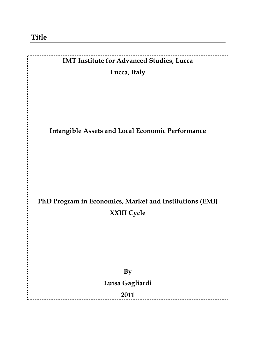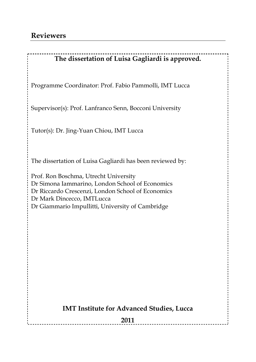## **The dissertation of Luisa Gagliardi is approved.**

Programme Coordinator: Prof. Fabio Pammolli, IMT Lucca

Supervisor(s): Prof. Lanfranco Senn, Bocconi University

Tutor(s): Dr. Jing-Yuan Chiou, IMT Lucca

The dissertation of Luisa Gagliardi has been reviewed by:

Prof. Ron Boschma, Utrecht University Dr Simona Iammarino, London School of Economics Dr Riccardo Crescenzi, London School of Economics Dr Mark Dincecco, IMTLucca Dr Giammario Impullitti, University of Cambridge

### **IMT Institute for Advanced Studies, Lucca**

**2011**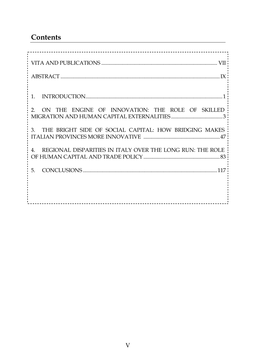# **Contents**

| ---------------------------<br>____________________________  |
|--------------------------------------------------------------|
|                                                              |
| $1_{-}$                                                      |
| 2. ON THE ENGINE OF INNOVATION: THE ROLE OF SKILLED          |
| 3. THE BRIGHT SIDE OF SOCIAL CAPITAL: HOW BRIDGING MAKES     |
| 4. REGIONAL DISPARITIES IN ITALY OVER THE LONG RUN: THE ROLE |
| 5.                                                           |
|                                                              |
|                                                              |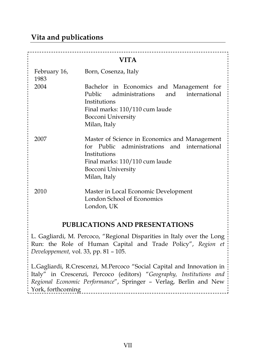## **Vita and publications**

| VITA                 |                                                                                                                                                                                       |  |
|----------------------|---------------------------------------------------------------------------------------------------------------------------------------------------------------------------------------|--|
| February 16,<br>1983 | Born, Cosenza, Italy                                                                                                                                                                  |  |
| 2004                 | Bachelor in Economics and Management for<br>Public administrations<br>and international<br>Institutions<br>Final marks: 110/110 cum laude<br>Bocconi University<br>Milan, Italy       |  |
| 2007                 | Master of Science in Economics and Management<br>for Public administrations and international<br>Institutions<br>Final marks: 110/110 cum laude<br>Bocconi University<br>Milan, Italy |  |
| 2010                 | Master in Local Economic Development<br>London School of Economics<br>London, UK                                                                                                      |  |

#### **PUBLICATIONS AND PRESENTATIONS**

L. Gagliardi, M. Percoco, "Regional Disparities in Italy over the Long Run: the Role of Human Capital and Trade Policy", *Region et Developpement,* vol. 33, pp. 81 – 105.

L.Gagliardi, R.Crescenzi, M.Percoco "Social Capital and Innovation in Italy" in Crescenzi, Percoco (editors) "*Geography, Institutions and Regional Economic Performance*", Springer – Verlag, Berlin and New York, forthcoming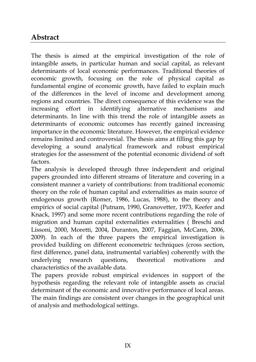## **Abstract**

The thesis is aimed at the empirical investigation of the role of intangible assets, in particular human and social capital, as relevant determinants of local economic performances. Traditional theories of economic growth, focusing on the role of physical capital as fundamental engine of economic growth, have failed to explain much of the differences in the level of income and development among regions and countries. The direct consequence of this evidence was the increasing effort in identifying alternative mechanisms and determinants. In line with this trend the role of intangible assets as determinants of economic outcomes has recently gained increasing importance in the economic literature. However, the empirical evidence remains limited and controversial. The thesis aims at filling this gap by developing a sound analytical framework and robust empirical strategies for the assessment of the potential economic dividend of soft factors.

The analysis is developed through three independent and original papers grounded into different streams of literature and covering in a consistent manner a variety of contributions: from traditional economic theory on the role of human capital and externalities as main source of endogenous growth (Romer, 1986, Lucas, 1988), to the theory and empirics of social capital (Putnam, 1990, Granovetter, 1973, Keefer and Knack, 1997) and some more recent contributions regarding the role of migration and human capital externalities externalities ( Breschi and Lissoni, 2000, Moretti, 2004, Duranton, 2007, Faggian, McCann, 2006, 2009). In each of the three papers the empirical investigation is provided building on different econometric techniques (cross section, first difference, panel data, instrumental variables) coherently with the underlying research questions, theoretical motivations and characteristics of the available data.

The papers provide robust empirical evidences in support of the hypothesis regarding the relevant role of intangible assets as crucial determinant of the economic and innovative performance of local areas. The main findings are consistent over changes in the geographical unit of analysis and methodological settings.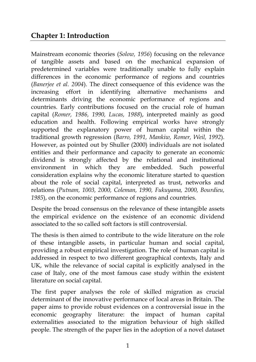## **Chapter 1: Introduction**

Mainstream economic theories (*Solow, 1956*) focusing on the relevance of tangible assets and based on the mechanical expansion of predetermined variables were traditionally unable to fully explain differences in the economic performance of regions and countries (*Banerjee et al. 2004*). The direct consequence of this evidence was the increasing effort in identifying alternative mechanisms and determinants driving the economic performance of regions and countries. Early contributions focused on the crucial role of human capital (*Romer, 1986, 1990, Lucas, 1988*), interpreted mainly as good education and health. Following empirical works have strongly supported the explanatory power of human capital within the traditional growth regression (*Barro, 1991, Mankiw, Romer, Weil, 1992*). However, as pointed out by Shuller (2000) individuals are not isolated entities and their performance and capacity to generate an economic dividend is strongly affected by the relational and institutional environment in which they are embedded. Such powerful consideration explains why the economic literature started to question about the role of social capital, interpreted as trust, networks and relations (*Putnam, 1003, 2000, Coleman, 1990, Fukuyama, 2000, Bourdieu, 1985*), on the economic performance of regions and countries.

Despite the broad consensus on the relevance of these intangible assets the empirical evidence on the existence of an economic dividend associated to the so called soft factors is still controversial.

The thesis is then aimed to contribute to the wide literature on the role of these intangible assets, in particular human and social capital, providing a robust empirical investigation. The role of human capital is addressed in respect to two different geographical contexts, Italy and UK, while the relevance of social capital is explicitly analysed in the case of Italy, one of the most famous case study within the existent literature on social capital.

The first paper analyses the role of skilled migration as crucial determinant of the innovative performance of local areas in Britain. The paper aims to provide robust evidences on a controversial issue in the economic geography literature: the impact of human capital externalities associated to the migration behaviour of high skilled people. The strength of the paper lies in the adoption of a novel dataset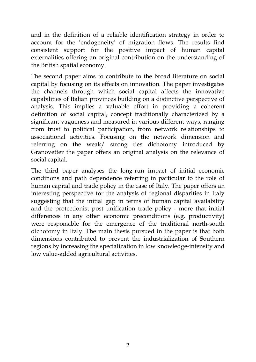and in the definition of a reliable identification strategy in order to account for the 'endogeneity' of migration flows. The results find consistent support for the positive impact of human capital externalities offering an original contribution on the understanding of the British spatial economy.

The second paper aims to contribute to the broad literature on social capital by focusing on its effects on innovation. The paper investigates the channels through which social capital affects the innovative capabilities of Italian provinces building on a distinctive perspective of analysis. This implies a valuable effort in providing a coherent definition of social capital, concept traditionally characterized by a significant vagueness and measured in various different ways, ranging from trust to political participation, from network relationships to associational activities. Focusing on the network dimension and referring on the weak/ strong ties dichotomy introduced by Granovetter the paper offers an original analysis on the relevance of social capital.

The third paper analyses the long-run impact of initial economic conditions and path dependence referring in particular to the role of human capital and trade policy in the case of Italy. The paper offers an interesting perspective for the analysis of regional disparities in Italy suggesting that the initial gap in terms of human capital availability and the protectionist post unification trade policy - more that initial differences in any other economic preconditions (e.g. productivity) were responsible for the emergence of the traditional north-south dichotomy in Italy. The main thesis pursued in the paper is that both dimensions contributed to prevent the industrialization of Southern regions by increasing the specialization in low knowledge-intensity and low value-added agricultural activities.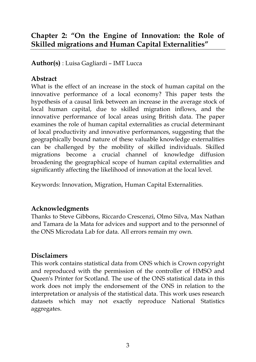# **Chapter 2: "On the Engine of Innovation: the Role of Skilled migrations and Human Capital Externalities"**

**Author(s)** : Luisa Gagliardi – IMT Lucca

### **Abstract**

What is the effect of an increase in the stock of human capital on the innovative performance of a local economy? This paper tests the hypothesis of a causal link between an increase in the average stock of local human capital, due to skilled migration inflows, and the innovative performance of local areas using British data. The paper examines the role of human capital externalities as crucial determinant of local productivity and innovative performances, suggesting that the geographically bound nature of these valuable knowledge externalities can be challenged by the mobility of skilled individuals. Skilled migrations become a crucial channel of knowledge diffusion broadening the geographical scope of human capital externalities and significantly affecting the likelihood of innovation at the local level.

Keywords: Innovation, Migration, Human Capital Externalities.

## **Acknowledgments**

Thanks to Steve Gibbons, Riccardo Crescenzi, Olmo Silva, Max Nathan and Tamara de la Mata for advices and support and to the personnel of the ONS Microdata Lab for data. All errors remain my own.

### **Disclaimers**

This work contains statistical data from ONS which is Crown copyright and reproduced with the permission of the controller of HMSO and Queen's Printer for Scotland. The use of the ONS statistical data in this work does not imply the endorsement of the ONS in relation to the interpretation or analysis of the statistical data. This work uses research datasets which may not exactly reproduce National Statistics aggregates.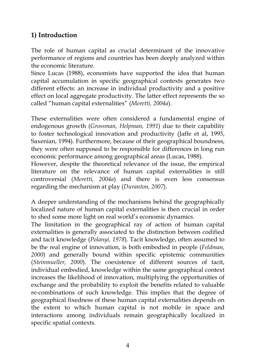## **1) Introduction**

The role of human capital as crucial determinant of the innovative performance of regions and countries has been deeply analyzed within the economic literature.

Since Lucas (1988), economists have supported the idea that human capital accumulation in specific geographical contexts generates two different effects: an increase in individual productivity and a positive effect on local aggregate productivity. The latter effect represents the so called "human capital externalities" (*Moretti, 2004a*).

These externalities were often considered a fundamental engine of endogenous growth (*Grossman, Helpman, 1991*) due to their capability to foster technological innovation and productivity (Jaffe et al, 1993, Saxenian, 1994). Furthermore, because of their geographical boundness, they were often supposed to be responsible for differences in long run economic performance among geographical areas (Lucas, 1988).

However, despite the theoretical relevance of the issue, the empirical literature on the relevance of human capital externalities is still controversial (*Moretti, 2004a*) and there is even less consensus regarding the mechanism at play (*Duranton, 2007*).

A deeper understanding of the mechanisms behind the geographically localized nature of human capital externalities is then crucial in order to shed some more light on real world's economic dynamics.

The limitation in the geographical ray of action of human capital externalities is generally associated to the distinction between codified and tacit knowledge (*Polanyi, 1978*). Tacit knowledge, often assumed to be the real engine of innovation, is both embodied in people (*Feldman, 2000*) and generally bound within specific epistemic communities (*Steinmueller, 2000*). The coexistence of different sources of tacit, individual embodied, knowledge within the same geographical context increases the likelihood of innovation, multiplying the opportunities of exchange and the probability to exploit the benefits related to valuable re-combinations of such knowledge. This implies that the degree of geographical fixedness of these human capital externalities depends on the extent to which human capital is not mobile in space and interactions among individuals remain geographically localized in specific spatial contexts.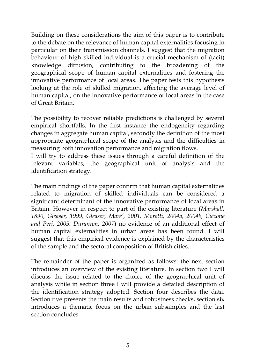Building on these considerations the aim of this paper is to contribute to the debate on the relevance of human capital externalities focusing in particular on their transmission channels. I suggest that the migration behaviour of high skilled individual is a crucial mechanism of (tacit) knowledge diffusion, contributing to the broadening of the geographical scope of human capital externalities and fostering the innovative performance of local areas. The paper tests this hypothesis looking at the role of skilled migration, affecting the average level of human capital, on the innovative performance of local areas in the case of Great Britain.

The possibility to recover reliable predictions is challenged by several empirical shortfalls. In the first instance the endogeneity regarding changes in aggregate human capital, secondly the definition of the most appropriate geographical scope of the analysis and the difficulties in measuring both innovation performance and migration flows.

I will try to address these issues through a careful definition of the relevant variables, the geographical unit of analysis and the identification strategy.

The main findings of the paper confirm that human capital externalities related to migration of skilled individuals can be considered a significant determinant of the innovative performance of local areas in Britain. However in respect to part of the existing literature (*Marshall, 1890, Gleaser, 1999, Gleaser, Mare', 2001, Moretti, 2004a, 2004b, Ciccone and Peri, 2005, Duranton, 2007*) no evidence of an additional effect of human capital externalities in urban areas has been found. I will suggest that this empirical evidence is explained by the characteristics of the sample and the sectoral composition of British cities.

The remainder of the paper is organized as follows: the next section introduces an overview of the existing literature. In section two I will discuss the issue related to the choice of the geographical unit of analysis while in section three I will provide a detailed description of the identification strategy adopted. Section four describes the data. Section five presents the main results and robustness checks, section six introduces a thematic focus on the urban subsamples and the last section concludes.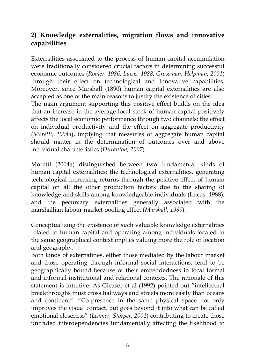## **2) Knowledge externalities, migration flows and innovative capabilities**

Externalities associated to the process of human capital accumulation were traditionally considered crucial factors in determining successful economic outcomes (*Romer, 1986, Lucas, 1988, Grossman, Helpman, 2001*) through their effect on technological and innovative capabilities. Moreover, since Marshall (1890) human capital externalities are also accepted as one of the main reasons to justify the existence of cities.

The main argument supporting this positive effect builds on the idea that an increase in the average local stock of human capital positively affects the local economic performance through two channels: the effect on individual productivity and the effect on aggregate productivity (*Moretti, 2004a*), implying that measures of aggregate human capital should matter in the determination of outcomes over and above individual characteristics (*Duranton, 2007*).

Moretti (2004a) distinguished between two fundamental kinds of human capital externalities: the technological externalities, generating technological increasing returns through the positive effect of human capital on all the other production factors due to the sharing of knowledge and skills among knowledgeable individuals (Lucas, 1988), and the pecuniary externalities generally associated with the marshallian labour market pooling effect (*Marshall, 1980*).

Conceptualizing the existence of such valuable knowledge externalities related to human capital and operating among individuals located in the same geographical context implies valuing more the role of location and geography.

Both kinds of externalities, either those mediated by the labour market and those operating through informal social interactions, tend to be geographically bound because of their embeddedness in local formal and informal institutional and relational contexts. The rationale of this statement is intuitive. As Gleaser et al (1992) pointed out "intellectual breakthroughs must cross hallways and streets more easily than oceans and continent". "Co-presence in the same physical space not only improves the visual contact, but goes beyond it into what can be called emotional closeness" (*Leamer, Storper, 2001*) contributing to create those untraded interdependencies fundamentally affecting the likelihood to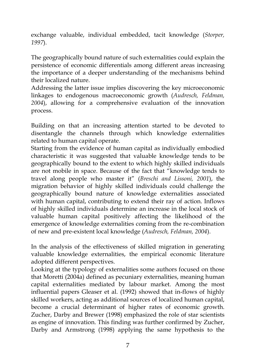exchange valuable, individual embedded, tacit knowledge (*Storper, 1997*).

The geographically bound nature of such externalities could explain the persistence of economic differentials among different areas increasing the importance of a deeper understanding of the mechanisms behind their localized nature.

Addressing the latter issue implies discovering the key microeconomic linkages to endogenous macroeconomic growth (*Audresch, Feldman, 2004*), allowing for a comprehensive evaluation of the innovation process.

Building on that an increasing attention started to be devoted to disentangle the channels through which knowledge externalities related to human capital operate.

Starting from the evidence of human capital as individually embodied characteristic it was suggested that valuable knowledge tends to be geographically bound to the extent to which highly skilled individuals are not mobile in space. Because of the fact that "knowledge tends to travel along people who master it" (*Breschi and Lissoni, 2001*), the migration behavior of highly skilled individuals could challenge the geographically bound nature of knowledge externalities associated with human capital, contributing to extend their ray of action. Inflows of highly skilled individuals determine an increase in the local stock of valuable human capital positively affecting the likelihood of the emergence of knowledge externalities coming from the re-combination of new and pre-existent local knowledge (*Audresch, Feldman, 2004*).

In the analysis of the effectiveness of skilled migration in generating valuable knowledge externalities, the empirical economic literature adopted different perspectives.

Looking at the typology of externalities some authors focused on those that Moretti (2004a) defined as pecuniary externalities, meaning human capital externalities mediated by labour market. Among the most influential papers Gleaser et al. (1992) showed that in-flows of highly skilled workers, acting as additional sources of localized human capital, become a crucial determinant of higher rates of economic growth. Zucher, Darby and Brewer (1998) emphasized the role of star scientists as engine of innovation. This finding was further confirmed by Zucher, Darby and Armstrong (1998) applying the same hypothesis to the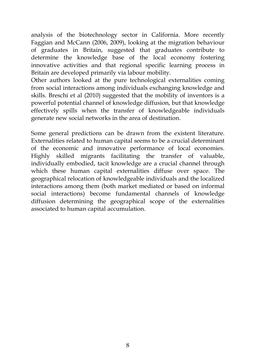analysis of the biotechnology sector in California. More recently Faggian and McCann (2006, 2009), looking at the migration behaviour of graduates in Britain, suggested that graduates contribute to determine the knowledge base of the local economy fostering innovative activities and that regional specific learning process in Britain are developed primarily via labour mobility.

Other authors looked at the pure technological externalities coming from social interactions among individuals exchanging knowledge and skills. Breschi et al (2010) suggested that the mobility of inventors is a powerful potential channel of knowledge diffusion, but that knowledge effectively spills when the transfer of knowledgeable individuals generate new social networks in the area of destination.

Some general predictions can be drawn from the existent literature. Externalities related to human capital seems to be a crucial determinant of the economic and innovative performance of local economies. Highly skilled migrants facilitating the transfer of valuable, individually embodied, tacit knowledge are a crucial channel through which these human capital externalities diffuse over space. The geographical relocation of knowledgeable individuals and the localized interactions among them (both market mediated or based on informal social interactions) become fundamental channels of knowledge diffusion determining the geographical scope of the externalities associated to human capital accumulation.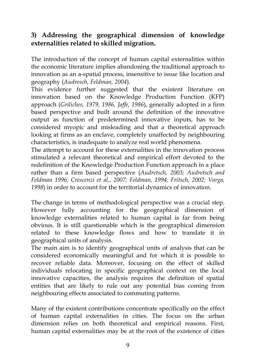## **3) Addressing the geographical dimension of knowledge externalities related to skilled migration.**

The introduction of the concept of human capital externalities within the economic literature implies abandoning the traditional approach to innovation as an a-spatial process, insensitive to issue like location and geography (*Audresch, Feldman, 2004*).

This evidence further suggested that the existent literature on innovation based on the Knowledge Production Function (KFP) approach (*Griliches, 1979, 1986, Jaffe, 1986*), generally adopted in a firm based perspective and built around the definition of the innovative output as function of predetermined innovative inputs, has to be considered myopic and misleading and that a theoretical approach looking at firms as an enclave, completely unaffected by neighbouring characteristics, is inadequate to analyze real world phenomena.

The attempt to account for these externalities in the innovation process stimulated a relevant theoretical and empirical effort devoted to the redefinition of the Knowledge Production Function approach in a place rather than a firm based perspective (*Audretsch, 2003; Audretsch and Feldman 1996; Crescenzi et al., 2007; Feldman, 1994; Fritsch, 2002; Varga, 1998*) in order to account for the territorial dynamics of innovation.

The change in terms of methodological perspective was a crucial step. However fully accounting for the geographical dimension of knowledge externalities related to human capital is far from being obvious. It is still questionable which is the geographical dimension related to these knowledge flows and how to translate it in geographical units of analysis.

The main aim is to identify geographical units of analysis that can be considered economically meaningful and for which it is possible to recover reliable data. Moreover, focusing on the effect of skilled individuals relocating in specific geographical context on the local innovative capacities, the analysis requires the definition of spatial entities that are likely to rule out any potential bias coming from neighbouring effects associated to commuting patterns.

Many of the existent contributions concentrate specifically on the effect of human capital externalities in cities. The focus on the urban dimension relies on both theoretical and empirical reasons. First, human capital externalities may be at the root of the existence of cities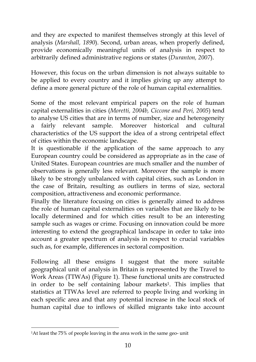and they are expected to manifest themselves strongly at this level of analysis (*Marshall, 1890*). Second, urban areas, when properly defined, provide economically meaningful units of analysis in respect to arbitrarily defined administrative regions or states (*Duranton, 2007*).

However, this focus on the urban dimension is not always suitable to be applied to every country and it implies giving up any attempt to define a more general picture of the role of human capital externalities.

Some of the most relevant empirical papers on the role of human capital externalities in cities (*Moretti, 2004b, Ciccone and Peri, 2005*) tend to analyse US cities that are in terms of number, size and heterogeneity a fairly relevant sample. Moreover historical and cultural characteristics of the US support the idea of a strong centripetal effect of cities within the economic landscape.

It is questionable if the application of the same approach to any European country could be considered as appropriate as in the case of United States. European countries are much smaller and the number of observations is generally less relevant. Moreover the sample is more likely to be strongly unbalanced with capital cities, such as London in the case of Britain, resulting as outliers in terms of size, sectoral composition, attractiveness and economic performance.

Finally the literature focusing on cities is generally aimed to address the role of human capital externalities on variables that are likely to be locally determined and for which cities result to be an interesting sample such as wages or crime. Focusing on innovation could be more interesting to extend the geographical landscape in order to take into account a greater spectrum of analysis in respect to crucial variables such as, for example, differences in sectoral composition.

Following all these ensigns I suggest that the more suitable geographical unit of analysis in Britain is represented by the Travel to Work Areas (TTWAs) (Figure 1). These functional units are constructed in order to be self containing labour markets<sup>1</sup>. This implies that statistics at TTWAs level are referred to people living and working in each specific area and that any potential increase in the local stock of human capital due to inflows of skilled migrants take into account

<sup>1</sup>At least the 75% of people leaving in the area work in the same geo- unit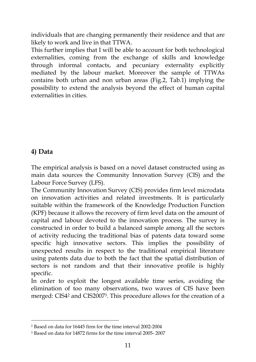individuals that are changing permanently their residence and that are likely to work and live in that TTWA.

This further implies that I will be able to account for both technological externalities, coming from the exchange of skills and knowledge through informal contacts, and pecuniary externality explicitly mediated by the labour market. Moreover the sample of TTWAs contains both urban and non urban areas (Fig.2, Tab.1) implying the possibility to extend the analysis beyond the effect of human capital externalities in cities.

## **4) Data**

-

The empirical analysis is based on a novel dataset constructed using as main data sources the Community Innovation Survey (CIS) and the Labour Force Survey (LFS).

The Community Innovation Survey (CIS) provides firm level microdata on innovation activities and related investments. It is particularly suitable within the framework of the Knowledge Production Function (KPF) because it allows the recovery of firm level data on the amount of capital and labour devoted to the innovation process. The survey is constructed in order to build a balanced sample among all the sectors of activity reducing the traditional bias of patents data toward some specific high innovative sectors. This implies the possibility of unexpected results in respect to the traditional empirical literature using patents data due to both the fact that the spatial distribution of sectors is not random and that their innovative profile is highly specific.

In order to exploit the longest available time series, avoiding the elimination of too many observations, two waves of CIS have been merged: CIS4<sup>2</sup> and CIS2007<sup>3</sup> . This procedure allows for the creation of a

<sup>2</sup> Based on data for 16445 firm for the time interval 2002-2004

<sup>3</sup> Based on data for 14872 firms for the time interval 2005- 2007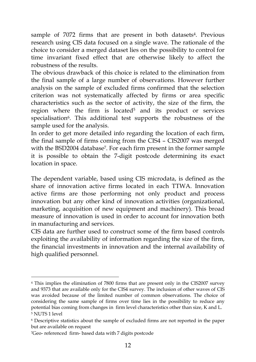sample of 7072 firms that are present in both datasets<sup>4</sup>. Previous research using CIS data focused on a single wave. The rationale of the choice to consider a merged dataset lies on the possibility to control for time invariant fixed effect that are otherwise likely to affect the robustness of the results.

The obvious drawback of this choice is related to the elimination from the final sample of a large number of observations. However further analysis on the sample of excluded firms confirmed that the selection criterion was not systematically affected by firms or area specific characteristics such as the sector of activity, the size of the firm, the region where the firm is located<sup>5</sup> and its product or services specialisation<sup>6</sup>. This additional test supports the robustness of the sample used for the analysis.

In order to get more detailed info regarding the location of each firm, the final sample of firms coming from the CIS4 – CIS2007 was merged with the BSD2004 database<sup>7</sup> . For each firm present in the former sample it is possible to obtain the 7-digit postcode determining its exact location in space.

The dependent variable, based using CIS microdata, is defined as the share of innovation active firms located in each TTWA. Innovation active firms are those performing not only product and process innovation but any other kind of innovation activities (organizational, marketing, acquisition of new equipment and machinery). This broad measure of innovation is used in order to account for innovation both in manufacturing and services.

CIS data are further used to construct some of the firm based controls exploiting the availability of information regarding the size of the firm, the financial investments in innovation and the internal availability of high qualified personnel.

<sup>4</sup> This implies the elimination of 7800 firms that are present only in the CIS2007 survey and 9373 that are available only for the CIS4 survey. The inclusion of other waves of CIS was avoided because of the limited number of common observations. The choice of considering the same sample of firms over time lies in the possibility to reduce any potential bias coming from changes in firm level characteristics other than size, K and L. <sup>5</sup> NUTS 1 level

<sup>6</sup> Descriptive statistics about the sample of excluded firms are not reported in the paper but are available on request

<sup>7</sup>Geo- referenced firm- based data with 7 digits postcode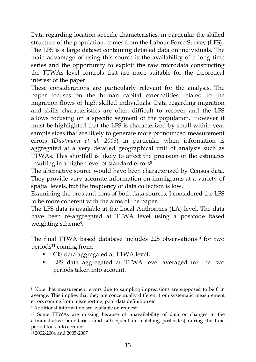Data regarding location specific characteristics, in particular the skilled structure of the population, comes from the Labour Force Survey (LFS). The LFS is a large dataset containing detailed data on individuals. The main advantage of using this source is the availability of a long time series and the opportunity to exploit the raw microdata constructing the TTWAs level controls that are more suitable for the theoretical interest of the paper.

These considerations are particularly relevant for the analysis. The paper focuses on the human capital externalities related to the migration flows of high skilled individuals. Data regarding migration and skills characteristics are often difficult to recover and the LFS allows focusing on a specific segment of the population. However it must be highlighted that the LFS is characterized by small within year sample sizes that are likely to generate more pronounced measurement errors (*Dustmann et al, 2003*) in particular when information is aggregated at a very detailed geographical unit of analysis such as TTWAs. This shortfall is likely to affect the precision of the estimates resulting in a higher level of standard errors<sup>8</sup>.

The alternative source would have been characterized by Census data. They provide very accurate information on immigrants at a variety of spatial levels, but the frequency of data collection is low.

Examining the pros and cons of both data sources, I considered the LFS to be more coherent with the aims of the paper.

The LFS data is available at the Local Authorities (LA) level. The data have been re-aggregated at TTWA level using a postcode based weighting scheme<sup>9</sup> .

The final TTWA based database includes 225 observations<sup>10</sup> for two periods<sup>11</sup> coming from:

- CIS data aggregated at TTWA level;
- LFS data aggregated at TTWA level averaged for the two periods taken into account.

<sup>8</sup> Note that measurement errors due to sampling imprecisions are supposed to be 0 in average. This implies that they are conceptually different from systematic measurement errors coming from misreporting, poor data definition etc.

<sup>9</sup> Additional information are available on request

<sup>10</sup> Some TTWAs are missing because of unavailability of data or changes in the administrative boundaries (and subsequent un-matching postcodes) during the time period took into account.

<sup>11</sup>2002-2004 and 2005-2007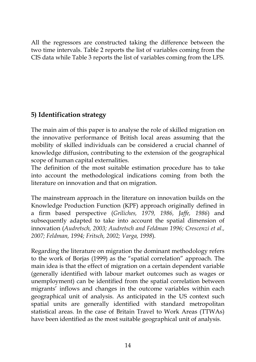All the regressors are constructed taking the difference between the two time intervals. Table 2 reports the list of variables coming from the CIS data while Table 3 reports the list of variables coming from the LFS.

## **5) Identification strategy**

The main aim of this paper is to analyse the role of skilled migration on the innovative performance of British local areas assuming that the mobility of skilled individuals can be considered a crucial channel of knowledge diffusion, contributing to the extension of the geographical scope of human capital externalities.

The definition of the most suitable estimation procedure has to take into account the methodological indications coming from both the literature on innovation and that on migration.

The mainstream approach in the literature on innovation builds on the Knowledge Production Function (KPF) approach originally defined in a firm based perspective (*Griliches, 1979, 1986, Jaffe, 1986*) and subsequently adapted to take into account the spatial dimension of innovation (*Audretsch, 2003; Audretsch and Feldman 1996; Crescenzi et al., 2007; Feldman, 1994; Fritsch, 2002; Varga, 1998*).

Regarding the literature on migration the dominant methodology refers to the work of Borjas (1999) as the "spatial correlation" approach. The main idea is that the effect of migration on a certain dependent variable (generally identified with labour market outcomes such as wages or unemployment) can be identified from the spatial correlation between migrants' inflows and changes in the outcome variables within each geographical unit of analysis. As anticipated in the US context such spatial units are generally identified with standard metropolitan statistical areas. In the case of Britain Travel to Work Areas (TTWAs) have been identified as the most suitable geographical unit of analysis.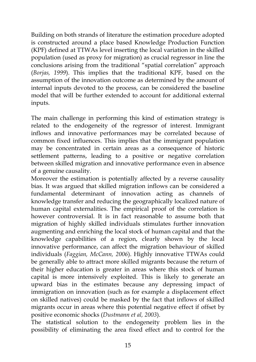Building on both strands of literature the estimation procedure adopted is constructed around a place based Knowledge Production Function (KPF) defined at TTWAs level inserting the local variation in the skilled population (used as proxy for migration) as crucial regressor in line the conclusions arising from the traditional "spatial correlation" approach (*Borjas, 1999*). This implies that the traditional KPF, based on the assumption of the innovation outcome as determined by the amount of internal inputs devoted to the process, can be considered the baseline model that will be further extended to account for additional external inputs.

The main challenge in performing this kind of estimation strategy is related to the endogeneity of the regressor of interest. Immigrant inflows and innovative performances may be correlated because of common fixed influences. This implies that the immigrant population may be concentrated in certain areas as a consequence of historic settlement patterns, leading to a positive or negative correlation between skilled migration and innovative performance even in absence of a genuine causality.

Moreover the estimation is potentially affected by a reverse causality bias. It was argued that skilled migration inflows can be considered a fundamental determinant of innovation acting as channels of knowledge transfer and reducing the geographically localized nature of human capital externalities. The empirical proof of the correlation is however controversial. It is in fact reasonable to assume both that migration of highly skilled individuals stimulates further innovation augmenting and enriching the local stock of human capital and that the knowledge capabilities of a region, clearly shown by the local innovative performance, can affect the migration behaviour of skilled individuals (*Faggian, McCann, 2006*). Highly innovative TTWAs could be generally able to attract more skilled migrants because the return of their higher education is greater in areas where this stock of human capital is more intensively exploited. This is likely to generate an upward bias in the estimates because any depressing impact of immigration on innovation (such as for example a displacement effect on skilled natives) could be masked by the fact that inflows of skilled migrants occur in areas where this potential negative effect if offset by positive economic shocks (*Dustmann et al, 2003*).

The statistical solution to the endogeneity problem lies in the possibility of eliminating the area fixed effect and to control for the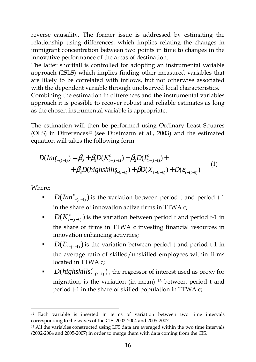reverse causality. The former issue is addressed by estimating the relationship using differences, which implies relating the changes in immigrant concentration between two points in time to changes in the innovative performance of the areas of destination.

The latter shortfall is controlled for adopting an instrumental variable approach (2SLS) which implies finding other measured variables that are likely to be correlated with inflows, but not otherwise associated with the dependent variable through unobserved local characteristics.

Combining the estimation in differences and the instrumental variables approach it is possible to recover robust and reliable estimates as long as the chosen instrumental variable is appropriate.

The estimation will then be performed using Ordinary Least Squares (OLS) in Differences<sup>12</sup> (see Dustmann et al., 2003) and the estimated equation will takes the following form:

$$
D(Inv_{t-(t-1)}^c) = \beta_0 + \beta_1 D(K_{t-(t-1)}^c) + \beta_2 D(L_{t-(t-1)}^c) + + \beta_3 D(highskill_{\zeta_{-(t-1)}}) + \beta D(X_{t-(t-1)}) + D(\varepsilon_{t-(t-1)})
$$
(1)

Where:

- *•*  $D(\text{Inn}_{t-(t-1)}^c)$  is the variation between period t and period t-1 in the share of innovation active firms in TTWA c;
- **•**  $D(K_{t-(t-1)}^c)$  is the variation between period t and period t-1 in the share of firms in TTWA c investing financial resources in innovation enhancing activities;
- *D*  $(L_{t-(t-1)}^c)$  is the variation between period t and period t-1 in the average ratio of skilled/unskilled employees within firms located in TTWA c;
- *D*( $high skills<sup>c</sup><sub>*t*–*t*<sub>*t*–1</sub></sub>$ ), the regressor of interest used as proxy for migration, is the variation (in mean)  $13$  between period t and period t-1 in the share of skilled population in TTWA c;

<sup>12</sup> Each variable is inserted in terms of variation between two time intervals corresponding to the waves of the CIS: 2002-2004 and 2005-2007.

<sup>13</sup> All the variables constructed using LFS data are averaged within the two time intervals (2002-2004 and 2005-2007) in order to merge them with data coming from the CIS.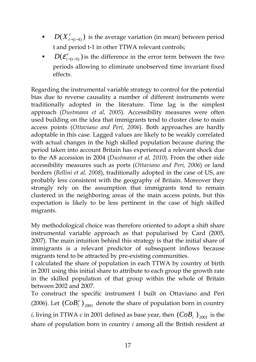- **•**  $D(X_{t-(t-1)}^c)$  is the average variation (in mean) between period t and period t-1 in other TTWA relevant controls;
- $D(\mathcal{E}_{t-(t-1)}^c)$  is the difference in the error term between the two periods allowing to eliminate unobserved time invariant fixed effects.

Regarding the instrumental variable strategy to control for the potential bias due to reverse causality a number of different instruments were traditionally adopted in the literature. Time lag is the simplest approach (*Dustmann et al, 2005*). Accessibility measures were often used building on the idea that immigrants tend to cluster close to main access points (*Ottaviano and Peri, 2006*). Both approaches are hardly adoptable in this case. Lagged values are likely to be weakly correlated with actual changes in the high skilled population because during the period taken into account Britain has experienced a relevant shock due to the A8 accession in 2004 (*Dustmann et al, 2010*). From the other side accessibility measures such as ports (*Ottaviano and Peri, 2006*) or land borders (*Bellini et al, 2008*), traditionally adopted in the case of US, are probably less consistent with the geography of Britain. Moreover they strongly rely on the assumption that immigrants tend to remain clustered in the neighboring areas of the main access points, but this expectation is likely to be less pertinent in the case of high skilled migrants.

My methodological choice was therefore oriented to adopt a shift share instrumental variable approach as that popularised by Card (2005, 2007). The main intuition behind this strategy is that the initial share of immigrants is a relevant predictor of subsequent inflows because migrants tend to be attracted by pre-existing communities.

I calculated the share of population in each TTWA by country of birth in 2001 using this initial share to attribute to each group the growth rate in the skilled population of that group within the whole of Britain between 2002 and 2007.

To construct the specific instrument I built on Ottaviano and Peri (2006). Let  $(CoB_i^c)_{2001}$  denote the share of population born in country *i*, living in TTWA c in 2001 defined as base year, then  $(CoB_i)_{2001}$  is the share of population born in country *i* among all the British resident at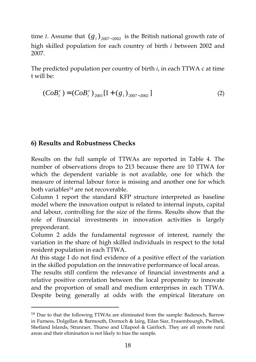time *t*. Assume that  $(g_i)_{2007-2002}$  is the British national growth rate of high skilled population for each country of birth *i* between 2002 and 2007.

The predicted population per country of birth *i*, in each TTWA c at time t will be:

$$
(CoB_i^c) = (CoB_i^c)_{2001}[1 + (g_i)_{2007-2002}]
$$
 (2)

#### **6) Results and Robustness Checks**

-

Results on the full sample of TTWAs are reported in Table 4. The number of observations drops to 213 because there are 10 TTWA for which the dependent variable is not available, one for which the measure of internal labour force is missing and another one for which both variables<sup>14</sup> are not recoverable.

Column 1 report the standard KFP structure interpreted as baseline model where the innovation output is related to internal inputs, capital and labour, controlling for the size of the firms. Results show that the role of financial investments in innovation activities is largely preponderant.

Column 2 adds the fundamental regressor of interest, namely the variation in the share of high skilled individuals in respect to the total resident population in each TTWA.

At this stage I do not find evidence of a positive effect of the variation in the skilled population on the innovative performance of local areas.

The results still confirm the relevance of financial investments and a relative positive correlation between the local propensity to innovate and the proportion of small and medium enterprises in each TTWA. Despite being generally at odds with the empirical literature on

<sup>&</sup>lt;sup>14</sup> Due to that the following TTWAs are eliminated from the sample: Badenoch, Barrow in Furness, Dolgellan & Barmouth, Dornoch & lairg, Eilan Siar, Frasembourgh, Pwllheli, Shetland Islands, Stranraer, Thurso and Ullapool & Gairloch. They are all remote rural areas and their elimination is not likely to bias the sample.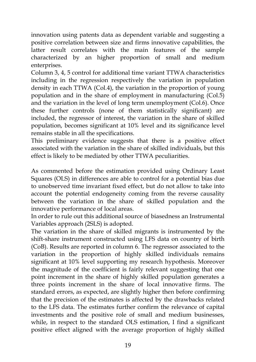innovation using patents data as dependent variable and suggesting a positive correlation between size and firms innovative capabilities, the latter result correlates with the main features of the sample characterized by an higher proportion of small and medium enterprises.

Column 3, 4, 5 control for additional time variant TTWA characteristics including in the regression respectively the variation in population density in each TTWA (Col.4), the variation in the proportion of young population and in the share of employment in manufacturing (Col.5) and the variation in the level of long term unemployment (Col.6). Once these further controls (none of them statistically significant) are included, the regressor of interest, the variation in the share of skilled population, becomes significant at 10% level and its significance level remains stable in all the specifications.

This preliminary evidence suggests that there is a positive effect associated with the variation in the share of skilled individuals, but this effect is likely to be mediated by other TTWA peculiarities.

As commented before the estimation provided using Ordinary Least Squares (OLS) in differences are able to control for a potential bias due to unobserved time invariant fixed effect, but do not allow to take into account the potential endogeneity coming from the reverse causality between the variation in the share of skilled population and the innovative performance of local areas.

In order to rule out this additional source of biasedness an Instrumental Variables approach (2SLS) is adopted.

The variation in the share of skilled migrants is instrumented by the shift-share instrument constructed using LFS data on country of birth (CoB). Results are reported in column 6. The regressor associated to the variation in the proportion of highly skilled individuals remains significant at 10% level supporting my research hypothesis. Moreover the magnitude of the coefficient is fairly relevant suggesting that one point increment in the share of highly skilled population generates a three points increment in the share of local innovative firms. The standard errors, as expected, are slightly higher then before confirming that the precision of the estimates is affected by the drawbacks related to the LFS data. The estimates further confirm the relevance of capital investments and the positive role of small and medium businesses, while, in respect to the standard OLS estimation, I find a significant positive effect aligned with the average proportion of highly skilled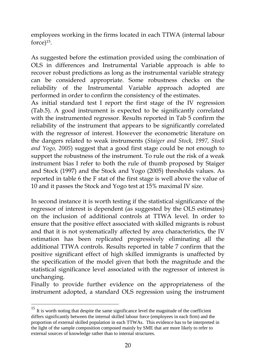employees working in the firms located in each TTWA (internal labour force)<sup>15</sup> .

As suggested before the estimation provided using the combination of OLS in differences and Instrumental Variable approach is able to recover robust predictions as long as the instrumental variable strategy can be considered appropriate. Some robustness checks on the reliability of the Instrumental Variable approach adopted are performed in order to confirm the consistency of the estimates.

As initial standard test I report the first stage of the IV regression (Tab.5). A good instrument is expected to be significantly correlated with the instrumented regressor. Results reported in Tab 5 confirm the reliability of the instrument that appears to be significantly correlated with the regressor of interest. However the econometric literature on the dangers related to weak instruments (*Staiger and Stock, 1997, Stock and Yogo, 2005*) suggest that a good first stage could be not enough to support the robustness of the instrument. To rule out the risk of a weak instrument bias I refer to both the rule of thumb proposed by Staiger and Stock (1997) and the Stock and Yogo (2005) thresholds values. As reported in table 6 the F stat of the first stage is well above the value of 10 and it passes the Stock and Yogo test at 15% maximal IV size.

In second instance it is worth testing if the statistical significance of the regressor of interest is dependent (as suggested by the OLS estimates) on the inclusion of additional controls at TTWA level. In order to ensure that the positive effect associated with skilled migrants is robust and that it is not systematically affected by area characteristics, the IV estimation has been replicated progressively eliminating all the additional TTWA controls. Results reported in table 7 confirm that the positive significant effect of high skilled immigrants is unaffected by the specification of the model given that both the magnitude and the statistical significance level associated with the regressor of interest is unchanging.

Finally to provide further evidence on the appropriateness of the instrument adopted, a standard OLS regression using the instrument

<sup>&</sup>lt;sup>15</sup> It is worth noting that despite the same significance level the magnitude of the coefficient differs significantly between the internal skilled labour force (employees in each firm) and the proportion of external skilled population in each TTWAs. This evidence has to be interpreted in the light of the sample composition composed mainly by SME that are more likely to refer to external sources of knowledge rather than to internal structures.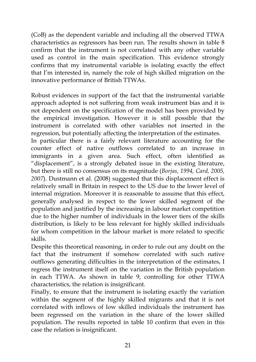(CoB) as the dependent variable and including all the observed TTWA characteristics as regressors has been run. The results shown in table 8 confirm that the instrument is not correlated with any other variable used as control in the main specification. This evidence strongly confirms that my instrumental variable is isolating exactly the effect that I'm interested in, namely the role of high skilled migration on the innovative performance of British TTWAs.

Robust evidences in support of the fact that the instrumental variable approach adopted is not suffering from weak instrument bias and it is not dependent on the specification of the model has been provided by the empirical investigation. However it is still possible that the instrument is correlated with other variables not inserted in the regression, but potentially affecting the interpretation of the estimates. In particular there is a fairly relevant literature accounting for the counter effect of native outflows correlated to an increase in immigrants in a given area. Such effect, often identified as "displacement", is a strongly debated issue in the existing literature, but there is still no consensus on its magnitude (*Borjas, 1994, Card, 2005, 2007*). Dustmann et al. (2008) suggested that this displacement effect is relatively small in Britain in respect to the US due to the lower level of internal migration. Moreover it is reasonable to assume that this effect, generally analysed in respect to the lower skilled segment of the population and justified by the increasing in labour market competition due to the higher number of individuals in the lower tiers of the skills distribution, is likely to be less relevant for highly skilled individuals for whom competition in the labour market is more related to specific skills.

Despite this theoretical reasoning, in order to rule out any doubt on the fact that the instrument if somehow correlated with such native outflows generating difficulties in the interpretation of the estimates, I regress the instrument itself on the variation in the British population in each TTWA. As shown in table 9, controlling for other TTWA characteristics, the relation is insignificant.

Finally, to ensure that the instrument is isolating exactly the variation within the segment of the highly skilled migrants and that it is not correlated with inflows of low skilled individuals the instrument has been regressed on the variation in the share of the lower skilled population. The results reported in table 10 confirm that even in this case the relation is insignificant.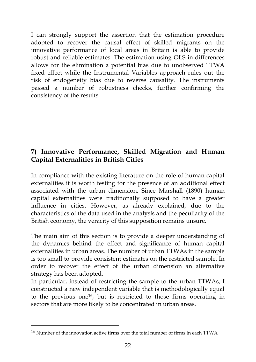I can strongly support the assertion that the estimation procedure adopted to recover the causal effect of skilled migrants on the innovative performance of local areas in Britain is able to provide robust and reliable estimates. The estimation using OLS in differences allows for the elimination a potential bias due to unobserved TTWA fixed effect while the Instrumental Variables approach rules out the risk of endogeneity bias due to reverse causality. The instruments passed a number of robustness checks, further confirming the consistency of the results.

## **7) Innovative Performance, Skilled Migration and Human Capital Externalities in British Cities**

In compliance with the existing literature on the role of human capital externalities it is worth testing for the presence of an additional effect associated with the urban dimension. Since Marshall (1890) human capital externalities were traditionally supposed to have a greater influence in cities. However, as already explained, due to the characteristics of the data used in the analysis and the peculiarity of the British economy, the veracity of this supposition remains unsure.

The main aim of this section is to provide a deeper understanding of the dynamics behind the effect and significance of human capital externalities in urban areas. The number of urban TTWAs in the sample is too small to provide consistent estimates on the restricted sample. In order to recover the effect of the urban dimension an alternative strategy has been adopted.

In particular, instead of restricting the sample to the urban TTWAs, I constructed a new independent variable that is methodologically equal to the previous one<sup>16</sup>, but is restricted to those firms operating in sectors that are more likely to be concentrated in urban areas.

<sup>16</sup> Number of the innovation active firms over the total number of firms in each TTWA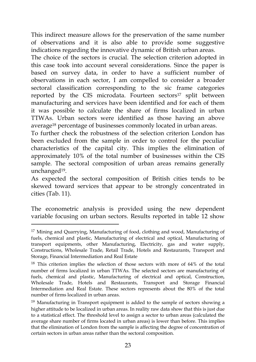This indirect measure allows for the preservation of the same number of observations and it is also able to provide some suggestive indications regarding the innovative dynamic of British urban areas.

The choice of the sectors is crucial. The selection criterion adopted in this case took into account several considerations. Since the paper is based on survey data, in order to have a sufficient number of observations in each sector, I am compelled to consider a broader sectoral classification corresponding to the sic frame categories reported by the CIS microdata. Fourteen sectors<sup>17</sup> split between manufacturing and services have been identified and for each of them it was possible to calculate the share of firms localized in urban TTWAs. Urban sectors were identified as those having an above average<sup>18</sup> percentage of businesses commonly located in urban areas.

To further check the robustness of the selection criterion London has been excluded from the sample in order to control for the peculiar characteristics of the capital city. This implies the elimination of approximately 10% of the total number of businesses within the CIS sample. The sectoral composition of urban areas remains generally unchanged<sup>19</sup> .

As expected the sectoral composition of British cities tends to be skewed toward services that appear to be strongly concentrated in cities (Tab. 11).

The econometric analysis is provided using the new dependent variable focusing on urban sectors. Results reported in table 12 show

<sup>&</sup>lt;sup>17</sup> Mining and Quarrying, Manufacturing of food, clothing and wood, Manufacturing of fuels, chemical and plastic, Manufacturing of electrical and optical, Manufacturing of transport equipments, other Manufacturing, Electricity, gas and water supply, Constructions, Wholesale Trade, Retail Trade, Hotels and Restaurants, Transport and Storage, Financial Intermediation and Real Estate

<sup>18</sup> This criterion implies the selection of those sectors with more of 64% of the total number of firms localized in urban TTWAs. The selected sectors are manufacturing of fuels, chemical and plastic, Manufacturing of electrical and optical, Construction, Wholesale Trade, Hotels and Restaurants, Transport and Storage Financial Intermediation and Real Estate. These sectors represents about the 80% of the total number of firms localized in urban areas.

<sup>&</sup>lt;sup>19</sup> Manufacturing in Transport equipment is added to the sample of sectors showing a higher attitude to be localized in urban areas. In reality raw data show that this is just due to a statistical effect. The threshold level to assign a sector to urban areas (calculated the average share number of firms located in urban areas) is lower than before. This implies that the elimination of London from the sample is affecting the degree of concentration of certain sectors in urban areas rather than the sectoral composition.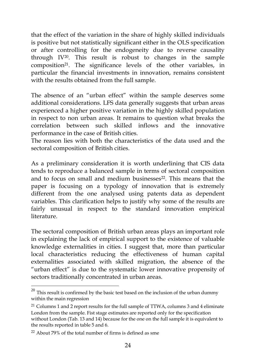that the effect of the variation in the share of highly skilled individuals is positive but not statistically significant either in the OLS specification or after controlling for the endogeneity due to reverse causality through IV<sup>20</sup>. This result is robust to changes in the sample composition<sup>21</sup>. The significance levels of the other variables, in particular the financial investments in innovation, remains consistent with the results obtained from the full sample.

The absence of an "urban effect" within the sample deserves some additional considerations. LFS data generally suggests that urban areas experienced a higher positive variation in the highly skilled population in respect to non urban areas. It remains to question what breaks the correlation between such skilled inflows and the innovative performance in the case of British cities.

The reason lies with both the characteristics of the data used and the sectoral composition of British cities.

As a preliminary consideration it is worth underlining that CIS data tends to reproduce a balanced sample in terms of sectoral composition and to focus on small and medium businesses<sup>22</sup>. This means that the paper is focusing on a typology of innovation that is extremely different from the one analysed using patents data as dependent variables. This clarification helps to justify why some of the results are fairly unusual in respect to the standard innovation empirical literature.

The sectoral composition of British urban areas plays an important role in explaining the lack of empirical support to the existence of valuable knowledge externalities in cities. I suggest that, more than particular local characteristics reducing the effectiveness of human capital externalities associated with skilled migration, the absence of the "urban effect" is due to the systematic lower innovative propensity of sectors traditionally concentrated in urban areas.

 $20$  This result is confirmed by the basic test based on the inclusion of the urban dummy within the main regression

<sup>&</sup>lt;sup>21</sup> Columns 1 and 2 report results for the full sample of TTWA, columns 3 and 4 eliminate London from the sample. Fist stage estimates are reported only for the specification without London (Tab. 13 and 14) because for the one on the full sample it is equivalent to the results reported in table 5 and 6.

<sup>22</sup> About 79% of the total number of firms is defined as sme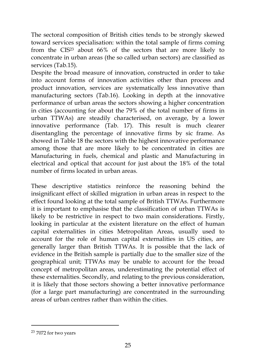The sectoral composition of British cities tends to be strongly skewed toward services specialisation: within the total sample of firms coming from the CIS<sup>23</sup> about 66% of the sectors that are more likely to concentrate in urban areas (the so called urban sectors) are classified as services (Tab.15).

Despite the broad measure of innovation, constructed in order to take into account forms of innovation activities other than process and product innovation, services are systematically less innovative than manufacturing sectors (Tab.16). Looking in depth at the innovative performance of urban areas the sectors showing a higher concentration in cities (accounting for about the 79% of the total number of firms in urban TTWAs) are steadily characterised, on average, by a lower innovative performance (Tab. 17). This result is much clearer disentangling the percentage of innovative firms by sic frame. As showed in Table 18 the sectors with the highest innovative performance among those that are more likely to be concentrated in cities are Manufacturing in fuels, chemical and plastic and Manufacturing in electrical and optical that account for just about the 18% of the total number of firms located in urban areas.

These descriptive statistics reinforce the reasoning behind the insignificant effect of skilled migration in urban areas in respect to the effect found looking at the total sample of British TTWAs. Furthermore it is important to emphasise that the classification of urban TTWAs is likely to be restrictive in respect to two main considerations. Firstly, looking in particular at the existent literature on the effect of human capital externalities in cities Metropolitan Areas, usually used to account for the role of human capital externalities in US cities, are generally larger than British TTWAs. It is possible that the lack of evidence in the British sample is partially due to the smaller size of the geographical unit; TTWAs may be unable to account for the broad concept of metropolitan areas, underestimating the potential effect of these externalities. Secondly, and relating to the previous consideration, it is likely that those sectors showing a better innovative performance (for a large part manufacturing) are concentrated in the surrounding areas of urban centres rather than within the cities.

<sup>23</sup> 7072 for two years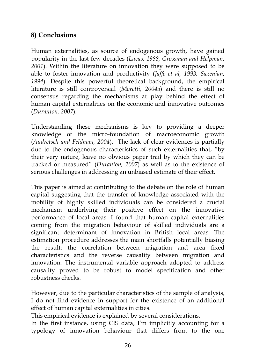## **8) Conclusions**

Human externalities, as source of endogenous growth, have gained popularity in the last few decades (*Lucas, 1988, Grossman and Helpman, 2001*). Within the literature on innovation they were supposed to be able to foster innovation and productivity (*Jaffe et al, 1993, Saxenian, 1994*). Despite this powerful theoretical background, the empirical literature is still controversial (*Moretti, 2004a*) and there is still no consensus regarding the mechanisms at play behind the effect of human capital externalities on the economic and innovative outcomes (*Duranton, 2007*).

Understanding these mechanisms is key to providing a deeper knowledge of the micro-foundation of macroeconomic growth (*Audretsch and Feldman, 2004*). The lack of clear evidences is partially due to the endogenous characteristics of such externalities that, "by their very nature, leave no obvious paper trail by which they can be tracked or measured" (*Duranton, 2007*) as well as to the existence of serious challenges in addressing an unbiased estimate of their effect.

This paper is aimed at contributing to the debate on the role of human capital suggesting that the transfer of knowledge associated with the mobility of highly skilled individuals can be considered a crucial mechanism underlying their positive effect on the innovative performance of local areas. I found that human capital externalities coming from the migration behaviour of skilled individuals are a significant determinant of innovation in British local areas. The estimation procedure addresses the main shortfalls potentially biasing the result: the correlation between migration and area fixed characteristics and the reverse causality between migration and innovation. The instrumental variable approach adopted to address causality proved to be robust to model specification and other robustness checks.

However, due to the particular characteristics of the sample of analysis, I do not find evidence in support for the existence of an additional effect of human capital externalities in cities.

This empirical evidence is explained by several considerations.

In the first instance, using CIS data, I'm implicitly accounting for a typology of innovation behaviour that differs from to the one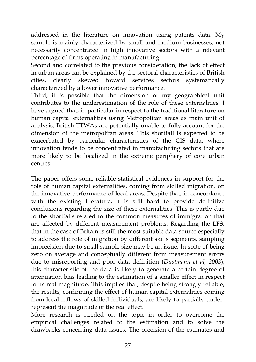addressed in the literature on innovation using patents data. My sample is mainly characterized by small and medium businesses, not necessarily concentrated in high innovative sectors with a relevant percentage of firms operating in manufacturing.

Second and correlated to the previous consideration, the lack of effect in urban areas can be explained by the sectoral characteristics of British cities, clearly skewed toward services sectors systematically characterized by a lower innovative performance.

Third, it is possible that the dimension of my geographical unit contributes to the underestimation of the role of these externalities. I have argued that, in particular in respect to the traditional literature on human capital externalities using Metropolitan areas as main unit of analysis, British TTWAs are potentially unable to fully account for the dimension of the metropolitan areas. This shortfall is expected to be exacerbated by particular characteristics of the CIS data, where innovation tends to be concentrated in manufacturing sectors that are more likely to be localized in the extreme periphery of core urban centres.

The paper offers some reliable statistical evidences in support for the role of human capital externalities, coming from skilled migration, on the innovative performance of local areas. Despite that, in concordance with the existing literature, it is still hard to provide definitive conclusions regarding the size of these externalities. This is partly due to the shortfalls related to the common measures of immigration that are affected by different measurement problems. Regarding the LFS, that in the case of Britain is still the most suitable data source especially to address the role of migration by different skills segments, sampling imprecision due to small sample size may be an issue. In spite of being zero on average and conceptually different from measurement errors due to misreporting and poor data definition (*Dustmann et al, 2003*), this characteristic of the data is likely to generate a certain degree of attenuation bias leading to the estimation of a smaller effect in respect to its real magnitude. This implies that, despite being strongly reliable, the results, confirming the effect of human capital externalities coming from local inflows of skilled individuals, are likely to partially underrepresent the magnitude of the real effect.

More research is needed on the topic in order to overcome the empirical challenges related to the estimation and to solve the drawbacks concerning data issues. The precision of the estimates and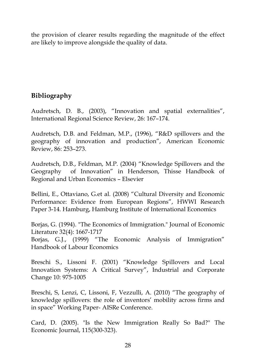the provision of clearer results regarding the magnitude of the effect are likely to improve alongside the quality of data.

### **Bibliography**

Audretsch, D. B., (2003), "Innovation and spatial externalities", International Regional Science Review, 26: 167–174.

Audretsch, D.B. and Feldman, M.P., (1996), "R&D spillovers and the geography of innovation and production", American Economic Review, 86: 253–273.

Audretsch, D.B., Feldman, M.P. (2004) "Knowledge Spillovers and the Geography of Innovation" in Henderson, Thisse Handbook of Regional and Urban Economics – Elsevier

Bellini, E., Ottaviano, G.et al. (2008) "Cultural Diversity and Economic Performance: Evidence from European Regions", HWWI Research Paper 3-14. Hamburg, Hamburg Institute of International Economics

Borjas, G. (1994). "The Economics of Immigration." Journal of Economic Literature 32(4): 1667-1717

Borjas, G.J., (1999) "The Economic Analysis of Immigration" Handbook of Labour Economics

Breschi S., Lissoni F. (2001) "Knowledge Spillovers and Local Innovation Systems: A Critical Survey", Industrial and Corporate Change 10: 975-1005

Breschi, S, Lenzi, C, Lissoni, F, Vezzulli, A. (2010) "The geography of knowledge spillovers: the role of inventors' mobility across firms and in space" Working Paper- AISRe Conference.

Card, D. (2005). "Is the New Immigration Really So Bad?" The Economic Journal, 115(300-323).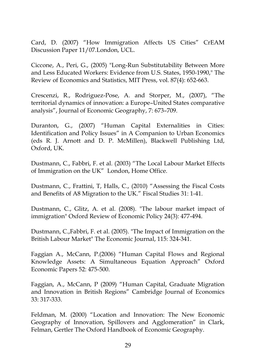Card, D. (2007) "How Immigration Affects US Cities" CrEAM Discussion Paper 11/07.London, UCL.

Ciccone, A., Peri, G., (2005) "Long-Run Substitutability Between More and Less Educated Workers: Evidence from U.S. States, 1950-1990," The Review of Economics and Statistics, MIT Press, vol. 87(4): 652-663.

Crescenzi, R., Rodriguez-Pose, A. and Storper, M., (2007), "The territorial dynamics of innovation: a Europe–United States comparative analysis", Journal of Economic Geography, 7: 673–709.

Duranton, G., (2007) "Human Capital Externalities in Cities: Identification and Policy Issues" in A Companion to Urban Economics (eds R. J. Arnott and D. P. McMillen), Blackwell Publishing Ltd, Oxford, UK.

Dustmann, C., Fabbri, F. et al. (2003) "The Local Labour Market Effects of Immigration on the UK" London, Home Office.

Dustmann, C., Frattini, T, Halls, C., (2010) "Assessing the Fiscal Costs and Benefits of A8 Migration to the UK." Fiscal Studies 31: 1-41.

Dustmann, C., Glitz, A. et al. (2008). "The labour market impact of immigration" Oxford Review of Economic Policy 24(3): 477-494.

Dustmann, C.,Fabbri, F. et al. (2005). "The Impact of Immigration on the British Labour Market" The Economic Journal, 115: 324-341.

Faggian A., McCann, P.(2006) "Human Capital Flows and Regional Knowledge Assets: A Simultaneous Equation Approach" Oxford Economic Papers 52: 475-500.

Faggian, A., McCann, P (2009) "Human Capital, Graduate Migration and Innovation in British Regions" Cambridge Journal of Economics 33: 317-333.

Feldman, M. (2000) "Location and Innovation: The New Economic Geography of Innovation, Spillovers and Agglomeration" in Clark, Felman, Gertler The Oxford Handbook of Economic Geography.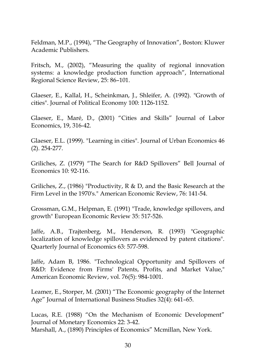Feldman, M.P., (1994), "The Geography of Innovation", Boston: Kluwer Academic Publishers.

Fritsch, M., (2002), "Measuring the quality of regional innovation systems: a knowledge production function approach", International Regional Science Review, 25: 86–101.

Glaeser, E., Kallal, H., Scheinkman, J., Shleifer, A. (1992). "Growth of cities". Journal of Political Economy 100: 1126-1152.

Glaeser, E., Maré, D., (2001) "Cities and Skills" Journal of Labor Economics, 19, 316-42.

Glaeser, E.L. (1999). "Learning in cities". Journal of Urban Economics 46 (2). 254-277.

Griliches, Z. (1979) "The Search for R&D Spillovers" Bell Journal of Economics 10: 92-116.

Griliches, Z., (1986) "Productivity, R & D, and the Basic Research at the Firm Level in the 1970's." American Economic Review, 76: 141-54.

Grossman, G.M., Helpman, E. (1991) "Trade, knowledge spillovers, and growth" European Economic Review 35: 517-526.

Jaffe, A.B., Trajtenberg, M., Henderson, R. (1993) "Geographic localization of knowledge spillovers as evidenced by patent citations". Quarterly Journal of Economics 63: 577-598.

Jaffe, Adam B, 1986. "Technological Opportunity and Spillovers of R&D: Evidence from Firms' Patents, Profits, and Market Value," American Economic Review, vol. 76(5): 984-1001.

Leamer, E., Storper, M. (2001) "The Economic geography of the Internet Age" Journal of International Business Studies 32(4): 641–65.

Lucas, R.E. (1988) "On the Mechanism of Economic Development" Journal of Monetary Economics 22: 3-42.

Marshall, A., (1890) Principles of Economics" Mcmillan, New York.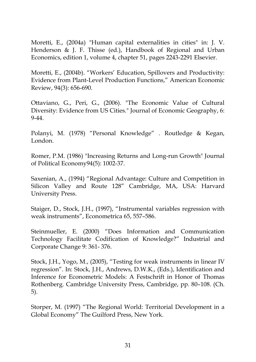Moretti, E., (2004a) "Human capital externalities in cities" in: J. V. Henderson & J. F. Thisse (ed.), Handbook of Regional and Urban Economics, edition 1, volume 4, chapter 51, pages 2243-2291 Elsevier.

Moretti, E., (2004b). "Workers' Education, Spillovers and Productivity: Evidence from Plant-Level Production Functions," American Economic Review, 94(3): 656-690.

Ottaviano, G., Peri, G., (2006). "The Economic Value of Cultural Diversity: Evidence from US Cities." Journal of Economic Geography, 6: 9-44.

Polanyi, M. (1978) "Personal Knowledge" . Routledge & Kegan, London.

Romer, P.M. (1986) "Increasing Returns and Long-run Growth" Journal of Political Economy94(5): 1002-37.

Saxenian, A., (1994) "Regional Advantage: Culture and Competition in Silicon Valley and Route 128" Cambridge, MA, USA: Harvard University Press.

Staiger, D., Stock, J.H., (1997), "Instrumental variables regression with weak instruments", Econometrica 65, 557–586.

Steinmueller, E. (2000) "Does Information and Communication Technology Facilitate Codification of Knowledge?" Industrial and Corporate Change 9: 361- 376.

Stock, J.H., Yogo, M., (2005), "Testing for weak instruments in linear IV regression". In: Stock, J.H., Andrews, D.W.K., (Eds.), Identification and Inference for Econometric Models: A Festschrift in Honor of Thomas Rothenberg. Cambridge University Press, Cambridge, pp. 80–108. (Ch. 5).

Storper, M. (1997) "The Regional World: Territorial Development in a Global Economy" The Guilford Press, New York.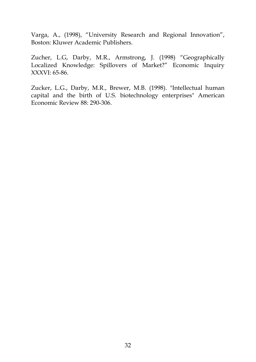Varga, A., (1998), "University Research and Regional Innovation", Boston: Kluwer Academic Publishers.

Zucher, L.G, Darby, M.R., Armstrong, J. (1998) "Geographically Localized Knowledge: Spillovers of Market?" Economic Inquiry XXXVI: 65-86.

Zucker, L.G., Darby, M.R., Brewer, M.B. (1998). "Intellectual human capital and the birth of U.S. biotechnology enterprises" American Economic Review 88: 290-306.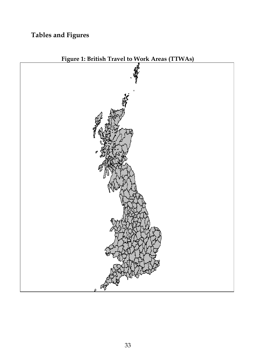# **Tables and Figures**



**Figure 1: British Travel to Work Areas (TTWAs)**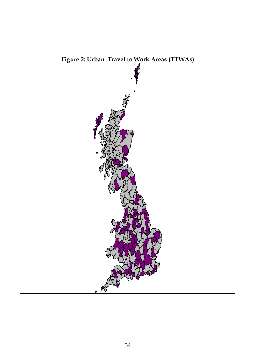

**Figure 2: Urban Travel to Work Areas (TTWAs)**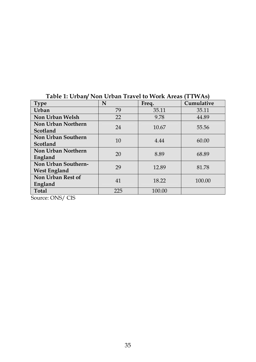| <b>Type</b>         | N   | Freq.  | Cumulative |
|---------------------|-----|--------|------------|
| Urban               | 79  | 35.11  | 35.11      |
| Non Urban Welsh     | 22  | 9.78   | 44.89      |
| Non Urban Northern  | 24  | 10.67  | 55.56      |
| Scotland            |     |        |            |
| Non Urban Southern  | 10  | 4.44   | 60.00      |
| Scotland            |     |        |            |
| Non Urban Northern  | 20  | 8.89   | 68.89      |
| England             |     |        |            |
| Non Urban Southern- | 29  | 12.89  | 81.78      |
| <b>West England</b> |     |        |            |
| Non Urban Rest of   | 41  | 18.22  | 100.00     |
| England             |     |        |            |
| <b>Total</b>        | 225 | 100.00 |            |

## **Table 1: Urban/ Non Urban Travel to Work Areas (TTWAs)**

Source: ONS/ CIS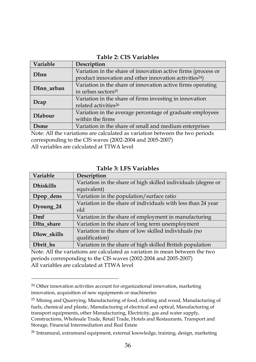| Table 2: CIS Variables |
|------------------------|
|------------------------|

| Variable       | Description                                                        |
|----------------|--------------------------------------------------------------------|
| <b>DInn</b>    | Variation in the share of innovation active firms (process or      |
|                | product innovation and other innovation activities <sup>24</sup> ) |
| DInn urban     | Variation in the share of innovation active firms operating        |
|                | in urban sectors <sup>25</sup>                                     |
|                | Variation in the share of firms investing in innovation            |
| Dcap           | related activities <sup>26</sup>                                   |
| <b>Dlabour</b> | Variation in the average percentage of graduate employees          |
|                | within the firms                                                   |
| Dsme           | Variation in the share of small and medium enterprises             |
| .              | .                                                                  |

Note: All the variations are calculated as variation between the two periods corresponding to the CIS waves (2002-2004 and 2005-2007) All variables are calculated at TTWA level

**Variable Description Dhiskills** Variation in the share of high skilled individuals (degree or equivalent) **Dpop\_dens** Variation in the population/surface ratio **Dyoung\_24** Variation in the share of individuals with less than 24 year old **Dmf** Variation in the share of employment in manufacturing **Dltu\_share** Variation in the share of long term unemployment **Dlow\_skills** Variation in the share of low skilled individuals (no qualification) **Dbrit\_hs** Variation in the share of high skilled British population

**Table 3: LFS Variables** 

Note: All the variations are calculated as variation in mean between the two periods corresponding to the CIS waves (2002-2004 and 2005-2007) All variables are calculated at TTWA level

-

<sup>&</sup>lt;sup>24</sup> Other innovation activities account for organizational innovation, marketing innovation, acquisition of new equipments or machineries

<sup>25</sup> Mining and Quarrying, Manufacturing of food, clothing and wood, Manufacturing of fuels, chemical and plastic, Manufacturing of electrical and optical, Manufacturing of transport equipments, other Manufacturing, Electricity, gas and water supply, Constructions, Wholesale Trade, Retail Trade, Hotels and Restaurants, Transport and Storage, Financial Intermediation and Real Estate

<sup>26</sup> Intramural, extramural equipment, external knowledge, training, design, marketing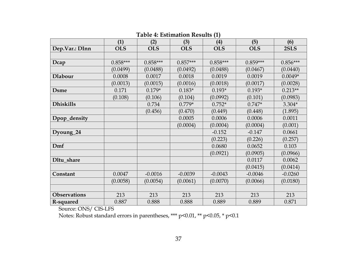|                     | (1)        | (2)        | (3)        | (4)        | (5)        | (6)        |
|---------------------|------------|------------|------------|------------|------------|------------|
| Dep.Var.: DInn      | <b>OLS</b> | <b>OLS</b> | <b>OLS</b> | <b>OLS</b> | <b>OLS</b> | 2SLS       |
|                     |            |            |            |            |            |            |
| Dcap                | $0.858***$ | $0.858***$ | $0.857***$ | $0.858***$ | $0.859***$ | $0.856***$ |
|                     | (0.0499)   | (0.0488)   | (0.0492)   | (0.0488)   | (0.0467)   | (0.0440)   |
| <b>Dlabour</b>      | 0.0008     | 0.0017     | 0.0018     | 0.0019     | 0.0019     | $0.0049*$  |
|                     | (0.0013)   | (0.0015)   | (0.0016)   | (0.0018)   | (0.0017)   | (0.0028)   |
| <b>D</b> sme        | 0.171      | $0.179*$   | $0.183*$   | $0.193*$   | $0.193*$   | $0.213**$  |
|                     | (0.108)    | (0.106)    | (0.104)    | (0.0992)   | (0.101)    | (0.0983)   |
| <b>Dhiskills</b>    |            | 0.734      | $0.779*$   | $0.752*$   | $0.747*$   | $3.304*$   |
|                     |            | (0.456)    | (0.470)    | (0.449)    | (0.448)    | (1.895)    |
| Dpop_density        |            |            | 0.0005     | 0.0006     | 0.0006     | 0.0011     |
|                     |            |            | (0.0004)   | (0.0004)   | (0.0004)   | (0.001)    |
| Dyoung_24           |            |            |            | $-0.152$   | $-0.147$   | 0.0661     |
|                     |            |            |            | (0.223)    | (0.226)    | (0.257)    |
| Dmf                 |            |            |            | 0.0680     | 0.0652     | 0.103      |
|                     |            |            |            | (0.0921)   | (0.0905)   | (0.0966)   |
| Dltu share          |            |            |            |            | 0.0117     | 0.0062     |
|                     |            |            |            |            | (0.0415)   | (0.0414)   |
| Constant            | 0.0047     | $-0.0016$  | $-0.0039$  | $-0.0043$  | $-0.0046$  | $-0.0260$  |
|                     | (0.0058)   | (0.0054)   | (0.0061)   | (0.0070)   | (0.0066)   | (0.0180)   |
|                     |            |            |            |            |            |            |
| <b>Observations</b> | 213        | 213        | 213        | 213        | 213        | 213        |
| R-squared           | 0.887      | 0.888      | 0.888      | 0.889      | 0.889      | 0.871      |

**Table 4: Estimation Results (1)** 

Source: ONS/ CIS-LFS

Notes: Robust standard errors in parentheses, \*\*\* p<0.01, \*\* p<0.05, \* p<0.1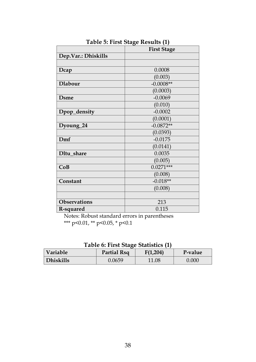|                     | <sub>0</sub> - - - -<br><b>First Stage</b> |
|---------------------|--------------------------------------------|
| Dep.Var.: Dhiskills |                                            |
|                     |                                            |
| Dcap                | 0.0008                                     |
|                     | (0.003)                                    |
| <b>Dlabour</b>      | $-0.0008**$                                |
|                     | (0.0003)                                   |
| <b>D</b> sme        | $-0.0069$                                  |
|                     | (0.010)                                    |
| Dpop_density        | $-0.0002$                                  |
|                     | (0.0001)                                   |
| Dyoung_24           | $-0.0872**$                                |
|                     | (0.0393)                                   |
| Dmf                 | $-0.0175$                                  |
|                     | (0.0141)                                   |
| Dltu share          | 0.0035                                     |
|                     | (0.005)                                    |
| CoB                 | $0.0271***$                                |
|                     | (0.008)                                    |
| Constant            | $-0.018**$                                 |
|                     | (0.008)                                    |
|                     |                                            |
| Observations        | 213                                        |
| R-squared           | 0.115                                      |

**Table 5: First Stage Results (1)** 

Notes: Robust standard errors in parentheses \*\*\* p<0.01, \*\* p<0.05, \* p<0.1

|  |  |  | Table 6: First Stage Statistics (1) |  |  |
|--|--|--|-------------------------------------|--|--|
|--|--|--|-------------------------------------|--|--|

| <b>Variable</b>  | Partial Rsq | F(1,204) | P-value |
|------------------|-------------|----------|---------|
| <b>Dhiskills</b> | 0.0659      | 11.08    | 0.000   |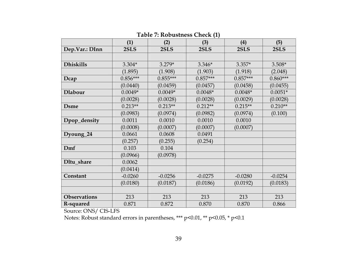|                     | (1)        | (2)        | (3)        | (4)        | (5)        |
|---------------------|------------|------------|------------|------------|------------|
| Dep.Var.: DInn      | 2SLS       | 2SLS       | 2SLS       | 2SLS       | 2SLS       |
|                     |            |            |            |            |            |
| <b>Dhiskills</b>    | $3.304*$   | $3.279*$   | $3.346*$   | $3.357*$   | $3.508*$   |
|                     | (1.895)    | (1.908)    | (1.903)    | (1.918)    | (2.048)    |
| Dcap                | $0.856***$ | $0.855***$ | $0.857***$ | $0.857***$ | $0.860***$ |
|                     | (0.0440)   | (0.0459)   | (0.0457)   | (0.0458)   | (0.0455)   |
| <b>Dlabour</b>      | $0.0049*$  | $0.0049*$  | $0.0048*$  | $0.0048*$  | $0.0051*$  |
|                     | (0.0028)   | (0.0028)   | (0.0028)   | (0.0029)   | (0.0028)   |
| <b>D</b> sme        | $0.213**$  | $0.213**$  | $0.212**$  | $0.215**$  | $0.210**$  |
|                     | (0.0983)   | (0.0974)   | (0.0982)   | (0.0974)   | (0.100)    |
| Dpop_density        | 0.0011     | 0.0010     | 0.0010     | 0.0010     |            |
|                     | (0.0008)   | (0.0007)   | (0.0007)   | (0.0007)   |            |
| Dyoung_24           | 0.0661     | 0.0608     | 0.0491     |            |            |
|                     | (0.257)    | (0.255)    | (0.254)    |            |            |
| Dmf                 | 0.103      | 0.104      |            |            |            |
|                     | (0.0966)   | (0.0978)   |            |            |            |
| Dltu share          | 0.0062     |            |            |            |            |
|                     | (0.0414)   |            |            |            |            |
| Constant            | $-0.0260$  | $-0.0256$  | $-0.0275$  | $-0.0280$  | $-0.0254$  |
|                     | (0.0180)   | (0.0187)   | (0.0186)   | (0.0192)   | (0.0183)   |
|                     |            |            |            |            |            |
| <b>Observations</b> | 213        | 213        | 213        | 213        | 213        |
| R-squared           | 0.871      | 0.872      | 0.870      | 0.870      | 0.866      |

**Table 7: Robustness Check (1)** 

Source: ONS/ CIS-LFS

Notes: Robust standard errors in parentheses, \*\*\* p<0.01, \*\* p<0.05, \* p<0.1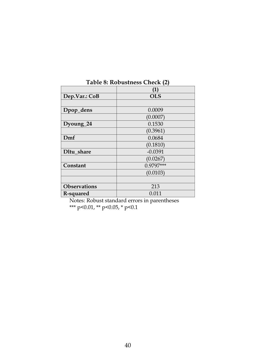|                     | (1)         |
|---------------------|-------------|
| Dep.Var.: CoB       | <b>OLS</b>  |
|                     |             |
| Dpop_dens           | 0.0009      |
|                     | (0.0007)    |
| Dyoung_24           | 0.1530      |
|                     | (0.3961)    |
| Dmf                 | 0.0684      |
|                     | (0.1810)    |
| Dltu share          | $-0.0391$   |
|                     | (0.0267)    |
| Constant            | $0.9797***$ |
|                     | (0.0103)    |
|                     |             |
| <b>Observations</b> | 213         |
| R-squared           | 0.011       |

**Table 8: Robustness Check (2)** 

Notes: Robust standard errors in parentheses \*\*\* p<0.01, \*\* p<0.05, \* p<0.1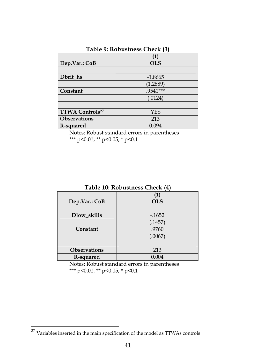|                                    | [1]        |
|------------------------------------|------------|
| Dep.Var.: CoB                      | <b>OLS</b> |
|                                    |            |
| Dbrit_hs                           | $-1.8665$  |
|                                    | (1.2889)   |
| Constant                           | .9541***   |
|                                    | (.0124)    |
|                                    |            |
| <b>TTWA Controls</b> <sup>27</sup> | <b>YES</b> |
| <b>Observations</b>                | 213        |
| R-squared                          | 0.094      |

#### **Table 9: Robustness Check (3)**

Notes: Robust standard errors in parentheses \*\*\* p<0.01, \*\* p<0.05, \* p<0.1

| Dep.Var.: CoB       | <b>OLS</b> |  |
|---------------------|------------|--|
|                     |            |  |
| Dlow skills         | $-1652$    |  |
|                     | (.1457)    |  |
| Constant            | .9760      |  |
|                     | (.0067)    |  |
|                     |            |  |
| <b>Observations</b> | 213        |  |
| R-squared           | 0.004      |  |

**Table 10: Robustness Check (4)** 

Notes: Robust standard errors in parentheses \*\*\* p<0.01, \*\* p<0.05, \* p<0.1

-

 $27$  Variables inserted in the main specification of the model as TTWAs controls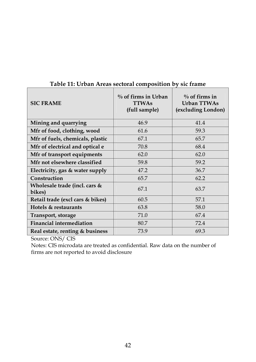| <b>SIC FRAME</b>                        | $\%$ of firms in Urban<br><b>TTWAs</b><br>(full sample) | $\%$ of firms in<br><b>Urban TTWAs</b><br>(excluding London) |
|-----------------------------------------|---------------------------------------------------------|--------------------------------------------------------------|
| Mining and quarrying                    | 46.9                                                    | 41.4                                                         |
| Mfr of food, clothing, wood             | 61.6                                                    | 59.3                                                         |
| Mfr of fuels, chemicals, plastic        | 67.1                                                    | 65.7                                                         |
| Mfr of electrical and optical e         | 70.8                                                    | 68.4                                                         |
| Mfr of transport equipments             | 62.0                                                    | 62.0                                                         |
| Mfr not elsewhere classified            | 59.8                                                    | 59.2                                                         |
| Electricity, gas & water supply         | 47.2                                                    | 36.7                                                         |
| Construction                            | 65.7                                                    | 62.2                                                         |
| Wholesale trade (incl. cars &<br>bikes) | 67.1                                                    | 63.7                                                         |
| Retail trade (excl cars & bikes)        | 60.5                                                    | 57.1                                                         |
| Hotels & restaurants                    | 63.8                                                    | 58.0                                                         |
| Transport, storage                      | 71.0                                                    | 67.4                                                         |
| <b>Financial intermediation</b>         | 80.7                                                    | 72.4                                                         |
| Real estate, renting & business         | 73.9                                                    | 69.3                                                         |

#### **Table 11: Urban Areas sectoral composition by sic frame**

Source: ONS/ CIS

Notes: CIS microdata are treated as confidential. Raw data on the number of firms are not reported to avoid disclosure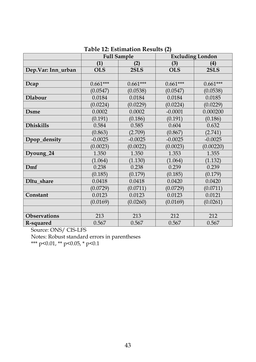|                     | <b>Full Sample</b> |            | <b>Excluding London</b> |            |
|---------------------|--------------------|------------|-------------------------|------------|
|                     | (1)                | (2)        | (3)                     | (4)        |
| Dep.Var: Inn_urban  | <b>OLS</b>         | 2SLS       | <b>OLS</b>              | 2SLS       |
|                     |                    |            |                         |            |
| Dcap                | $0.661***$         | $0.661***$ | $0.661***$              | $0.661***$ |
|                     | (0.0547)           | (0.0538)   | (0.0547)                | (0.0538)   |
| <b>Dlabour</b>      | 0.0184             | 0.0184     | 0.0184                  | 0.0185     |
|                     | (0.0224)           | (0.0229)   | (0.0224)                | (0.0229)   |
| <b>D</b> sme        | 0.0002             | 0.0002     | $-0.0001$               | 0.000200   |
|                     | (0.191)            | (0.186)    | (0.191)                 | (0.186)    |
| <b>Dhiskills</b>    | 0.584              | 0.585      | 0.604                   | 0.632      |
|                     | (0.863)            | (2.709)    | (0.867)                 | (2.741)    |
| Dpop_density        | $-0.0025$          | $-0.0025$  | $-0.0025$               | $-0.0025$  |
|                     | (0.0023)           | (0.0022)   | (0.0023)                | (0.00220)  |
| Dyoung_24           | 1.350              | 1.350      | 1.353                   | 1.355      |
|                     | (1.064)            | (1.130)    | (1.064)                 | (1.132)    |
| Dmf                 | 0.238              | 0.238      | 0.239                   | 0.239      |
|                     | (0.185)            | (0.179)    | (0.185)                 | (0.179)    |
| Dltu share          | 0.0418             | 0.0418     | 0.0420                  | 0.0420     |
|                     | (0.0729)           | (0.0711)   | (0.0729)                | (0.0711)   |
| Constant            | 0.0123             | 0.0123     | 0.0123                  | 0.0121     |
|                     | (0.0169)           | (0.0260)   | (0.0169)                | (0.0261)   |
|                     |                    |            |                         |            |
| <b>Observations</b> | 213                | 213        | 212                     | 212        |
| R-squared           | 0.567              | 0.567      | 0.567                   | 0.567      |

#### **Table 12: Estimation Results (2)**

Source: ONS/ CIS-LFS

Notes: Robust standard errors in parentheses

\*\*\* p<0.01, \*\* p<0.05, \* p<0.1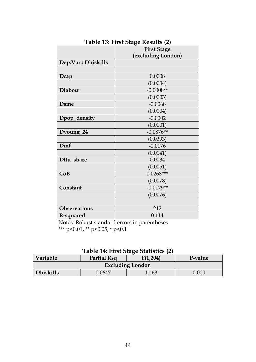|                     | <b>First Stage</b> |
|---------------------|--------------------|
|                     | (excluding London) |
| Dep.Var.: Dhiskills |                    |
|                     |                    |
| Dcap                | 0.0008             |
|                     | (0.0034)           |
| <b>Dlabour</b>      | $-0.0008**$        |
|                     | (0.0003)           |
| <b>D</b> sme        | $-0.0068$          |
|                     | (0.0104)           |
| Dpop_density        | $-0.0002$          |
|                     | (0.0001)           |
| Dyoung_24           | $-0.0876**$        |
|                     | (0.0393)           |
| Dmf                 | $-0.0176$          |
|                     | (0.0141)           |
| Dltu share          | 0.0034             |
|                     | (0.0051)           |
| CoB                 | $0.0268***$        |
|                     | (0.0078)           |
| Constant            | $-0.0179**$        |
|                     | (0.0076)           |
|                     |                    |
| <b>Observations</b> | 212                |
| R-squared           | 0.114              |

**Table 13: First Stage Results (2)** 

Notes: Robust standard errors in parentheses \*\*\* p<0.01, \*\* p<0.05, \* p<0.1

|  |  |  | Table 14: First Stage Statistics (2) |  |
|--|--|--|--------------------------------------|--|
|--|--|--|--------------------------------------|--|

| Variable<br>F(1,204)<br>Partial Rsq<br>P-value |        |       |       |  |
|------------------------------------------------|--------|-------|-------|--|
| <b>Excluding London</b>                        |        |       |       |  |
| <b>Dhiskills</b>                               | 0.0647 | 11.63 | 0.000 |  |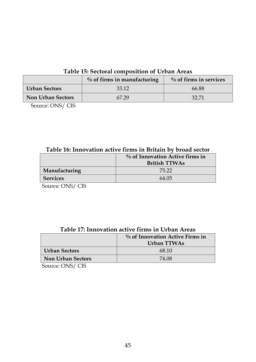### **Table 15: Sectoral composition of Urban Areas**

| $\%$ of firms in manufacturing |       | $\%$ of firms in services |  |
|--------------------------------|-------|---------------------------|--|
| <b>Urban Sectors</b>           | 33.12 | 66.88                     |  |
| <b>Non Urban Sectors</b>       | 67.29 | 32.71                     |  |

Source: ONS/ CIS

## **Table 16: Innovation active firms in Britain by broad sector**

|                 | $\%$ of Innovation Active firms in<br><b>British TTWAs</b> |
|-----------------|------------------------------------------------------------|
| Manufacturing   | 75.22                                                      |
| <b>Services</b> | 64.05                                                      |

Source: ONS/ CIS

#### **Table 17: Innovation active firms in Urban Areas**

|                          | $\%$ of Innovation Active Firms in<br>Urban TTWAs |
|--------------------------|---------------------------------------------------|
| <b>Urban Sectors</b>     | 68.10                                             |
| <b>Non Urban Sectors</b> | 74.08                                             |

Source: ONS/ CIS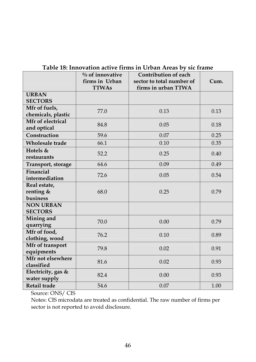|                                       | $%$ of innovative<br>firms in Urban | Contribution of each<br>sector to total number of | Cum. |
|---------------------------------------|-------------------------------------|---------------------------------------------------|------|
|                                       | <b>TTWAs</b>                        | firms in urban TTWA                               |      |
| <b>URBAN</b><br><b>SECTORS</b>        |                                     |                                                   |      |
| Mfr of fuels,<br>chemicals, plastic   | 77.0                                | 0.13                                              | 0.13 |
| Mfr of electrical<br>and optical      | 84.8                                | 0.05                                              | 0.18 |
| Construction                          | 59.6                                | 0.07                                              | 0.25 |
| <b>Wholesale</b> trade                | 66.1                                | 0.10                                              | 0.35 |
| Hotels $&$<br>restaurants             | 52.2                                | 0.25                                              | 0.40 |
| Transport, storage                    | 64.6                                | 0.09                                              | 0.49 |
| Financial<br>intermediation           | 72.6                                | 0.05                                              | 0.54 |
| Real estate,<br>renting &<br>business | 68.0                                | 0.25                                              | 0.79 |
| <b>NON URBAN</b><br><b>SECTORS</b>    |                                     |                                                   |      |
| Mining and<br>quarrying               | 70.0                                | 0.00                                              | 0.79 |
| Mfr of food,<br>clothing, wood        | 76.2                                | 0.10                                              | 0.89 |
| Mfr of transport<br>equipments        | 79.8                                | 0.02                                              | 0.91 |
| Mfr not elsewhere<br>classified       | 81.6                                | 0.02                                              | 0.93 |
| Electricity, gas &<br>water supply    | 82.4                                | 0.00                                              | 0.93 |
| Retail trade                          | 54.6                                | 0.07                                              | 1.00 |

## **Table 18: Innovation active firms in Urban Areas by sic frame**

Source: ONS/ CIS

Notes: CIS microdata are treated as confidential. The raw number of firms per sector is not reported to avoid disclosure.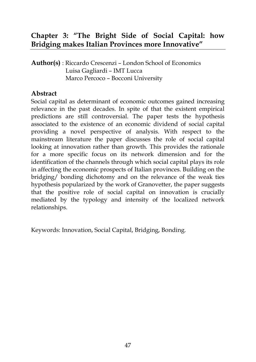# **Chapter 3: "The Bright Side of Social Capital: how Bridging makes Italian Provinces more Innovative"**

**Author(s)** : Riccardo Crescenzi – London School of Economics Luisa Gagliardi – IMT Lucca Marco Percoco – Bocconi University

## **Abstract**

Social capital as determinant of economic outcomes gained increasing relevance in the past decades. In spite of that the existent empirical predictions are still controversial. The paper tests the hypothesis associated to the existence of an economic dividend of social capital providing a novel perspective of analysis. With respect to the mainstream literature the paper discusses the role of social capital looking at innovation rather than growth. This provides the rationale for a more specific focus on its network dimension and for the identification of the channels through which social capital plays its role in affecting the economic prospects of Italian provinces. Building on the bridging/ bonding dichotomy and on the relevance of the weak ties hypothesis popularized by the work of Granovetter, the paper suggests that the positive role of social capital on innovation is crucially mediated by the typology and intensity of the localized network relationships.

Keywords: Innovation, Social Capital, Bridging, Bonding.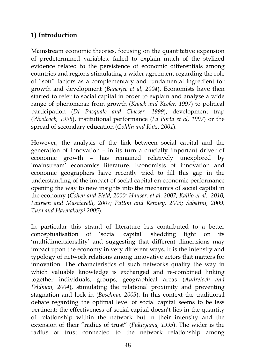## **1) Introduction**

Mainstream economic theories, focusing on the quantitative expansion of predetermined variables, failed to explain much of the stylized evidence related to the persistence of economic differentials among countries and regions stimulating a wider agreement regarding the role of "soft" factors as a complementary and fundamental ingredient for growth and development (*Banerjee et al, 2004*). Economists have then started to refer to social capital in order to explain and analyse a wide range of phenomena: from growth (*Knack and Keefer, 1997*) to political participation (*Di Pasquale and Glaeser, 1999*), development trap (*Woolcock, 1998*), institutional performance (*La Porta et al, 1997*) or the spread of secondary education (*Goldin and Katz, 2001*).

However, the analysis of the link between social capital and the generation of innovation – in its turn a crucially important driver of economic growth – has remained relatively unexplored by 'mainstream' economics literature. Economists of innovation and economic geographers have recently tried to fill this gap in the understanding of the impact of social capital on economic performance opening the way to new insights into the mechanics of social capital in the economy (*Cohen and Field, 2000; Hauser, et al. 2007; Kallio et al., 2010; Laursen and Masciarelli, 2007; Patton and Kenney, 2003; Sabatini, 2009; Tura and Harmakorpi 2005*).

In particular this strand of literature has contributed to a better conceptualisation of 'social capital' shedding light on its 'multidimensionality' and suggesting that different dimensions may impact upon the economy in very different ways. It is the intensity and typology of network relations among innovative actors that matters for innovation. The characteristics of such networks qualify the way in which valuable knowledge is exchanged and re-combined linking together individuals, groups, geographical areas (*Audretsch and Feldman, 2004*), stimulating the relational proximity and preventing stagnation and lock in (*Boschma, 2005*). In this context the traditional debate regarding the optimal level of social capital seems to be less pertinent: the effectiveness of social capital doesn't lies in the quantity of relationship within the network but in their intensity and the extension of their "radius of trust" (*Fukuyama, 1995*). The wider is the radius of trust connected to the network relationship among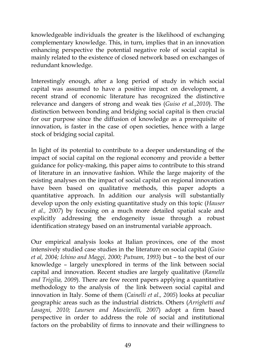knowledgeable individuals the greater is the likelihood of exchanging complementary knowledge. This, in turn, implies that in an innovation enhancing perspective the potential negative role of social capital is mainly related to the existence of closed network based on exchanges of redundant knowledge.

Interestingly enough, after a long period of study in which social capital was assumed to have a positive impact on development, a recent strand of economic literature has recognized the distinctive relevance and dangers of strong and weak ties (*Guiso et al.,2010*). The distinction between bonding and bridging social capital is then crucial for our purpose since the diffusion of knowledge as a prerequisite of innovation, is faster in the case of open societies, hence with a large stock of bridging social capital.

In light of its potential to contribute to a deeper understanding of the impact of social capital on the regional economy and provide a better guidance for policy-making, this paper aims to contribute to this strand of literature in an innovative fashion. While the large majority of the existing analyses on the impact of social capital on regional innovation have been based on qualitative methods, this paper adopts a quantitative approach. In addition our analysis will substantially develop upon the only existing quantitative study on this topic (*Hauser et al., 2007*) by focusing on a much more detailed spatial scale and explicitly addressing the endogeneity issue through a robust identification strategy based on an instrumental variable approach.

Our empirical analysis looks at Italian provinces, one of the most intensively studied case studies in the literature on social capital (*Guiso et al, 2004; Ichino and Maggi, 2000; Putnam, 1993*) but – to the best of our knowledge – largely unexplored in terms of the link between social capital and innovation. Recent studies are largely qualitative (*Ramella and Trigilia, 2009*). There are few recent papers applying a quantitative methodology to the analysis of the link between social capital and innovation in Italy. Some of them (*Cainelli et al., 2005*) looks at peculiar geographic areas such as the industrial districts. Others (*Arrighetti and Lasagni, 2010; Laursen and Masciarelli, 2007*) adopt a firm based perspective in order to address the role of social and institutional factors on the probability of firms to innovate and their willingness to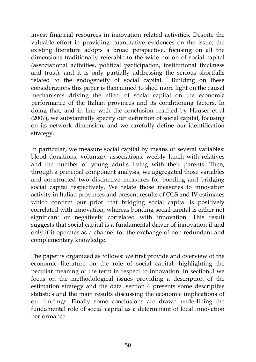invest financial resources in innovation related activities. Despite the valuable effort in providing quantitative evidences on the issue, the existing literature adopts a broad perspective, focusing on all the dimensions traditionally referable to the wide notion of social capital (associational activities, political participation, institutional thickness and trust), and it is only partially addressing the serious shortfalls related to the endogeneity of social capital. Building on these considerations this paper is then aimed to shed more light on the causal mechanisms driving the effect of social capital on the economic performance of the Italian provinces and its conditioning factors. In doing that, and in line with the conclusion reached by Hauser et al (2007), we substantially specify our definition of social capital, focusing on its network dimension, and we carefully define our identification strategy.

In particular, we measure social capital by means of several variables: blood donations, voluntary associations, weekly lunch with relatives and the number of young adults living with their parents. Then, through a principal component analysis, we aggregated those variables and constructed two distinctive measures for bonding and bridging social capital respectively. We relate those measures to innovation activity in Italian provinces and present results of OLS and IV estimates which confirm our prior that bridging social capital is positively correlated with innovation, whereas bonding social capital is either not significant or negatively correlated with innovation. This result suggests that social capital is a fundamental driver of innovation if and only if it operates as a channel for the exchange of non redundant and complementary knowledge.

The paper is organized as follows: we first provide and overview of the economic literature on the role of social capital, highlighting the peculiar meaning of the term in respect to innovation. In section 3 we focus on the methodological issues providing a description of the estimation strategy and the data. section 4 presents some descriptive statistics and the main results discussing the economic implications of our findings. Finally some conclusions are drawn underlining the fundamental role of social capital as a determinant of local innovation performance.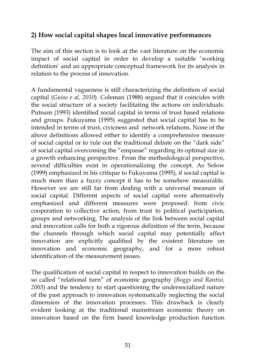## **2) How social capital shapes local innovative performances**

The aim of this section is to look at the vast literature on the economic impact of social capital in order to develop a suitable 'working definition' and an appropriate conceptual framework for its analysis in relation to the process of innovation.

A fundamental vagueness is still characterizing the definition of social capital (*Guiso e al, 2010*). Coleman (1988) argued that it coincides with the social structure of a society facilitating the actions on individuals. Putnam (1993) identified social capital in terms of trust based relations and groups. Fukuyama (1995) suggested that social capital has to be intended in terms of trust, civicness and network relations. None of the above definitions allowed either to identify a comprehensive measure of social capital or to rule out the traditional debate on the "dark side" of social capital overcoming the "empasse" regarding its optimal size in a growth enhancing perspective. From the methodological perspective, several difficulties exist in operationalizing the concept. As Solow (1999) emphasized in his critique to Fukuyama (1995), if social capital is much more than a fuzzy concept it has to be somehow measurable. However we are still far from dealing with a universal measure of social capital. Different aspects of social capital were alternatively emphasized and different measures were proposed: from civic cooperation to collective action, from trust to political participation, groups and networking. The analysis of the link between social capital and innovation calls for both a rigorous definition of the term, because the channels through which social capital may potentially affect innovation are explicitly qualified by the existent literature on innovation and economic geography, and for a more robust identification of the measurement issues.

The qualification of social capital in respect to innovation builds on the so called "relational turn" of economic geography (*Boggs and Rantisi, 2003*) and the tendency to start questioning the undersocialized nature of the past approach to innovation systematically neglecting the social dimension of the innovation processes. This drawback is clearly evident looking at the traditional mainstream economic theory on innovation based on the firm based knowledge production function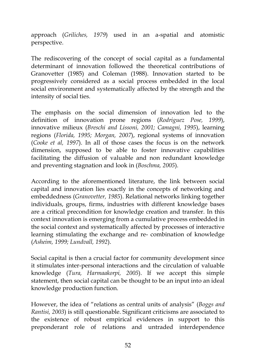approach (*Griliches, 1979*) used in an a-spatial and atomistic perspective.

The rediscovering of the concept of social capital as a fundamental determinant of innovation followed the theoretical contributions of Granovetter (1985) and Coleman (1988). Innovation started to be progressively considered as a social process embedded in the local social environment and systematically affected by the strength and the intensity of social ties.

The emphasis on the social dimension of innovation led to the definition of innovation prone regions (*Rodriguez Pose, 1999*), innovative milieux (*Breschi and Lissoni, 2001; Camagni, 1995*), learning regions (*Florida, 1995; Morgan, 2007*), regional systems of innovation (*Cooke et al, 1997*). In all of those cases the focus is on the network dimension, supposed to be able to foster innovative capabilities facilitating the diffusion of valuable and non redundant knowledge and preventing stagnation and look in (*Boschma, 2005*).

According to the aforementioned literature, the link between social capital and innovation lies exactly in the concepts of networking and embeddedness (*Granovetter, 1985*). Relational networks linking together individuals, groups, firms, industries with different knowledge bases are a critical precondition for knowledge creation and transfer. In this context innovation is emerging from a cumulative process embedded in the social context and systematically affected by processes of interactive learning stimulating the exchange and re- combination of knowledge (*Asheim, 1999; Lundvall, 1992*).

Social capital is then a crucial factor for community development since it stimulates inter-personal interactions and the circulation of valuable knowledge (*Tura, Harmaakorpi, 2005*). If we accept this simple statement, then social capital can be thought to be an input into an ideal knowledge production function.

However, the idea of "relations as central units of analysis" (*Boggs and Rantisi, 2003*) is still questionable. Significant criticisms are associated to the existence of robust empirical evidences in support to this preponderant role of relations and untraded interdependence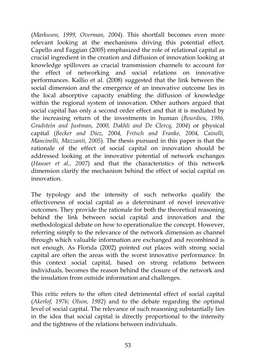(*Markusen, 1999, Overman, 2004*). This shortfall becomes even more relevant looking at the mechanisms driving this potential effect. Capello and Faggian (2005) emphasized the role of relational capital as crucial ingredient in the creation and diffusion of innovation looking at knowledge spillovers as crucial transmission channels to account for the effect of networking and social relations on innovative performances. Kallio et al. (2008) suggested that the link between the social dimension and the emergence of an innovative outcome lies in the local absorptive capacity enabling the diffusion of knowledge within the regional system of innovation. Other authors argued that social capital has only a second order effect and that it is mediated by the increasing return of the investments in human (*Bourdieu, 1986, Gradstein and Justman, 2000, Dakhli and De Clercq, 2004*) or physical capital (*Becker and Diez, 2004, Fritsch and Franke, 2004, Cainelli, Mancinelli, Mazzanti, 2005*). The thesis pursued in this paper is that the rationale of the effect of social capital on innovation should be addressed looking at the innovative potential of network exchanges (*Hauser et al., 2007*) and that the characteristics of this network dimension clarify the mechanism behind the effect of social capital on innovation.

The typology and the intensity of such networks qualify the effectiveness of social capital as a determinant of novel innovative outcomes. They provide the rationale for both the theoretical reasoning behind the link between social capital and innovation and the methodological debate on how to operationalize the concept. However, referring simply to the relevance of the network dimension as channel through which valuable information are exchanged and recombined is not enough. As Florida (2002) pointed out places with strong social capital are often the areas with the worst innovative performance. In this context social capital, based on strong relations between individuals, becomes the reason behind the closure of the network and the insulation from outside information and challenges.

This critic refers to the often cited detrimental effect of social capital (*Akerlof, 1976; Olson, 1982*) and to the debate regarding the optimal level of social capital. The relevance of such reasoning substantially lies in the idea that social capital is directly proportional to the intensity and the tightness of the relations between individuals.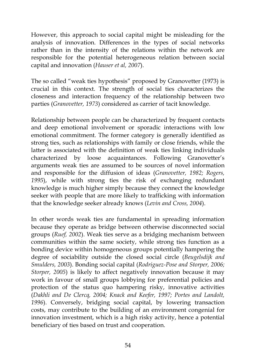However, this approach to social capital might be misleading for the analysis of innovation. Differences in the types of social networks rather than in the intensity of the relations within the network are responsible for the potential heterogeneous relation between social capital and innovation (*Hauser et al, 2007*).

The so called "weak ties hypothesis" proposed by Granovetter (1973) is crucial in this context. The strength of social ties characterizes the closeness and interaction frequency of the relationship between two parties (*Granovetter, 1973*) considered as carrier of tacit knowledge.

Relationship between people can be characterized by frequent contacts and deep emotional involvement or sporadic interactions with low emotional commitment. The former category is generally identified as strong ties, such as relationships with family or close friends, while the latter is associated with the definition of weak ties linking individuals characterized by loose acquaintances. Following Granovetter's arguments weak ties are assumed to be sources of novel information and responsible for the diffusion of ideas (*Granovetter, 1982; Rogers, 1995*), while with strong ties the risk of exchanging redundant knowledge is much higher simply because they connect the knowledge seeker with people that are more likely to trafficking with information that the knowledge seeker already knows (*Levin and Cross, 2004*).

In other words weak ties are fundamental in spreading information because they operate as bridge between otherwise disconnected social groups (*Ruef, 2002*). Weak ties serve as a bridging mechanism between communities within the same society, while strong ties function as a bonding device within homogeneous groups potentially hampering the degree of sociability outside the closed social circle (*Beugelsdijk and Smulders, 2003*). Bonding social capital (*Rodriguez-Pose and Storper, 2006; Storper, 2005*) is likely to affect negatively innovation because it may work in favour of small groups lobbying for preferential policies and protection of the status quo hampering risky, innovative activities (*Dakhli and De Clercq, 2004; Knack and Keefer, 1997; Portes and Landolt, 1996*). Conversely, bridging social capital, by lowering transaction costs, may contribute to the building of an environment congenial for innovation investment, which is a high risky activity, hence a potential beneficiary of ties based on trust and cooperation.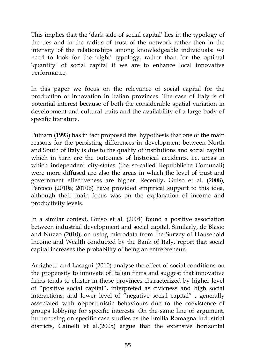This implies that the 'dark side of social capital' lies in the typology of the ties and in the radius of trust of the network rather then in the intensity of the relationships among knowledgeable individuals: we need to look for the 'right' typology, rather than for the optimal 'quantity' of social capital if we are to enhance local innovative performance,

In this paper we focus on the relevance of social capital for the production of innovation in Italian provinces. The case of Italy is of potential interest because of both the considerable spatial variation in development and cultural traits and the availability of a large body of specific literature.

Putnam (1993) has in fact proposed the hypothesis that one of the main reasons for the persisting differences in development between North and South of Italy is due to the quality of institutions and social capital which in turn are the outcomes of historical accidents, i.e. areas in which independent city-states (the so-called Repubbliche Comunali) were more diffused are also the areas in which the level of trust and government effectiveness are higher. Recently, Guiso et al. (2008), Percoco (2010a; 2010b) have provided empirical support to this idea, although their main focus was on the explanation of income and productivity levels.

In a similar context, Guiso et al. (2004) found a positive association between industrial development and social capital. Similarly, de Blasio and Nuzzo (2010), on using microdata from the Survey of Household Income and Wealth conducted by the Bank of Italy, report that social capital increases the probability of being an entrepreneur.

Arrighetti and Lasagni (2010) analyse the effect of social conditions on the propensity to innovate of Italian firms and suggest that innovative firms tends to cluster in those provinces characterized by higher level of "positive social capital", interpreted as civicness and high social interactions, and lower level of "negative social capital" , generally associated with opportunistic behaviours due to the coexistence of groups lobbying for specific interests. On the same line of argument, but focusing on specific case studies as the Emilia Romagna industrial districts, Cainelli et al.(2005) argue that the extensive horizontal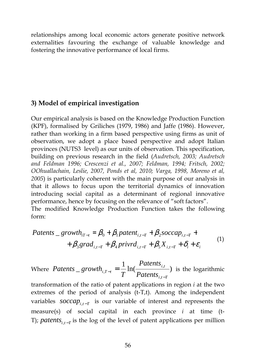relationships among local economic actors generate positive network externalities favouring the exchange of valuable knowledge and fostering the innovative performance of local firms.

### **3) Model of empirical investigation**

Our empirical analysis is based on the Knowledge Production Function (KPF), formalised by Griliches (1979, 1986) and Jaffe (1986). However, rather than working in a firm based perspective using firms as unit of observation, we adopt a place based perspective and adopt Italian provinces (NUTS3 level) as our units of observation. This specification, building on previous research in the field (*Audretsch, 2003; Audretsch and Feldman 1996; Crescenzi et al., 2007; Feldman, 1994; Fritsch, 2002; OOhuallachain, Leslie, 2007, Ponds et al, 2010; Varga, 1998, Moreno et al, 2005*) is particularly coherent with the main purpose of our analysis in that it allows to focus upon the territorial dynamics of innovation introducing social capital as a determinant of regional innovative performance, hence by focusing on the relevance of "soft factors". The modified Knowledge Production Function takes the following form:

$$
Patents \_\t\t\t growth_{iT-t} = \beta_0 + \beta_1 patent_{i,t-T} + \beta_2 soccap_{i,t-T} ++ \beta_3 grad_{i,t-T} + \beta_4 privrd_{i,t-T} + \beta_5 X_{i,t-T} + \delta_i + \varepsilon_i
$$
\n(1)

Where  $Patents \_growth_{i,T-t} = \frac{1}{T} \ln(\frac{Patents_{i,t}}{R_{i,t-t-t}})$ , ,  $i, t - T$ *ti Patents Patents*  $\frac{1}{T}$ In( $\frac{1}{\text{Paths}_{i,t-T}}$ ) is the logarithmic

transformation of the ratio of patent applications in region *i* at the two extremes of the period of analysis (t-T,t). Among the independent variables  $score_{i,t-T}$  is our variable of interest and represents the measure(s) of social capital in each province *i* at time (t-T); patents<sub>i,t-T</sub> is the log of the level of patent applications per million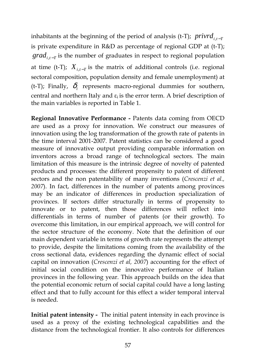inhabitants at the beginning of the period of analysis (t-T);  $\text{privrd}_{i,t-T}$ is private expenditure in R&D as percentage of regional GDP at (t-T);  $grad_{i,t-T}$  is the number of graduates in respect to regional population at time (t-T);  $X_{i,t-T}$  is the matrix of additional controls (i.e. regional sectoral composition, population density and female unemployment) at (t-T); Finally,  $\delta$ <sub>i</sub> represents macro-regional dummies for southern, central and northern Italy and  $\varepsilon_i$  is the error term. A brief description of the main variables is reported in Table 1.

**Regional Innovative Performance -** Patents data coming from OECD are used as a proxy for innovation. We construct our measures of innovation using the log transformation of the growth rate of patents in the time interval 2001-2007. Patent statistics can be considered a good measure of innovative output providing comparable information on inventors across a broad range of technological sectors. The main limitation of this measure is the intrinsic degree of novelty of patented products and processes: the different propensity to patent of different sectors and the non patentability of many inventions (*Crescenzi et al., 2007*). In fact, differences in the number of patents among provinces may be an indicator of differences in production specialization of provinces. If sectors differ structurally in terms of propensity to innovate or to patent, then those differences will reflect into differentials in terms of number of patents (or their growth). To overcome this limitation, in our empirical approach, we will control for the sector structure of the economy. Note that the definition of our main dependent variable in terms of growth rate represents the attempt to provide, despite the limitations coming from the availability of the cross sectional data, evidences regarding the dynamic effect of social capital on innovation (*Crescenzi et al, 2007*) accounting for the effect of initial social condition on the innovative performance of Italian provinces in the following year. This approach builds on the idea that the potential economic return of social capital could have a long lasting effect and that to fully account for this effect a wider temporal interval is needed.

**Initial patent intensity -** The initial patent intensity in each province is used as a proxy of the existing technological capabilities and the distance from the technological frontier. It also controls for differences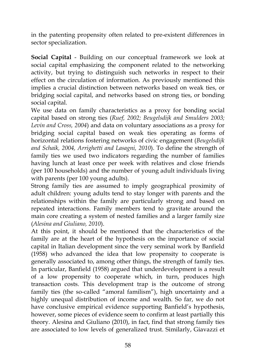in the patenting propensity often related to pre-existent differences in sector specialization.

**Social Capital** - Building on our conceptual framework we look at social capital emphasizing the component related to the networking activity, but trying to distinguish such networks in respect to their effect on the circulation of information. As previously mentioned this implies a crucial distinction between networks based on weak ties, or bridging social capital, and networks based on strong ties, or bonding social capital.

We use data on family characteristics as a proxy for bonding social capital based on strong ties (*Ruef, 2002; Beugelsdijk and Smulders 2003; Levin and Cross, 2004*) and data on voluntary associations as a proxy for bridging social capital based on weak ties operating as forms of horizontal relations fostering networks of civic engagement (*Beugelsdijk and Schaik, 2004, Arrighetti and Lasagni, 2010*). To define the strength of family ties we used two indicators regarding the number of families having lunch at least once per week with relatives and close friends (per 100 households) and the number of young adult individuals living with parents (per 100 young adults).

Strong family ties are assumed to imply geographical proximity of adult children: young adults tend to stay longer with parents and the relationships within the family are particularly strong and based on repeated interactions. Family members tend to gravitate around the main core creating a system of nested families and a larger family size (*Alesina and Giuliano, 2010*).

At this point, it should be mentioned that the characteristics of the family are at the heart of the hypothesis on the importance of social capital in Italian development since the very seminal work by Banfield (1958) who advanced the idea that low propensity to cooperate is generally associated to, among other things, the strength of family ties. In particular, Banfield (1958) argued that underdevelopment is a result of a low propensity to cooperate which, in turn, produces high transaction costs. This development trap is the outcome of strong family ties (the so-called "amoral familism"), high uncertainty and a highly unequal distribution of income and wealth. So far, we do not have conclusive empirical evidence supporting Banfield's hypothesis, however, some pieces of evidence seem to confirm at least partially this theory. Alesina and Giuliano (2010), in fact, find that strong family ties are associated to low levels of generalized trust. Similarly, Giavazzi et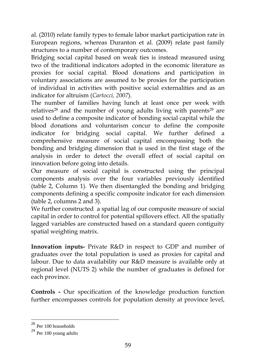al. (2010) relate family types to female labor market participation rate in European regions, whereas Duranton et al. (2009) relate past family structures to a number of contemporary outcomes.

Bridging social capital based on weak ties is instead measured using two of the traditional indicators adopted in the economic literature as proxies for social capital. Blood donations and participation in voluntary associations are assumed to be proxies for the participation of individual in activities with positive social externalities and as an indicator for altruism (*Cartocci, 2007*).

The number of families having lunch at least once per week with relatives<sup>28</sup> and the number of young adults living with parents<sup>29</sup> are used to define a composite indicator of bonding social capital while the blood donations and voluntarism concur to define the composite indicator for bridging social capital. We further defined a comprehensive measure of social capital encompassing both the bonding and bridging dimension that is used in the first stage of the analysis in order to detect the overall effect of social capital on innovation before going into details.

Our measure of social capital is constructed using the principal components analysis over the four variables previously identified (table 2, Column 1). We then disentangled the bonding and bridging components defining a specific composite indicator for each dimension (table 2, columns 2 and 3).

We further constructed a spatial lag of our composite measure of social capital in order to control for potential spillovers effect. All the spatially lagged variables are constructed based on a standard queen contiguity spatial weighting matrix.

**Innovation inputs-** Private R&D in respect to GDP and number of graduates over the total population is used as proxies for capital and labour. Due to data availability our R&D measure is available only at regional level (NUTS 2) while the number of graduates is defined for each province.

**Controls -** Our specification of the knowledge production function further encompasses controls for population density at province level,

-

 $28$  Per 100 households

 $29$  Per 100 young adults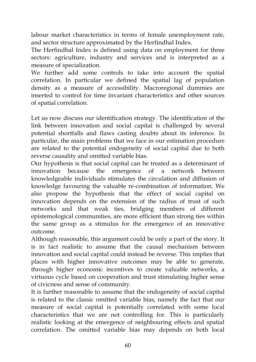labour market characteristics in terms of female unemployment rate, and sector structure approximated by the Herfindhal Index.

The Herfindhal Index is defined using data on employment for three sectors: agriculture, industry and services and is interpreted as a measure of specialization.

We further add some controls to take into account the spatial correlation. In particular we defined the spatial lag of population density as a measure of accessibility. Macroregional dummies are inserted to control for time invariant characteristics and other sources of spatial correlation.

Let us now discuss our identification strategy. The identification of the link between innovation and social capital is challenged by several potential shortfalls and flaws casting doubts about its inference. In particular, the main problems that we face in our estimation procedure are related to the potential endogeneity of social capital due to both reverse causality and omitted variable bias.

Our hypothesis is that social capital can be treated as a determinant of innovation because the emergence of a network between knowledgeable individuals stimulates the circulation and diffusion of knowledge favouring the valuable re-combination of information. We also propose the hypothesis that the effect of social capital on innovation depends on the extension of the radius of trust of such networks and that weak ties, bridging members of different epistemological communities, are more efficient than strong ties within the same group as a stimulus for the emergence of an innovative outcome.

Although reasonable, this argument could be only a part of the story. It is in fact realistic to assume that the causal mechanism between innovation and social capital could instead be reverse. This implies that places with higher innovative outcomes may be able to generate, through higher economic incentives to create valuable networks, a virtuous cycle based on cooperation and trust stimulating higher sense of civicness and sense of community.

It is further reasonable to assume that the endogeneity of social capital is related to the classic omitted variable bias, namely the fact that our measure of social capital is potentially correlated with some local characteristics that we are not controlling for. This is particularly realistic looking at the emergence of neighbouring effects and spatial correlation. The omitted variable bias may depends on both local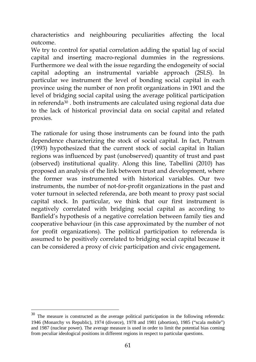characteristics and neighbouring peculiarities affecting the local outcome.

We try to control for spatial correlation adding the spatial lag of social capital and inserting macro-regional dummies in the regressions. Furthermore we deal with the issue regarding the endogeneity of social capital adopting an instrumental variable approach (2SLS). In particular we instrument the level of bonding social capital in each province using the number of non profit organizations in 1901 and the level of bridging social capital using the average political participation in referenda<sup>30</sup> . both instruments are calculated using regional data due to the lack of historical provincial data on social capital and related proxies.

The rationale for using those instruments can be found into the path dependence characterizing the stock of social capital. In fact, Putnam (1993) hypothesized that the current stock of social capital in Italian regions was influenced by past (unobserved) quantity of trust and past (observed) institutional quality. Along this line, Tabellini (2010) has proposed an analysis of the link between trust and development, where the former was instrumented with historical variables. Our two instruments, the number of not-for-profit organizations in the past and voter turnout in selected referenda, are both meant to proxy past social capital stock. In particular, we think that our first instrument is negatively correlated with bridging social capital as according to Banfield's hypothesis of a negative correlation between family ties and cooperative behaviour (in this case approximated by the number of not for profit organizations). The political participation to referenda is assumed to be positively correlated to bridging social capital because it can be considered a proxy of civic participation and civic engagement**.** 

-

The measure is constructed as the average political participation in the following referenda: 1946 (Monarchy vs Republic), 1974 (divorce), 1978 and 1981 (abortion), 1985 ("scala mobile") and 1987 (nuclear power). The average measure is used in order to limit the potential bias coming from peculiar ideological positions in different regions in respect to particular questions.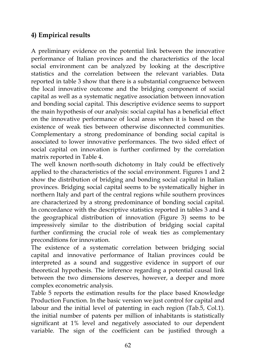## **4) Empirical results**

A preliminary evidence on the potential link between the innovative performance of Italian provinces and the characteristics of the local social environment can be analyzed by looking at the descriptive statistics and the correlation between the relevant variables. Data reported in table 3 show that there is a substantial congruence between the local innovative outcome and the bridging component of social capital as well as a systematic negative association between innovation and bonding social capital. This descriptive evidence seems to support the main hypothesis of our analysis: social capital has a beneficial effect on the innovative performance of local areas when it is based on the existence of weak ties between otherwise disconnected communities. Complementary a strong predominance of bonding social capital is associated to lower innovative performances. The two sided effect of social capital on innovation is further confirmed by the correlation matrix reported in Table 4.

The well known north-south dichotomy in Italy could be effectively applied to the characteristics of the social environment. Figures 1 and 2 show the distribution of bridging and bonding social capital in Italian provinces. Bridging social capital seems to be systematically higher in northern Italy and part of the central regions while southern provinces are characterized by a strong predominance of bonding social capital. In concordance with the descriptive statistics reported in tables 3 and 4 the geographical distribution of innovation (Figure 3) seems to be impressively similar to the distribution of bridging social capital further confirming the crucial role of weak ties as complementary preconditions for innovation.

The existence of a systematic correlation between bridging social capital and innovative performance of Italian provinces could be interpreted as a sound and suggestive evidence in support of our theoretical hypothesis. The inference regarding a potential causal link between the two dimensions deserves, however, a deeper and more complex econometric analysis.

Table 5 reports the estimation results for the place based Knowledge Production Function. In the basic version we just control for capital and labour and the initial level of patenting in each region (Tab.5, Col.1). the initial number of patents per million of inhabitants is statistically significant at 1% level and negatively associated to our dependent variable. The sign of the coefficient can be justified through a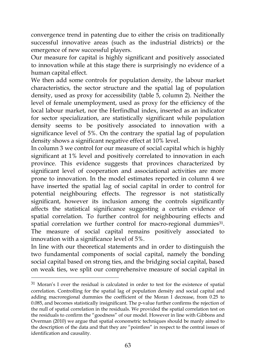convergence trend in patenting due to either the crisis on traditionally successful innovative areas (such as the industrial districts) or the emergence of new successful players.

Our measure for capital is highly significant and positively associated to innovation while at this stage there is surprisingly no evidence of a human capital effect.

We then add some controls for population density, the labour market characteristics, the sector structure and the spatial lag of population density, used as proxy for accessibility (table 5, column 2). Neither the level of female unemployment, used as proxy for the efficiency of the local labour market, nor the Herfindhal index, inserted as an indicator for sector specialization, are statistically significant while population density seems to be positively associated to innovation with a significance level of 5%. On the contrary the spatial lag of population density shows a significant negative effect at 10% level.

In column 3 we control for our measure of social capital which is highly significant at 1% level and positively correlated to innovation in each province. This evidence suggests that provinces characterized by significant level of cooperation and associational activities are more prone to innovation. In the model estimates reported in column 4 we have inserted the spatial lag of social capital in order to control for potential neighbouring effects. The regressor is not statistically significant, however its inclusion among the controls significantly affects the statistical significance suggesting a certain evidence of spatial correlation. To further control for neighbouring effects and spatial correlation we further control for macro-regional dummies<sup>31</sup>. The measure of social capital remains positively associated to innovation with a significance level of 5%.

In line with our theoretical statements and in order to distinguish the two fundamental components of social capital, namely the bonding social capital based on strong ties, and the bridging social capital, based on weak ties, we split our comprehensive measure of social capital in

-

<sup>31</sup> Moran's I over the residual is calculated in order to test for the existence of spatial correlation. Controlling for the spatial lag of population density and social capital and adding macroregional dummies the coefficient of the Moran I decrease, from 0.25 to 0.085, and becomes statistically insignificant. The p-value further confirms the rejection of the null of spatial correlation in the residuals. We provided the spatial correlation test on the residuals to confirm the "goodness" of our model. However in line with Gibbons and Overman (2010) we argue that spatial econometric techniques should be manly aimed to the description of the data and that they are "pointless" in respect to the central issues of identification and causality.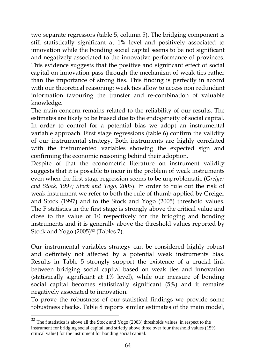two separate regressors (table 5, column 5). The bridging component is still statistically significant at 1% level and positively associated to innovation while the bonding social capital seems to be not significant and negatively associated to the innovative performance of provinces. This evidence suggests that the positive and significant effect of social capital on innovation pass through the mechanism of weak ties rather than the importance of strong ties. This finding is perfectly in accord with our theoretical reasoning: weak ties allow to access non redundant information favouring the transfer and re-combination of valuable knowledge.

The main concern remains related to the reliability of our results. The estimates are likely to be biased due to the endogeneity of social capital. In order to control for a potential bias we adopt an instrumental variable approach. First stage regressions (table 6) confirm the validity of our instrumental strategy. Both instruments are highly correlated with the instrumented variables showing the expected sign and confirming the economic reasoning behind their adoption.

Despite of that the econometric literature on instrument validity suggests that it is possible to incur in the problem of weak instruments even when the first stage regression seems to be unproblematic (*Greiger and Stock, 1997; Stock and Yogo, 2005*). In order to rule out the risk of weak instrument we refer to both the rule of thumb applied by Greiger and Stock (1997) and to the Stock and Yogo (2005) threshold values. The F statistics in the first stage is strongly above the critical value and close to the value of 10 respectively for the bridging and bonding instruments and it is generally above the threshold values reported by Stock and Yogo (2005)<sup>32</sup> (Tables 7).

Our instrumental variables strategy can be considered highly robust and definitely not affected by a potential weak instruments bias. Results in Table 5 strongly support the existence of a crucial link between bridging social capital based on weak ties and innovation (statistically significant at 1% level), while our measure of bonding social capital becomes statistically significant (5%) and it remains negatively associated to innovation.

To prove the robustness of our statistical findings we provide some robustness checks. Table 8 reports similar estimates of the main model,

-

 $32$  The f statistics is above all the Stock and Yogo (2003) thresholds values in respect to the instrument for bridging social capital, and strictly above three over four threshold values (15% critical value) for the instrument for bonding social capital.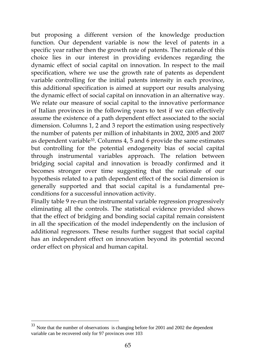but proposing a different version of the knowledge production function. Our dependent variable is now the level of patents in a specific year rather then the growth rate of patents. The rationale of this choice lies in our interest in providing evidences regarding the dynamic effect of social capital on innovation. In respect to the mail specification, where we use the growth rate of patents as dependent variable controlling for the initial patents intensity in each province, this additional specification is aimed at support our results analysing the dynamic effect of social capital on innovation in an alternative way. We relate our measure of social capital to the innovative performance of Italian provinces in the following years to test if we can effectively assume the existence of a path dependent effect associated to the social dimension. Columns 1, 2 and 3 report the estimation using respectively the number of patents per million of inhabitants in 2002, 2005 and 2007 as dependent variable<sup>33</sup>. Columns 4, 5 and 6 provide the same estimates but controlling for the potential endogeneity bias of social capital through instrumental variables approach. The relation between bridging social capital and innovation is broadly confirmed and it becomes stronger over time suggesting that the rationale of our hypothesis related to a path dependent effect of the social dimension is generally supported and that social capital is a fundamental preconditions for a successful innovation activity.

Finally table 9 re-run the instrumental variable regression progressively eliminating all the controls. The statistical evidence provided shows that the effect of bridging and bonding social capital remain consistent in all the specification of the model independently on the inclusion of additional regressors. These results further suggest that social capital has an independent effect on innovation beyond its potential second order effect on physical and human capital.

-

Note that the number of observations is changing before for 2001 and 2002 the dependent variable can be recovered only for 97 provinces over 103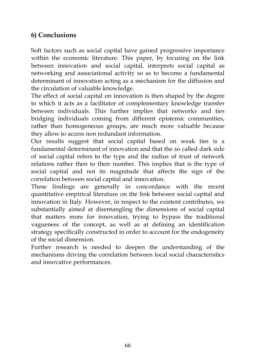### **6) Conclusions**

Soft factors such as social capital have gained progressive importance within the economic literature. This paper, by focusing on the link between innovation and social capital, interprets social capital as networking and associational activity so as to become a fundamental determinant of innovation acting as a mechanism for the diffusion and the circulation of valuable knowledge.

The effect of social capital on innovation is then shaped by the degree to which it acts as a facilitator of complementary knowledge transfer between individuals. This further implies that networks and ties bridging individuals coming from different epistemic communities, rather than homogeneous groups, are much more valuable because they allow to access non redundant information.

Our results suggest that social capital based on weak ties is a fundamental determinant of innovation and that the so called dark side of social capital refers to the type and the radius of trust of network relations rather then to their number. This implies that is the type of social capital and not its magnitude that affects the sign of the correlation between social capital and innovation.

These findings are generally in concordance with the recent quantitative empirical literature on the link between social capital and innovation in Italy. However, in respect to the existent contributes, we substantially aimed at disentangling the dimensions of social capital that matters more for innovation, trying to bypass the traditional vagueness of the concept, as well as at defining an identification strategy specifically constructed in order to account for the endogeneity of the social dimension.

Further research is needed to deepen the understanding of the mechanisms driving the correlation between local social characteristics and innovative performances.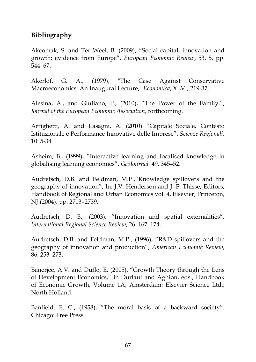### **Bibliography**

Akcomak, S. and Ter Weel, B. (2009), "Social capital, innovation and growth: evidence from Europe", *European Economic Review*, 53, 5, pp. 544–67.

Akerlof, G. A., (1979), "The Case Against Conservative Macroeconomics: An Inaugural Lecture," *Economica*, XLVI, 219-37.

Alesina, A., and Giuliano, P., (2010), "The Power of the Family.", *Journal of the European Economic Association*, forthcoming.

Arrighetti, A. and Lasagni, A. (2010) "Capitale Sociale, Contesto Istituzionale e Performance Innovative delle Imprese", *Scienze Regionali*, 10: 5-34

Asheim, B., (1999), "Interactive learning and localised knowledge in globalising learning economies", *GeoJournal* 49, 345–52.

Audretsch, D.B. and Feldman, M.P.,"Knowledge spillovers and the geography of innovation", In: J.V. Henderson and J.-F. Thisse, Editors, Handbook of Regional and Urban Economics vol. 4, Elsevier, Princeton, NJ (2004), pp. 2713–2739.

Audretsch, D. B., (2003), "Innovation and spatial externalities", *International Regional Science Review*, 26: 167–174.

Audretsch, D.B. and Feldman, M.P., (1996), "R&D spillovers and the geography of innovation and production", *American Economic Review*, 86: 253–273.

Banerjee, A.V. and Duflo, E. (2005), "Growth Theory through the Lens of Development Economics," in Durlauf and Aghion, eds., Handbook of Economic Growth, Volume 1A, Amsterdam: Elsevier Science Ltd.; North Holland.

Banfield, E. C., (1958), "The moral basis of a backward society". Chicago: Free Press.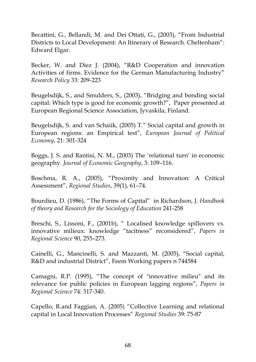Becattini, G., Bellandi, M. and Dei Ottati, G., (2003), "From Industrial Districts to Local Development: An Itinerary of Research. Cheltenham": Edward Elgar.

Becker, W. and Diez J. (2004), "R&D Cooperation and innovation Activities of firms. Evidence for the German Manufacturing Industry" *Research Policy* 33: 209-223

Beugelsdijk, S., and Smulders, S., (2003), "Bridging and bonding social capital: Which type is good for economic growth?",Paper presented at European Regional Science Association, Jyvaskila, Finland*.* 

Beugelsdijk, S. and van Schaiik, (2005) T." Social capital and growth in European regions: an Empirical test", *European Journal of Political Economy*, 21: 301-324

Boggs, J. S. and Rantisi, N. M., (2003) The 'relational turn' in economic geography. *Journal of Economic Geography*, 3: 109–116.

Boschma, R. A., (2005), "Proximity and Innovation: A Critical Assessment", *Regional Studies*, 39(1), 61–74.

Bourdieu, D. (1986), "The Forms of Capital" in Richardson, J. *Handbook of theory and Research for the Sociology of Education* 241-258

Breschi, S., Lissoni, F., (2001b), " Localised knowledge spillovers vs. innovative milieux: knowledge "tacitness" reconsidered", *Papers in Regional Science* 90, 255–273.

Cainelli, G., Mancinelli, S. and Mazzanti, M. (2005), "Social capital, R&D and industrial District", Feem Working papers n 744584

Camagni, R.P. (1995), "The concept of "innovative milieu" and its relevance for public policies in European lagging regions", *Papers in Regional Science* 74: 317-340.

Capello, R.and Faggian, A. (2005) "Collective Learning and relational capital in Local Innovation Processes" *Regional Studies* 39: 75-87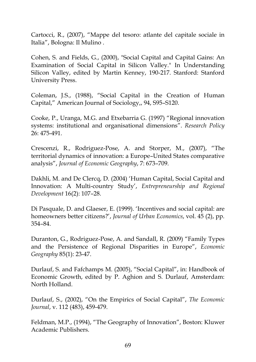Cartocci, R., (2007), "Mappe del tesoro: atlante del capitale sociale in Italia", Bologna: Il Mulino .

Cohen, S. and Fields, G., (2000), "Social Capital and Capital Gains: An Examination of Social Capital in Silicon Valley." In Understanding Silicon Valley, edited by Martin Kenney, 190-217. Stanford: Stanford University Press.

Coleman, J.S., (1988), "Social Capital in the Creation of Human Capital," American Journal of Sociology,, 94, S95–S120.

Cooke, P., Uranga, M.G. and Etxebarria G. (1997) "Regional innovation systems: institutional and organisational dimensions". *Research Policy*  26: 475-491.

Crescenzi, R., Rodriguez-Pose, A. and Storper, M., (2007), "The territorial dynamics of innovation: a Europe–United States comparative analysis", *Journal of Economic Geography*, 7: 673–709.

Dakhli, M. and De Clercq, D. (2004) 'Human Capital, Social Capital and Innovation: A Multi-country Study', *Entrepreneurship and Regional Development* 16(2): 107–28.

Di Pasquale, D. and Glaeser, E. (1999). 'Incentives and social capital: are homeowners better citizens?', *Journal of Urban Economics*, vol. 45 (2), pp. 354–84.

Duranton, G., Rodriguez-Pose, A. and Sandall, R. (2009) "Family Types and the Persistence of Regional Disparities in Europe", *Economic Geography* 85(1): 23-47.

Durlauf, S. and Fafchamps M. (2005), "Social Capital", in: Handbook of Economic Growth, edited by P. Aghion and S. Durlauf, Amsterdam: North Holland.

Durlauf, S., (2002), "On the Empirics of Social Capital", *The Economic Journal*, v. 112 (483), 459-479.

Feldman, M.P., (1994), "The Geography of Innovation", Boston: Kluwer Academic Publishers.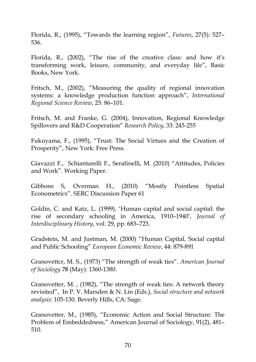Florida, R., (1995), "Towards the learning region", *Futures*, 27(5): 527– 536.

Florida, R., (2002), "The rise of the creative class: and how it's transforming work, leisure, community, and everyday life", Basic Books, New York.

Fritsch, M., (2002), "Measuring the quality of regional innovation systems: a knowledge production function approach", *International Regional Science Review*, 25: 86–101.

Fritsch, M. and Franke, G. (2004), Innovation, Regional Knowledge Spillovers and R&D Cooperation" *Research Policy*, 33: 245-255

Fukuyama, F., (1995), "Trust: The Social Virtues and the Creation of Prosperity", New York: Free Press.

Giavazzi F., Schiantarelli F., Serafinelli, M. (2010) "Attitudes, Policies and Work". Working Paper.

Gibbons S, Overman H., (2010) "Mostly Pointless Spatial Econometrics". SERC Discussion Paper 61

Goldin, C. and Katz, L. (1999). 'Human capital and social capital: the rise of secondary schooling in America, 1910–1940', *Journal of Interdisciplinary History*, vol. 29, pp. 683–723.

Gradstein, M. and Justman, M. (2000) "Human Capital, Social capital and Public Schooling" *European Economic Review*, 44: 879-891

Granovettcr, M. S., (1973) "The strength of weak ties". *American Journal of Sociology 78* (May): 1360-1380.

Granovetter, M. , (1982), "The strength of weak ties: A network theory revisited", In P. V. Marsden & N. Lin (Eds.), *Social structure and network analysis*: 105-130. Beverly Hills, CA: Sage.

Granovetter, M., (1985), "Economic Action and Social Structure: The Problem of Embeddedness," American Journal of Sociology, 91(2), 481– 510.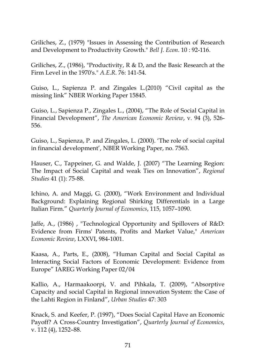Griliches, Z., (1979) "Issues in Assessing the Contribution of Research and Development to Productivity Growth." *Bell J. Econ*. 10 : 92-116.

Griliches, Z., (1986), "Productivity, R & D, and the Basic Research at the Firm Level in the 1970's." *A.E.R*. 76: 141-54.

Guiso, L., Sapienza P. and Zingales L.(2010) "Civil capital as the missing link" NBER Working Paper 15845.

Guiso, L., Sapienza P., Zingales L., (2004), "The Role of Social Capital in Financial Development", *The American Economic Review*, v. 94 (3), 526- 556.

Guiso, L., Sapienza, P. and Zingales, L. (2000). 'The role of social capital in financial development', NBER Working Paper, no. 7563.

Hauser, C., Tappeiner, G. and Walde, J. (2007) "The Learning Region: The Impact of Social Capital and weak Ties on Innovation", *Regional Studies* 41 (1): 75-88.

Ichino, A. and Maggi, G. (2000), "Work Environment and Individual Background: Explaining Regional Shirking Differentials in a Large Italian Firm." *Quarterly Journal of Economics*, 115, 1057–1090.

Jaffe, A., (1986) , "Technological Opportunity and Spillovers of R&D: Evidence from Firms' Patents, Profits and Market Value," *American Economic Review*, LXXVI, 984-1001.

Kaasa, A., Parts, E., (2008), "Human Capital and Social Capital as Interacting Social Factors of Economic Development: Evidence from Europe" IAREG Working Paper 02/04

Kallio, A., Harmaakoorpi, V. and Pihkala, T. (2009), "Absorptive Capacity and social Capital in Regional innovation System: the Case of the Lahti Region in Finland", *Urban Studies* 47: 303

Knack, S. and Keefer, P. (1997), "Does Social Capital Have an Economic Payoff? A Cross-Country Investigation", *Quarterly Journal of Economics*, v. 112 (4), 1252–88.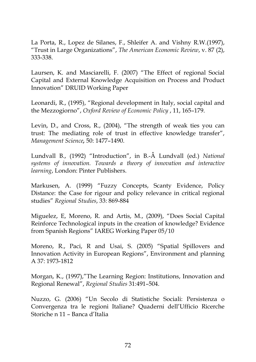La Porta, R., Lopez de Silanes, F., Shleifer A. and Vishny R.W.(1997), "Trust in Large Organizations", *The American Economic Review*, v. 87 (2), 333-338.

Laursen, K. and Masciarelli, F. (2007) "The Effect of regional Social Capital and External Knowledge Acquisition on Process and Product Innovation" DRUID Working Paper

Leonardi, R., (1995), "Regional development in Italy, social capital and the Mezzogiorno", *Oxford Review of Economic Policy* , 11, 165–179.

Levin, D., and Cross, R., (2004), "The strength of weak ties you can trust: The mediating role of trust in effective knowledge transfer", *Management Science,* 50: 1477–1490.

Lundvall B., (1992) "Introduction", in B.-Å Lundvall (ed.) *National systems of innovation. Towards a theory of innovation and interactive learning*, London: Pinter Publishers.

Markusen, A. (1999) "Fuzzy Concepts, Scanty Evidence, Policy Distance: the Case for rigour and policy relevance in critical regional studies" *Regional Studies*, 33: 869-884

Miguelez, E, Moreno, R. and Artis, M., (2009), "Does Social Capital Reinforce Technological inputs in the creation of knowledge? Evidence from Spanish Regions" IAREG Working Paper 05/10

Moreno, R., Paci, R and Usai, S. (2005) "Spatial Spillovers and Innovation Activity in European Regions", Environment and planning A 37: 1973-1812

Morgan, K., (1997),"The Learning Region: Institutions, Innovation and Regional Renewal", *Regional Studies* 31:491–504.

Nuzzo, G. (2006) "Un Secolo di Statistiche Sociali: Persistenza o Convergenza tra le regioni Italiane? Quaderni dell'Ufficio Ricerche Storiche n 11 – Banca d'Italia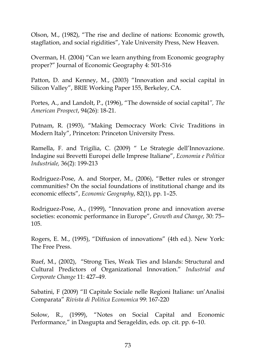Olson, M., (1982), "The rise and decline of nations: Economic growth, stagflation, and social rigidities", Yale University Press, New Heaven.

Overman, H. (2004) "Can we learn anything from Economic geography proper?" Journal of Economic Geography 4: 501-516

Patton, D. and Kenney, M., (2003) "Innovation and social capital in Silicon Valley", BRIE Working Paper 155, Berkeley, CA.

Portes, A., and Landolt, P., (1996), "The downside of social capital*", The American Prospect*, 94(26): 18-21.

Putnam, R. (1993), "Making Democracy Work: Civic Traditions in Modern Italy", Princeton: Princeton University Press.

Ramella, F. and Trigilia, C. (2009) " Le Strategie dell'Innovazione. Indagine sui Brevetti Europei delle Imprese Italiane", *Economia e Politica Industriale,* 36(2): 199-213

Rodriguez-Pose, A. and Storper, M., (2006), "Better rules or stronger communities? On the social foundations of institutional change and its economic effects", *Economic Geography*, 82(1), pp. 1–25.

Rodriguez-Pose, A., (1999), "Innovation prone and innovation averse societies: economic performance in Europe", *Growth and Change*, 30: 75– 105.

Rogers, E. M., (1995), "Diffusion of innovations" (4th ed.). New York: The Free Press.

Ruef, M., (2002), "Strong Ties, Weak Ties and Islands: Structural and Cultural Predictors of Organizational Innovation." *Industrial and Corporate Change* 11: 427–49.

Sabatini, F (2009) "Il Capitale Sociale nelle Regioni Italiane: un'Analisi Comparata" *Rivista di Politica Economica* 99: 167-220

Solow, R., (1999), "Notes on Social Capital and Economic Performance," in Dasgupta and Serageldin, eds. op. cit. pp. 6–10.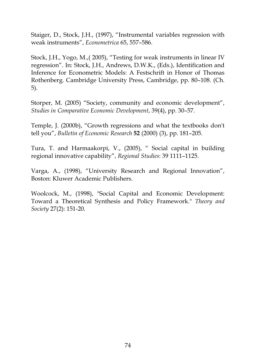Staiger, D., Stock, J.H., (1997), "Instrumental variables regression with weak instruments", *Econometrica* 65, 557–586.

Stock, J.H., Yogo, M.,( 2005), "Testing for weak instruments in linear IV regression". In: Stock, J.H., Andrews, D.W.K., (Eds.), Identification and Inference for Econometric Models: A Festschrift in Honor of Thomas Rothenberg. Cambridge University Press, Cambridge, pp. 80–108. (Ch. 5).

Storper, M. (2005) "Society, community and economic development", *Studies in Comparative Economic Development*, 39(4), pp. 30–57.

Temple, J. (2000b), "Growth regressions and what the textbooks don't tell you", *Bulletin of Economic Research* **52** (2000) (3), pp. 181–205.

Tura, T. and Harmaakorpi, V., (2005), " Social capital in building regional innovative capability", *Regional Studies*: 39 1111–1125.

Varga, A., (1998), "University Research and Regional Innovation", Boston: Kluwer Academic Publishers.

Woolcock, M., (1998), "Social Capital and Economic Development: Toward a Theoretical Synthesis and Policy Framework." *Theory and Society* 27(2): 151-20.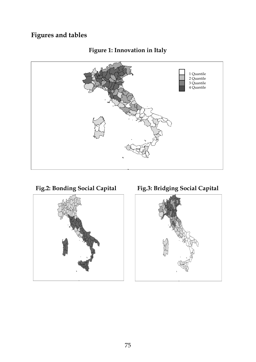# **Figures and tables**







Fig.2: Bonding Social Capital Fig.3: Bridging Social Capital

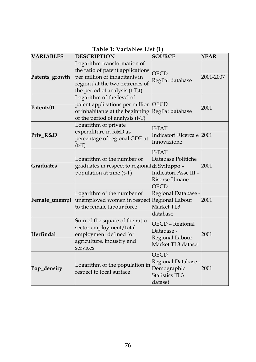| <b>VARIABLES</b> | <b>DESCRIPTION</b>                                                                                                                                                                                             | <b>SOURCE</b>                                                                        | <b>YEAR</b> |  |
|------------------|----------------------------------------------------------------------------------------------------------------------------------------------------------------------------------------------------------------|--------------------------------------------------------------------------------------|-------------|--|
| Patents_growth   | Logarithm transformation of<br>the ratio of patent applications<br><b>OECD</b><br>per million of inhabitants in<br>RegPat database<br>region <i>i</i> at the two extremes of<br>the period of analysis (t-T,t) |                                                                                      |             |  |
| Patents01        | Logarithm of the level of<br>patent applications per million OECD<br>of inhabitants at the beginning<br>of the period of analysis (t-T)                                                                        | RegPat database                                                                      | 2001        |  |
| Priv R&D         | Logarithm of private<br>expenditure in R&D as<br>percentage of regional GDP at<br>$(t-T)$                                                                                                                      | <b>ISTAT</b><br>Indicatori Ricerca e <sup>1</sup> 2001<br>Innovazione                |             |  |
| <b>Graduates</b> | Logarithm of the number of<br>graduates in respect to regionaldi Sviluppo -<br>population at time (t-T)                                                                                                        | <b>ISTAT</b><br>Database Politiche<br>Indicatori Asse III –<br>Risorse Umane         | 2001        |  |
| Female_unempl    | Logarithm of the number of<br>unemployed women in respect<br>to the female labour force                                                                                                                        | OECD<br>Regional Database -<br>Regional Labour<br>Market TI <sub>3</sub><br>database | 2001        |  |
| <b>Herfindal</b> | Sum of the square of the ratio<br>sector employment/total<br>employment defined for<br>agriculture, industry and<br>services                                                                                   | OECD - Regional<br>Database -<br>Regional Labour<br>Market TI 3 dataset              | 2001        |  |
| Pop_density      | Logarithm of the population in<br>respect to local surface                                                                                                                                                     | OECD<br>Regional Database -<br>Demographic<br>Statistics TL3<br>dataset              | 2001        |  |

### **Table 1: Variables List (1)**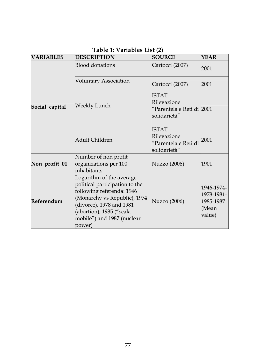| <b>VARIABLES</b> | <b>DESCRIPTION</b>                                                                                                                                                                                                      | <b>SOURCE</b>                                                             | <b>YEAR</b>                                              |
|------------------|-------------------------------------------------------------------------------------------------------------------------------------------------------------------------------------------------------------------------|---------------------------------------------------------------------------|----------------------------------------------------------|
| Social_capital   | <b>Blood donations</b>                                                                                                                                                                                                  | Cartocci (2007)                                                           | 2001                                                     |
|                  | Voluntary Association                                                                                                                                                                                                   | Cartocci (2007)                                                           | 2001                                                     |
|                  | Weekly Lunch                                                                                                                                                                                                            | <b>ISTAT</b><br>Rilevazione<br>"Parentela e Reti di  2001<br>solidarietà" |                                                          |
|                  | Adult Children                                                                                                                                                                                                          | ISTAT<br>Rilevazione<br>"Parentela e Reti di<br>solidarietà"              | 2001                                                     |
| Non_profit_01    | Number of non profit<br>organizations per 100<br>inhabitants                                                                                                                                                            | Nuzzo (2006)                                                              | 1901                                                     |
| Referendum       | Logarithm of the average<br>political participation to the<br>following referenda: 1946<br>(Monarchy vs Republic), 1974<br>(divorce), 1978 and 1981<br>(abortion), 1985 ("scala<br>mobile") and 1987 (nuclear<br>power) | Nuzzo (2006)                                                              | 1946-1974-<br>1978-1981-<br>1985-1987<br>(Mean<br>value) |

#### **Table 1: Variables List (2)**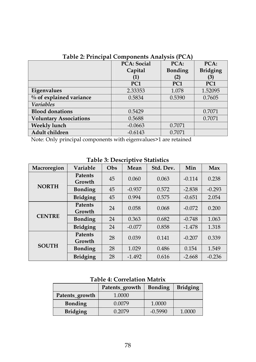|                               | <b>PCA: Social</b> | $PCA$ :         | $PCA$ :         |  |  |  |
|-------------------------------|--------------------|-----------------|-----------------|--|--|--|
|                               | Capital            | <b>Bonding</b>  | <b>Bridging</b> |  |  |  |
|                               | 1                  | (2)             | (3)             |  |  |  |
|                               | PC <sub>1</sub>    | PC <sub>1</sub> | PC <sub>1</sub> |  |  |  |
| Eigenvalues                   | 2.33353            | 1.078           | 1.52095         |  |  |  |
| % of explained variance       | 0.5834             | 0.5390          | 0.7605          |  |  |  |
| <b>Variables</b>              |                    |                 |                 |  |  |  |
| <b>Blood donations</b>        | 0.5429             |                 | 0.7071          |  |  |  |
| <b>Voluntary Associations</b> | 0.5688             |                 | 0.7071          |  |  |  |
| <b>Weekly lunch</b>           | $-0.0663$          | 0.7071          |                 |  |  |  |
| Adult children                | $-0.6143$          | 0.7071          |                 |  |  |  |

**Table 2: Principal Components Analysis (PCA)** 

Note: Only principal components with eigenvalues>1 are retained

| Macroregion   | Variable                 | Obs | Mean     | Std. Dev. | Min      | Max      |
|---------------|--------------------------|-----|----------|-----------|----------|----------|
|               | <b>Patents</b><br>Growth | 45  | 0.060    | 0.063     | $-0.114$ | 0.238    |
| <b>NORTH</b>  | <b>Bonding</b>           | 45  | $-0.937$ | 0.572     | $-2.838$ | $-0.293$ |
|               | <b>Bridging</b>          | 45  | 0.994    | 0.575     | $-0.651$ | 2.054    |
|               | <b>Patents</b><br>Growth | 24  | 0.058    | 0.068     | $-0.072$ | 0.200    |
| <b>CENTRE</b> | <b>Bonding</b>           | 24  | 0.363    | 0.682     | $-0.748$ | 1.063    |
|               | <b>Bridging</b>          | 24  | $-0.077$ | 0.858     | $-1.478$ | 1.318    |
| <b>SOUTH</b>  | <b>Patents</b><br>Growth | 28  | 0.039    | 0.141     | $-0.207$ | 0.339    |
|               | <b>Bonding</b>           | 28  | 1.029    | 0.486     | 0.154    | 1.549    |
|               | <b>Bridging</b>          | 28  | $-1.492$ | 0.616     | $-2.668$ | $-0.236$ |

**Table 3: Descriptive Statistics** 

### **Table 4: Correlation Matrix**

|                 | Patents growth | <b>Bonding</b> | <b>Bridging</b> |
|-----------------|----------------|----------------|-----------------|
| Patents growth  | 1.0000         |                |                 |
| <b>Bonding</b>  | 0.0079         | 1.0000         |                 |
| <b>Bridging</b> | 0.2079         | $-0.5990$      | 1.0000          |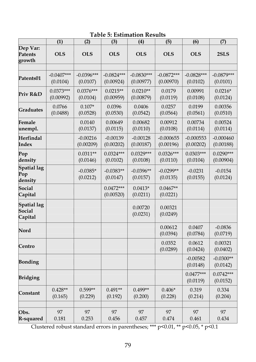|                                         | (1)                      | (2)                      | (3)                       | (4)                       | (5)                       | (6)                      | (7)                      |
|-----------------------------------------|--------------------------|--------------------------|---------------------------|---------------------------|---------------------------|--------------------------|--------------------------|
| Dep Var:<br><b>Patents</b><br>growth    | <b>OLS</b>               | <b>OLS</b>               | <b>OLS</b>                | <b>OLS</b>                | <b>OLS</b>                | <b>OLS</b>               | 2SLS                     |
|                                         |                          |                          |                           |                           |                           |                          |                          |
| Patents01                               | $-0.0407***$<br>(0.0104) | $-0.0396***$<br>(0.0107) | $-0.0824***$<br>(0.00924) | $-0.0830***$<br>(0.00977) | $-0.0872***$<br>(0.00970) | $-0.0828***$<br>(0.0102) | $-0.0879***$<br>(0.0101) |
| Priv R&D                                | $0.0373***$<br>(0.00992) | $0.0376***$<br>(0.0104)  | $0.0215**$<br>(0.00959)   | $0.0210**$<br>(0.00879)   | 0.0179<br>(0.0119)        | 0.00991<br>(0.0108)      | $0.0216*$<br>(0.0124)    |
| <b>Graduates</b>                        | 0.0766<br>(0.0488)       | $0.107*$<br>(0.0528)     | 0.0396<br>(0.0530)        | 0.0406<br>(0.0542)        | 0.0257<br>(0.0564)        | 0.0199<br>(0.0561)       | 0.00356<br>(0.0510)      |
| Female<br>unempl.                       |                          | 0.0140<br>(0.0137)       | 0.00649<br>(0.0115)       | 0.00682<br>(0.0110)       | 0.00912<br>(0.0108)       | 0.00734<br>(0.0114)      | 0.00524<br>(0.0114)      |
| Herfindal<br>Index                      |                          | $-0.00216$<br>(0.00209)  | $-0.00139$<br>(0.00202)   | $-0.00128$<br>(0.00187)   | $-0.000655$<br>(0.00196)  | $-0.000553$<br>(0.00202) | $-0.000460$<br>(0.00188) |
| Pop<br>density                          |                          | $0.0311**$<br>(0.0146)   | $0.0324***$<br>(0.0102)   | $0.0329***$<br>(0.0108)   | $0.0326***$<br>(0.0110)   | $0.0303***$<br>(0.0104)  | $0.0290***$<br>(0.00904) |
| <b>Spatial lag</b><br>Pop<br>density    |                          | $-0.0385*$<br>(0.0212)   | $-0.0383**$<br>(0.0147)   | $-0.0396**$<br>(0.0157)   | $-0.0299**$<br>(0.0135)   | $-0.0231$<br>(0.0155)    | $-0.0154$<br>(0.0124)    |
| <b>Social</b><br>Capital                |                          |                          | $0.0472***$<br>(0.00520)  | $0.0413*$<br>(0.0211)     | $0.0467**$<br>(0.0221)    |                          |                          |
| <b>Spatial lag</b><br>Social<br>Capital |                          |                          |                           | 0.00720<br>(0.0231)       | 0.00321<br>(0.0249)       |                          |                          |
| Nord                                    |                          |                          |                           |                           | 0.00612<br>(0.0394)       | 0.0407<br>(0.0784)       | $-0.0836$<br>(0.0719)    |
| Centro                                  |                          |                          |                           |                           | 0.0352<br>(0.0289)        | 0.0612<br>(0.0424)       | 0.00321<br>(0.0402)      |
| <b>Bonding</b>                          |                          |                          |                           |                           |                           | $-0.00582$<br>(0.0148)   | $-0.0300**$<br>(0.0142)  |
| <b>Bridging</b>                         |                          |                          |                           |                           |                           | $0.0477***$<br>(0.0119)  | $0.0742***$<br>(0.0152)  |
| Constant                                | $0.428**$<br>(0.165)     | $0.599**$<br>(0.229)     | $0.491**$<br>(0.192)      | $0.499**$<br>(0.200)      | $0.406*$<br>(0.228)       | 0.319<br>(0.214)         | 0.334<br>(0.204)         |
| Obs.<br>R-squared                       | 97<br>0.181              | 97<br>0.253              | 97<br>0.456               | 97<br>0.457               | 97<br>0.474               | 97<br>0.461              | 97<br>0.434              |

## **Table 5: Estimation Results**

Clustered robust standard errors in parentheses; \*\*\* p<0.01, \*\* p<0.05, \* p<0.1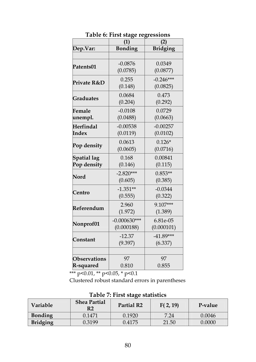|                     | (1)            | (2)             |
|---------------------|----------------|-----------------|
| Dep.Var:            | <b>Bonding</b> | <b>Bridging</b> |
|                     |                |                 |
| Patents01           | $-0.0876$      | 0.0349          |
|                     | (0.0785)       | (0.0877)        |
| Private R&D         | 0.255          | $-0.246***$     |
|                     | (0.148)        | (0.0825)        |
| <b>Graduates</b>    | 0.0684         | 0.473           |
|                     | (0.204)        | (0.292)         |
| Female              | $-0.0108$      | 0.0729          |
| unempl.             | (0.0488)       | (0.0663)        |
| Herfindal           | $-0.00538$     | $-0.00257$      |
| Index               | (0.0119)       | (0.0102)        |
| Pop density         | 0.0613         | $0.126*$        |
|                     | (0.0605)       | (0.0716)        |
| <b>Spatial lag</b>  | 0.168          | 0.00841         |
| Pop density         | (0.146)        | (0.115)         |
| Nord                | $-2.820***$    | $0.853**$       |
|                     | (0.605)        | (0.385)         |
| Centro              | $-1.351**$     | $-0.0344$       |
|                     | (0.555)        | (0.322)         |
| Referendum          | 2.960          | 9.107***        |
|                     | (1.972)        | (1.389)         |
| Nonprof01           | $-0.000630***$ | 6.81e-05        |
|                     | (0.000188)     | (0.000101)      |
| Constant            | $-12.37$       | $-41.89***$     |
|                     | (9.397)        | (6.337)         |
|                     |                |                 |
| <b>Observations</b> | 97             | 97              |
| R-squared           | 0.810          | 0.855           |

**Table 6: First stage regressions** 

\*\*\* p<0.01, \*\* p<0.05, \* p<0.1

Clustered robust standard errors in parentheses

| Table 7. That stage statistics |                           |                        |          |         |  |  |
|--------------------------------|---------------------------|------------------------|----------|---------|--|--|
| <b>Variable</b>                | <b>Shea Partial</b><br>R2 | Partial R <sub>2</sub> | F(2, 19) | P-value |  |  |
| <b>Bonding</b>                 | 0.1471                    | 0.1920                 | 7.24     | 0.0046  |  |  |
| <b>Bridging</b>                | 0.3199                    | 0.4175                 | 21.50    | 0.0000  |  |  |

**Table 7: First stage statistics**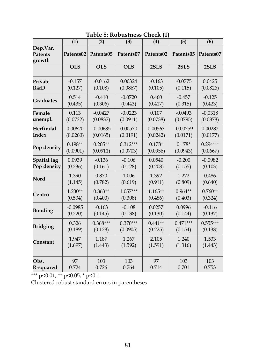|                                      | (1)        | (2)        | (3)        | (4)       | (5)        | (6)        |
|--------------------------------------|------------|------------|------------|-----------|------------|------------|
| Dep.Var.<br><b>Patents</b><br>growth | Patents02  | Patents05  | Patents07  | Patents02 | Patents05  | Patents07  |
|                                      | <b>OLS</b> | <b>OLS</b> | <b>OLS</b> | 2SLS      | 2SLS       | 2SLS       |
|                                      |            |            |            |           |            |            |
| Private                              | $-0.157$   | $-0.0162$  | 0.00324    | $-0.163$  | $-0.0775$  | 0.0425     |
| R&D                                  | (0.127)    | (0.108)    | (0.0867)   | (0.105)   | (0.115)    | (0.0826)   |
| <b>Graduates</b>                     | 0.514      | $-0.410$   | $-0.0720$  | 0.460     | $-0.457$   | $-0.125$   |
|                                      | (0.435)    | (0.306)    | (0.443)    | (0.417)   | (0.315)    | (0.423)    |
| Female                               | 0.113      | $-0.0427$  | $-0.0223$  | 0.107     | $-0.0493$  | $-0.0318$  |
| unempl.                              | (0.0722)   | (0.0837)   | (0.0911)   | (0.0738)  | (0.0795)   | (0.0878)   |
| <b>Herfindal</b>                     | 0.00620    | $-0.00685$ | 0.00570    | 0.00563   | $-0.00759$ | 0.00282    |
| Index                                | (0.0260)   | (0.0165)   | (0.0191)   | (0.0242)  | (0.0171)   | (0.0177)   |
| Pop density                          | $0.198**$  | $0.205**$  | $0.312***$ | $0.178*$  | $0.178*$   | $0.294***$ |
|                                      | (0.0901)   | (0.0911)   | (0.0703)   | (0.0956)  | (0.0943)   | (0.0667)   |
| <b>Spatial lag</b>                   | 0.0939     | $-0.136$   | $-0.106$   | 0.0540    | $-0.200$   | $-0.0982$  |
| Pop density                          | (0.236)    | (0.161)    | (0.128)    | (0.208)   | (0.155)    | (0.103)    |
| Nord                                 | 1.390      | 0.870      | 1.006      | 1.392     | 1.272      | 0.486      |
|                                      | (1.145)    | (0.782)    | (0.619)    | (0.911)   | (0.809)    | (0.640)    |
| Centro                               | $1.230**$  | $0.863**$  | $1.057***$ | $1.165**$ | $0.964**$  | $0.760**$  |
|                                      | (0.534)    | (0.400)    | (0.308)    | (0.486)   | (0.403)    | (0.324)    |
| <b>Bonding</b>                       | $-0.0985$  | $-0.163$   | $-0.108$   | 0.0257    | 0.0996     | $-0.116$   |
|                                      | (0.220)    | (0.145)    | (0.138)    | (0.130)   | (0.144)    | (0.137)    |
| Bridging                             | 0.326      | $0.368***$ | $0.370***$ | $0.441**$ | $0.471***$ | $0.555***$ |
|                                      | (0.189)    | (0.128)    | (0.0905)   | (0.225)   | (0.154)    | (0.138)    |
| Constant                             | 1.947      | 1.187      | 1.267      | 2.105     | 1.240      | 1.533      |
|                                      | (1.697)    | (1.443)    | (1.592)    | (1.591)   | (1.316)    | (1.443)    |
| Obs.                                 | 97         | 103        | 103        | 97        | 103        | 103        |
| R-squared                            | 0.724      | 0.726      | 0.764      | 0.714     | 0.701      | 0.753      |

**Table 8: Robustness Check (1)** 

\*\*\* p<0.01, \*\* p<0.05, \* p<0.1

Clustered robust standard errors in parentheses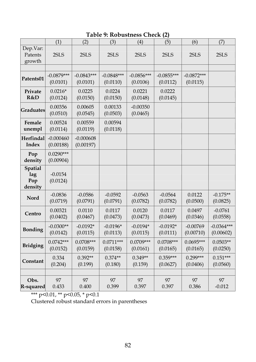# **Table 9: Robustness Check (2)**

|                                  | (1)                      | (2)                      | (3)                      | (4)                      | (5)                      | (6)                      | (7)                       |
|----------------------------------|--------------------------|--------------------------|--------------------------|--------------------------|--------------------------|--------------------------|---------------------------|
| Dep.Var:<br>Patents<br>growth    | 2SLS                     | 2SLS                     | 2SLS                     | 2SLS                     | 2SLS                     | 2SLS                     | 2SLS                      |
|                                  |                          |                          |                          |                          |                          |                          |                           |
| Patents01                        | $-0.0879***$<br>(0.0101) | $-0.0843***$<br>(0.0101) | $-0.0848***$<br>(0.0110) | $-0.0856***$<br>(0.0106) | $-0.0855***$<br>(0.0112) | $-0.0872***$<br>(0.0115) |                           |
| Private<br>R&D                   | $0.0216*$<br>(0.0124)    | 0.0225<br>(0.0150)       | 0.0224<br>(0.0150)       | 0.0221<br>(0.0148)       | 0.0222<br>(0.0145)       |                          |                           |
| <b>Graduates</b>                 | 0.00356<br>(0.0510)      | 0.00605<br>(0.0545)      | 0.00133<br>(0.0503)      | $-0.00350$<br>(0.0465)   |                          |                          |                           |
| Female<br>unempl                 | 0.00524<br>(0.0114)      | 0.00559<br>(0.0119)      | 0.00594<br>(0.0118)      |                          |                          |                          |                           |
| Herfindal<br>Index               | $-0.000460$<br>(0.00188) | $-0.000608$<br>(0.00197) |                          |                          |                          |                          |                           |
| Pop<br>density                   | $0.0290***$<br>(0.00904) |                          |                          |                          |                          |                          |                           |
| Spatial<br>lag<br>Pop<br>density | $-0.0154$<br>(0.0124)    |                          |                          |                          |                          |                          |                           |
| Nord                             | $-0.0836$<br>(0.0719)    | $-0.0586$<br>(0.0791)    | $-0.0592$<br>(0.0791)    | $-0.0563$<br>(0.0782)    | $-0.0564$<br>(0.0782)    | 0.0122<br>(0.0500)       | $-0.175**$<br>(0.0825)    |
| Centro                           | 0.00321<br>(0.0402)      | 0.0110<br>(0.0467)       | 0.0117<br>(0.0473)       | 0.0120<br>(0.0473)       | 0.0117<br>(0.0469)       | 0.0497<br>(0.0346)       | $-0.0761$<br>(0.0558)     |
| <b>Bonding</b>                   | $-0.0300**$<br>(0.0142)  | $-0.0192*$<br>(0.0115)   | $-0.0196*$<br>(0.0113)   | $-0.0194*$<br>(0.0115)   | $-0.0192*$<br>(0.0111)   | $-0.00769$<br>(0.00710)  | $-0.0364***$<br>(0.00602) |
| <b>Bridging</b>                  | $0.0742***$<br>(0.0152)  | $0.0708***$<br>(0.0159)  | $0.0711***$<br>(0.0158)  | $0.0709***$<br>(0.0161)  | $0.0708***$<br>(0.0165)  | 0.0695***<br>(0.0165)    | $0.0503**$<br>(0.0250)    |
| Constant                         | 0.334<br>(0.204)         | $0.392**$<br>(0.199)     | $0.374**$<br>(0.180)     | $0.349**$<br>(0.159)     | $0.359***$<br>(0.0627)   | $0.299***$<br>(0.0406)   | $0.151***$<br>(0.0560)    |
|                                  |                          |                          |                          |                          |                          |                          |                           |
| Obs.<br>R-squared                | 97<br>0.433              | 97<br>0.400              | 97<br>0.399              | 97<br>0.397              | 97<br>0.397              | 97<br>0.386              | 97<br>$-0.012$            |

\*\*\* p<0.01, \*\* p<0.05, \* p<0.1

Clustered robust standard errors in parentheses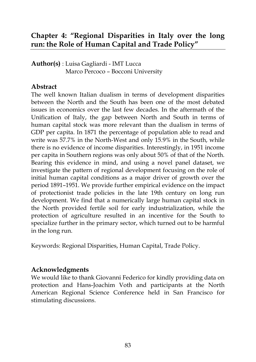# **Chapter 4: "Regional Disparities in Italy over the long run: the Role of Human Capital and Trade Policy"**

**Author(s)** : Luisa Gagliardi - IMT Lucca Marco Percoco – Bocconi University

#### **Abstract**

The well known Italian dualism in terms of development disparities between the North and the South has been one of the most debated issues in economics over the last few decades. In the aftermath of the Unification of Italy, the gap between North and South in terms of human capital stock was more relevant than the dualism in terms of GDP per capita. In 1871 the percentage of population able to read and write was 57.7% in the North-West and only 15.9% in the South, while there is no evidence of income disparities. Interestingly, in 1951 income per capita in Southern regions was only about 50% of that of the North. Bearing this evidence in mind, and using a novel panel dataset, we investigate the pattern of regional development focusing on the role of initial human capital conditions as a major driver of growth over the period 1891–1951. We provide further empirical evidence on the impact of protectionist trade policies in the late 19th century on long run development. We find that a numerically large human capital stock in the North provided fertile soil for early industrialization, while the protection of agriculture resulted in an incentive for the South to specialize further in the primary sector, which turned out to be harmful in the long run.

Keywords: Regional Disparities, Human Capital, Trade Policy.

### **Acknowledgments**

We would like to thank Giovanni Federico for kindly providing data on protection and Hans-Joachim Voth and participants at the North American Regional Science Conference held in San Francisco for stimulating discussions.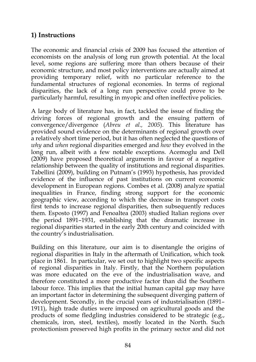### **1) Instructions**

The economic and financial crisis of 2009 has focused the attention of economists on the analysis of long run growth potential. At the local level, some regions are suffering more than others because of their economic structure, and most policy interventions are actually aimed at providing temporary relief, with no particular reference to the fundamental structures of regional economies. In terms of regional disparities, the lack of a long run perspective could prove to be particularly harmful, resulting in myopic and often ineffective policies.

A large body of literature has, in fact, tackled the issue of finding the driving forces of regional growth and the ensuing pattern of convergence/divergence (*Abreu et al., 2005*). This literature has provided sound evidence on the determinants of regional growth over a relatively short time period, but it has often neglected the questions of *why* and *when* regional disparities emerged and *how* they evolved in the long run, albeit with a few notable exceptions. Acemoglu and Dell (2009) have proposed theoretical arguments in favour of a negative relationship between the quality of institutions and regional disparities. Tabellini (2009), building on Putnam's (1993) hypothesis, has provided evidence of the influence of past institutions on current economic development in European regions. Combes et al. (2008) analyze spatial inequalities in France, finding strong support for the economic geographic view, according to which the decrease in transport costs first tends to increase regional disparities, then subsequently reduces them. Esposto (1997) and Fenoaltea (2003) studied Italian regions over the period 1891–1931, establishing that the dramatic increase in regional disparities started in the early 20th century and coincided with the country's industrialisation.

Building on this literature, our aim is to disentangle the origins of regional disparities in Italy in the aftermath of Unification, which took place in 1861. In particular, we set out to highlight two specific aspects of regional disparities in Italy. Firstly, that the Northern population was more educated on the eve of the industrialisation wave, and therefore constituted a more productive factor than did the Southern labour force. This implies that the initial human capital gap may have an important factor in determining the subsequent diverging pattern of development. Secondly, in the crucial years of industrialisation (1891– 1911), high trade duties were imposed on agricultural goods and the products of some fledgling industries considered to be strategic (e.g., chemicals, iron, steel, textiles), mostly located in the North. Such protectionism preserved high profits in the primary sector and did not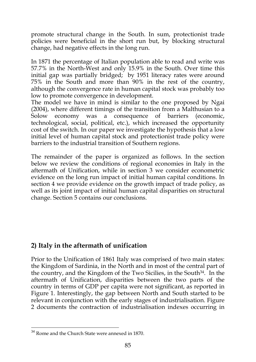promote structural change in the South. In sum, protectionist trade policies were beneficial in the short run but, by blocking structural change, had negative effects in the long run.

In 1871 the percentage of Italian population able to read and write was 57.7% in the North-West and only 15.9% in the South. Over time this initial gap was partially bridged; by 1951 literacy rates were around 75% in the South and more than 90% in the rest of the country, although the convergence rate in human capital stock was probably too low to promote convergence in development.

The model we have in mind is similar to the one proposed by Ngai (2004), where different timings of the transition from a Malthusian to a Solow economy was a consequence of barriers (economic, technological, social, political, etc.), which increased the opportunity cost of the switch. In our paper we investigate the hypothesis that a low initial level of human capital stock and protectionist trade policy were barriers to the industrial transition of Southern regions.

The remainder of the paper is organized as follows. In the section below we review the conditions of regional economies in Italy in the aftermath of Unification, while in section 3 we consider econometric evidence on the long run impact of initial human capital conditions. In section 4 we provide evidence on the growth impact of trade policy, as well as its joint impact of initial human capital disparities on structural change. Section 5 contains our conclusions.

### **2) Italy in the aftermath of unification**

Prior to the Unification of 1861 Italy was comprised of two main states: the Kingdom of Sardinia, in the North and in most of the central part of the country, and the Kingdom of the Two Sicilies, in the South<sup>34</sup>. In the aftermath of Unification, disparities between the two parts of the country in terms of GDP per capita were not significant, as reported in Figure 1. Interestingly, the gap between North and South started to be relevant in conjunction with the early stages of industrialisation. Figure 2 documents the contraction of industrialisation indexes occurring in

 $\frac{1}{34}$  Rome and the Church State were annexed in 1870.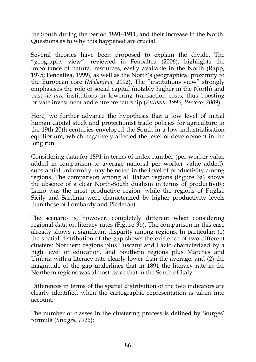the South during the period 1891–1911, and their increase in the North. Questions as to why this happened are crucial.

Several theories have been proposed to explain the divide. The "geography view", reviewed in Fenoaltea  $(2006)$ , highlights the importance of natural resources, easily available in the North (Rapp, 1975; Fenoaltea, 1999), as well as the North's geographical proximity to the European core (*Malanima, 2002*). The "institutions view" strongly emphasises the role of social capital (notably higher in the North) and past *de jure* institutions in lowering transaction costs, thus boosting private investment and entrepreneurship (*Putnam, 1993; Percoco, 2009*).

Here, we further advance the hypothesis that a low level of initial human capital stock and protectionist trade policies for agriculture in the 19th-20th centuries enveloped the South in a low industrialisation equilibrium, which negatively affected the level of development in the long run.

Considering data for 1891 in terms of index number (per worker value added in comparison to average national per worker value added), substantial uniformity may be noted in the level of productivity among regions. The comparison among all Italian regions (Figure 3a) shows the absence of a clear North-South dualism in terms of productivity: Lazio was the most productive region, while the regions of Puglia, Sicily and Sardinia were characterized by higher productivity levels than those of Lombardy and Piedmont.

The scenario is, however, completely different when considering regional data on literacy rates (Figure 3b). The comparison in this case already shows a significant disparity among regions. In particular: (1) the spatial distribution of the gap shows the existence of two different clusters: Northern regions plus Tuscany and Lazio characterized by a high level of education, and Southern regions plus Marches and Umbria with a literacy rate clearly lower than the average; and (2) the magnitude of the gap underlines that in 1891 the literacy rate in the Northern regions was almost twice that in the South of Italy.

Differences in terms of the spatial distribution of the two indicators are clearly identified when the cartographic representation is taken into account.

The number of classes in the clustering process is defined by Sturges' formula (*Sturges, 1926*):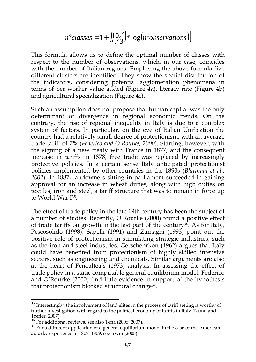$$
n^{\circ} \text{classes} = 1 + \left\lfloor \frac{10}{3} \right\rfloor * \log(n^{\circ} \text{observations}) \right\rfloor
$$

This formula allows us to define the optimal number of classes with respect to the number of observations, which, in our case, coincides with the number of Italian regions. Employing the above formula five different clusters are identified. They show the spatial distribution of the indicators, considering potential agglomeration phenomena in terms of per worker value added (Figure 4a), literacy rate (Figure 4b) and agricultural specialization (Figure 4c).

Such an assumption does not propose that human capital was the only determinant of divergence in regional economic trends. On the contrary, the rise of regional inequality in Italy is due to a complex system of factors. In particular, on the eve of Italian Unification the country had a relatively small degree of protectionism, with an average trade tariff of 7% (*Federico and O'Rourke, 2000*). Starting, however, with the signing of a new treaty with France in 1877, and the consequent increase in tariffs in 1878, free trade was replaced by increasingly protective policies. In a certain sense Italy anticipated protectionist policies implemented by other countries in the 1890s (*Blattman et al., 2002*). In 1887, landowners sitting in parliament succeeded in gaining approval for an increase in wheat duties, along with high duties on textiles, iron and steel, a tariff structure that was to remain in force up to World War I<sup>35</sup> .

The effect of trade policy in the late 19th century has been the subject of a number of studies. Recently, O'Rourke (2000) found a positive effect of trade tariffs on growth in the last part of the century<sup>36</sup>. As for Italy, Pescosolido (1998), Sapelli (1991) and Zamagni (1993) point out the positive role of protectionism in stimulating strategic industries, such as the iron and steel industries. Gerschenrkon (1962) argues that Italy could have benefited from protectionism of highly skilled intensive sectors, such as engineering and chemicals. Similar arguments are also at the heart of Fenoaltea's (1973) analysis. In assessing the effect of trade policy in a static computable general equilibrium model, Federico and O'Rourke (2000) find little evidence in support of the hypothesis that protectionism blocked structural change<sup>37</sup> .

 $\frac{35}{35}$  Interestingly, the involvement of land elites in the process of tariff setting is worthy of further investigation with regard to the political economy of tariffs in Italy (Nunn and Trefler, 2007).

<sup>36</sup> For additional reviews, see also Tena (2006; 2007).

 $37$  For a different application of a general equilibrium model in the case of the American autarky experience in 1807–1809, see Irwin (2005).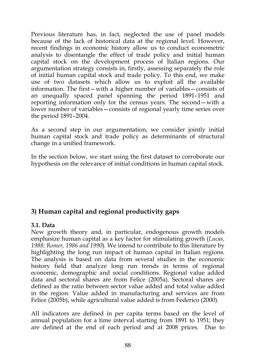Previous literature has, in fact, neglected the use of panel models because of the lack of historical data at the regional level. However, recent findings in economic history allow us to conduct econometric analysis to disentangle the effect of trade policy and initial human capital stock on the development process of Italian regions. Our argumentation strategy consists in, firstly, assessing separately the role of initial human capital stock and trade policy. To this end, we make use of two datasets which allow us to exploit all the available information. The first—with a higher number of variables—consists of an unequally spaced panel spanning the period 1891–1951 and reporting information only for the census years. The second—with a lower number of variables—consists of regional yearly time series over the period 1891–2004.

As a second step in our argumentation, we consider jointly initial human capital stock and trade policy as determinants of structural change in a unified framework.

In the section below, we start using the first dataset to corroborate our hypothesis on the relevance of initial conditions in human capital stock.

### **3) Human capital and regional productivity gaps**

#### **3.1. Data**

New growth theory and, in particular, endogenous growth models emphasize human capital as a key factor for stimulating growth (*Lucas, 1988; Romer, 1986 and 1990*). We intend to contribute to this literature by highlighting the long run impact of human capital in Italian regions. The analysis is based on data from several studies in the economic history field that analyze long run trends in terms of regional economic, demographic and social conditions. Regional value added data and sectoral shares are from Felice (2005a). Sectoral shares are defined as the ratio between sector value added and total value added in the region. Value added in manufacturing and services are from Felice (2005b), while agricultural value added is from Federico (2000).

All indicators are defined in per capita terms based on the level of annual population for a time interval starting from 1891 to 1951; they are defined at the end of each period and at 2008 prices. Due to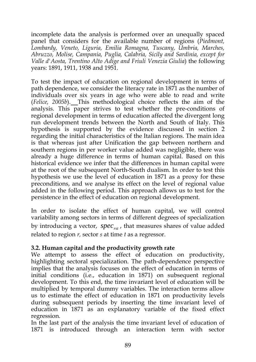incomplete data the analysis is performed over an unequally spaced panel that considers for the available number of regions (*Piedmont, Lombardy, Veneto, Liguria, Emilia Romagna, Tuscany, Umbria, Marches, Abruzzo, Molise, Campania, Puglia, Calabria, Sicily and Sardinia, except for Valle d'Aosta, Trentino Alto Adige and Friuli Venezia Giulia*) the following years: 1891, 1911, 1938 and 1951.

To test the impact of education on regional development in terms of path dependence, we consider the literacy rate in 1871 as the number of individuals over six years in age who were able to read and write (*Felice, 2005b*). This methodological choice reflects the aim of the analysis. This paper strives to test whether the pre-conditions of regional development in terms of education affected the divergent long run development trends between the North and South of Italy. This hypothesis is supported by the evidence discussed in section 2 regarding the initial characteristics of the Italian regions. The main idea is that whereas just after Unification the gap between northern and southern regions in per worker value added was negligible, there was already a huge difference in terms of human capital. Based on this historical evidence we infer that the differences in human capital were at the root of the subsequent North-South dualism. In order to test this hypothesis we use the level of education in 1871 as a proxy for these preconditions, and we analyse its effect on the level of regional value added in the following period. This approach allows us to test for the persistence in the effect of education on regional development.

In order to isolate the effect of human capital, we will control variability among sectors in terms of different degrees of specialization by introducing a vector, *spec<sub>rst</sub>*, that measures shares of value added related to region *r,* sector *s* at time *t* as a regressor.

#### **3.2. Human capital and the productivity growth rate**

We attempt to assess the effect of education on productivity, highlighting sectoral specialization. The path-dependence perspective implies that the analysis focuses on the effect of education in terms of initial conditions (i.e., education in 1871) on subsequent regional development. To this end, the time invariant level of education will be multiplied by temporal dummy variables. The interaction terms allow us to estimate the effect of education in 1871 on productivity levels during subsequent periods by inserting the time invariant level of education in 1871 as an explanatory variable of the fixed effect regression.

In the last part of the analysis the time invariant level of education of 1871 is introduced through an interaction term with sector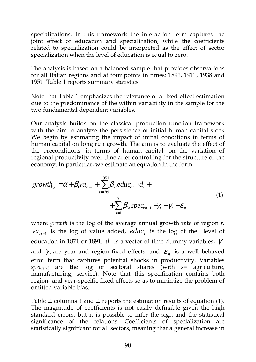specializations. In this framework the interaction term captures the joint effect of education and specialization, while the coefficients related to specialization could be interpreted as the effect of sector specialization when the level of education is equal to zero.

The analysis is based on a balanced sample that provides observations for all Italian regions and at four points in times: 1891, 1911, 1938 and 1951. Table 1 reports summary statistics.

Note that Table 1 emphasizes the relevance of a fixed effect estimation due to the predominance of the within variability in the sample for the two fundamental dependent variables.

Our analysis builds on the classical production function framework with the aim to analyse the persistence of initial human capital stock We begin by estimating the impact of initial conditions in terms of human capital on long run growth. The aim is to evaluate the effect of the preconditions, in terms of human capital, on the variation of regional productivity over time after controlling for the structure of the economy. In particular, we estimate an equation in the form:

$$
growth_{t,t} = \alpha + \beta_1 va_{rt-1} + \sum_{t=1891}^{1951} \beta_{2t} educ_{r71} \cdot d_t + \sum_{s=1}^{3} \beta_{3s} spec_{rst-1} + \gamma_t + \gamma_r + \varepsilon_{st}
$$
\n(1)

where *growth* is the log of the average annual growth rate of region *r,*   $va_{n-1}$  is the log of value added, *educ<sub>t</sub>* is the log of the level of education in 1871 or 1891,  $d_t$  is a vector of time dummy variables,  $\gamma_t$ and  $\gamma_r$  are year and region fixed effects, and  $\varepsilon_{st}$  is a well behaved error term that captures potential shocks in productivity. Variables *specrst-1* are the log of sectoral shares (with *s*= agriculture, manufacturing, service). Note that this specification contains both region- and year-specific fixed effects so as to minimize the problem of omitted variable bias.

Table 2, columns 1 and 2, reports the estimation results of equation (1). The magnitude of coefficients is not easily definable given the high standard errors, but it is possible to infer the sign and the statistical significance of the relations. Coefficients of specialization are statistically significant for all sectors, meaning that a general increase in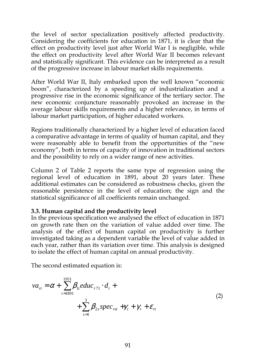the level of sector specialization positively affected productivity. Considering the coefficients for education in 1871, it is clear that the effect on productivity level just after World War I is negligible, while the effect on productivity level after World War II becomes relevant and statistically significant. This evidence can be interpreted as a result of the progressive increase in labour market skills requirements.

After World War II, Italy embarked upon the well known "economic boom", characterized by a speeding up of industrialization and a progressive rise in the economic significance of the tertiary sector. The new economic conjuncture reasonably provoked an increase in the average labour skills requirements and a higher relevance, in terms of labour market participation, of higher educated workers.

Regions traditionally characterized by a higher level of education faced a comparative advantage in terms of quality of human capital, and they were reasonably able to benefit from the opportunities of the "new economy", both in terms of capacity of innovation in traditional sectors and the possibility to rely on a wider range of new activities.

Column 2 of Table 2 reports the same type of regression using the regional level of education in 1891, about 20 years later. These additional estimates can be considered as robustness checks, given the reasonable persistence in the level of education; the sign and the statistical significance of all coefficients remain unchanged.

#### **3.3. Human capital and the productivity level**

In the previous specification we analysed the effect of education in 1871 on growth rate then on the variation of value added over time. The analysis of the effect of human capital on productivity is further investigated taking as a dependent variable the level of value added in each year, rather than its variation over time. This analysis is designed to isolate the effect of human capital on annual productivity.

The second estimated equation is:

$$
va_{rt} = \alpha + \sum_{t=1891}^{1951} \beta_{1t} educ_{r71} \cdot d_{t} + + \sum_{s=1}^{3} \beta_{2s} spec_{rst} + \gamma_{t} + \gamma_{r} + \varepsilon_{rt}
$$
 (2)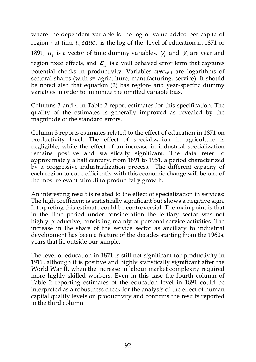where the dependent variable is the log of value added per capita of region  $r$  at time  $t$ .,  $educ_t$  is the log of the level of education in 1871 or 1891,  $d_t$  is a vector of time dummy variables,  $\gamma_t$  and  $\gamma_r$  are year and region fixed effects, and  $\mathcal{E}_{st}$  is a well behaved error term that captures potential shocks in productivity. Variables *specrst-1* are logarithms of sectoral shares (with *s*= agriculture, manufacturing, service). It should be noted also that equation (2) has region- and year-specific dummy variables in order to minimize the omitted variable bias.

Columns 3 and 4 in Table 2 report estimates for this specification. The quality of the estimates is generally improved as revealed by the magnitude of the standard errors.

Column 3 reports estimates related to the effect of education in 1871 on productivity level. The effect of specialization in agriculture is negligible, while the effect of an increase in industrial specialization remains positive and statistically significant. The data refer to approximately a half century, from 1891 to 1951, a period characterized by a progressive industrialization process. The different capacity of each region to cope efficiently with this economic change will be one of the most relevant stimuli to productivity growth.

An interesting result is related to the effect of specialization in services: The high coefficient is statistically significant but shows a negative sign. Interpreting this estimate could be controversial. The main point is that in the time period under consideration the tertiary sector was not highly productive, consisting mainly of personal service activities. The increase in the share of the service sector as ancillary to industrial development has been a feature of the decades starting from the 1960s, years that lie outside our sample.

The level of education in 1871 is still not significant for productivity in 1911, although it is positive and highly statistically significant after the World War II, when the increase in labour market complexity required more highly skilled workers. Even in this case the fourth column of Table 2 reporting estimates of the education level in 1891 could be interpreted as a robustness check for the analysis of the effect of human capital quality levels on productivity and confirms the results reported in the third column.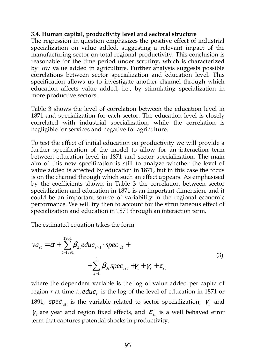#### **3.4. Human capital, productivity level and sectoral structure**

The regression in question emphasizes the positive effect of industrial specialization on value added, suggesting a relevant impact of the manufacturing sector on total regional productivity. This conclusion is reasonable for the time period under scrutiny, which is characterized by low value added in agriculture. Further analysis suggests possible correlations between sector specialization and education level. This specification allows us to investigate another channel through which education affects value added, i.e., by stimulating specialization in more productive sectors.

Table 3 shows the level of correlation between the education level in 1871 and specialization for each sector. The education level is closely correlated with industrial specialization, while the correlation is negligible for services and negative for agriculture.

To test the effect of initial education on productivity we will provide a further specification of the model to allow for an interaction term between education level in 1871 and sector specialization. The main aim of this new specification is still to analyze whether the level of value added is affected by education in 1871, but in this case the focus is on the channel through which such an effect appears. As emphasised by the coefficients shown in Table 3 the correlation between sector specialization and education in 1871 is an important dimension, and it could be an important source of variability in the regional economic performance. We will try then to account for the simultaneous effect of specialization and education in 1871 through an interaction term.

The estimated equation takes the form:

$$
va_{rt} = \alpha + \sum_{t=1891}^{1951} \beta_{2t} educ_{r71} \cdot spec_{rst} + + \sum_{s=1}^{3} \beta_{3s} spec_{rst} + \gamma_t + \gamma_r + \varepsilon_{st}
$$
 (3)

where the dependent variable is the log of value added per capita of region  $r$  at time  $t$ .,  $educ$ <sub>t</sub> is the log of the level of education in 1871 or 1891, *spec<sub>rst</sub>* is the variable related to sector specialization,  $\gamma_t$  and  $\gamma_r$  are year and region fixed effects, and  $\varepsilon_{st}$  is a well behaved error term that captures potential shocks in productivity.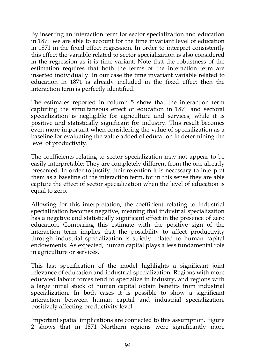By inserting an interaction term for sector specialization and education in 1871 we are able to account for the time invariant level of education in 1871 in the fixed effect regression. In order to interpret consistently this effect the variable related to sector specialization is also considered in the regression as it is time-variant. Note that the robustness of the estimation requires that both the terms of the interaction term are inserted individually. In our case the time invariant variable related to education in 1871 is already included in the fixed effect then the interaction term is perfectly identified.

The estimates reported in column 5 show that the interaction term capturing the simultaneous effect of education in 1871 and sectoral specialization is negligible for agriculture and services, while it is positive and statistically significant for industry. This result becomes even more important when considering the value of specialization as a baseline for evaluating the value added of education in determining the level of productivity.

The coefficients relating to sector specialization may not appear to be easily interpretable: They are completely different from the one already presented. In order to justify their retention it is necessary to interpret them as a baseline of the interaction term, for in this sense they are able capture the effect of sector specialization when the level of education is equal to zero.

Allowing for this interpretation, the coefficient relating to industrial specialization becomes negative, meaning that industrial specialization has a negative and statistically significant effect in the presence of zero education. Comparing this estimate with the positive sign of the interaction term implies that the possibility to affect productivity through industrial specialization is strictly related to human capital endowments. As expected, human capital plays a less fundamental role in agriculture or services.

This last specification of the model highlights a significant joint relevance of education and industrial specialization. Regions with more educated labour forces tend to specialize in industry, and regions with a large initial stock of human capital obtain benefits from industrial specialization. In both cases it is possible to show a significant interaction between human capital and industrial specialization, positively affecting productivity level.

Important spatial implications are connected to this assumption. Figure 2 shows that in 1871 Northern regions were significantly more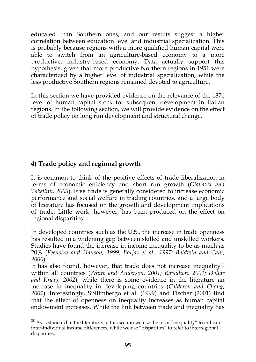educated than Southern ones, and our results suggest a higher correlation between education level and industrial specialization. This is probably because regions with a more qualified human capital were able to switch from an agriculture-based economy to a more productive, industry-based economy. Data actually support this hypothesis, given that more productive Northern regions in 1951 were characterized by a higher level of industrial specialization, while the less productive Southern regions remained devoted to agriculture.

In this section we have provided evidence on the relevance of the 1871 level of human capital stock for subsequent development in Italian regions. In the following section, we will provide evidence on the effect of trade policy on long run development and structural change.

## **4) Trade policy and regional growth**

It is common to think of the positive effects of trade liberalization in terms of economic efficiency and short run growth (*Giavazzi and Tabellini, 2005*). Free trade is generally considered to increase economic performance and social welfare in trading countries, and a large body of literature has focused on the growth and development implications of trade. Little work, however, has been produced on the effect on regional disparities.

In developed countries such as the U.S., the increase in trade openness has resulted in a widening gap between skilled and unskilled workers. Studies have found the increase in income inequality to be as much as 20% (*Feenstra and Hanson, 1999; Borjas et al., 1997; Baldwin and Cain, 2000*).

It has also found, however, that trade does not increase inequality<sup>38</sup> within all countries (*White and Anderson, 2001; Ravallion, 2001; Dollar and Kraay, 2002*), while there is some evidence in the literature an increase in inequality in developing countries (*Calderon and Chong, 2001*). Interestingly, Spilimbergo et al. (1999) and Fischer (2001) find that the effect of openness on inequality increases as human capital endowment increases. While the link between trade and inequality has

 $\frac{38}{38}$  As is standard in the literature, in this section we use the term "inequality" to indicate inter-individual income differences, while we use "disparities" to refer to interregional disparities.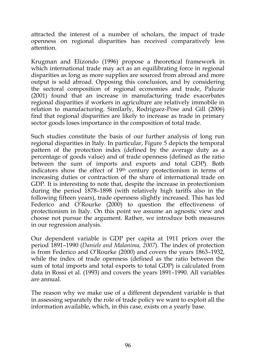attracted the interest of a number of scholars, the impact of trade openness on regional disparities has received comparatively less attention.

Krugman and Elizondo (1996) propose a theoretical framework in which international trade may act as an equilibrating force in regional disparities as long as more supplies are sourced from abroad and more output is sold abroad. Opposing this conclusion, and by considering the sectoral composition of regional economies and trade, Paluzie (2001) found that an increase in manufacturing trade exacerbates regional disparities if workers in agriculture are relatively immobile in relation to manufacturing. Similarly, Rodriguez-Pose and Gill (2006) find that regional disparities are likely to increase as trade in primary sector goods loses importance in the composition of total trade.

Such studies constitute the basis of our further analysis of long run regional disparities in Italy. In particular, Figure 5 depicts the temporal pattern of the protection index (defined by the average duty as a percentage of goods value) and of trade openness (defined as the ratio between the sum of imports and exports and total GDP). Both indicators show the effect of 19th century protectionism in terms of increasing duties or contraction of the share of international trade on GDP. It is interesting to note that, despite the increase in protectionism during the period 1878–1898 (with relatively high tariffs also in the following fifteen years), trade openness slightly increased. This has led Federico and O'Rourke (2000) to question the effectiveness of protectionism in Italy. On this point we assume an agnostic view and choose not pursue the argument. Rather, we introduce both measures in our regression analysis.

Our dependent variable is GDP per capita at 1911 prices over the period 1891–1990 (*Daniele and Malanima, 2007*). The index of protection is from Federico and O'Rourke (2000) and covers the years 1863–1932, while the index of trade openness (defined as the ratio between the sum of total imports and total exports to total GDP) is calculated from data in Rossi et al. (1993) and covers the years 1891–1990. All variables are annual.

The reason why we make use of a different dependent variable is that in assessing separately the role of trade policy we want to exploit all the information available, which, in this case, exists on a yearly base.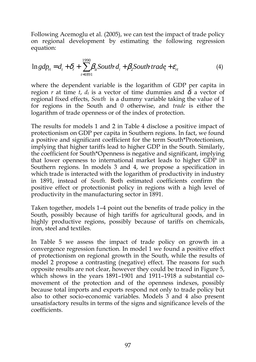Following Acemoglu et al. (2005), we can test the impact of trade policy on regional development by estimating the following regression equation:

$$
\ln gdp_n = d_t + \delta_r + \sum_{t=1891}^{1990} \beta_{1t} South \, d_t + \beta_2 South \, trade_t + \varepsilon_n \tag{4}
$$

where the dependent variable is the logarithm of GDP per capita in region *r* at time *t*,  $d_t$  is a vector of time dummies and  $\delta_t$  a vector of regional fixed effects, *South* is a dummy variable taking the value of 1 for regions in the South and 0 otherwise, and *trade* is either the logarithm of trade openness or of the index of protection.

The results for models 1 and 2 in Table 4 disclose a positive impact of protectionism on GDP per capita in Southern regions. In fact, we found a positive and significant coefficient for the term South\*Protectionism, implying that higher tariffs lead to higher GDP in the South. Similarly, the coefficient for South\*Openness is negative and significant, implying that lower openness to international market leads to higher GDP in Southern regions. In models 3 and 4, we propose a specification in which trade is interacted with the logarithm of productivity in industry in 1891, instead of *South*. Both estimated coefficients confirm the positive effect or protectionist policy in regions with a high level of productivity in the manufacturing sector in 1891.

Taken together, models 1–4 point out the benefits of trade policy in the South, possibly because of high tariffs for agricultural goods, and in highly productive regions, possibly because of tariffs on chemicals, iron, steel and textiles.

In Table 5 we assess the impact of trade policy on growth in a convergence regression function. In model 1 we found a positive effect of protectionism on regional growth in the South, while the results of model 2 propose a contrasting (negative) effect. The reasons for such opposite results are not clear, however they could be traced in Figure 5, which shows in the years 1891–1901 and 1911–1918 a substantial comovement of the protection and of the openness indexes, possibly because total imports and exports respond not only to trade policy but also to other socio-economic variables. Models 3 and 4 also present unsatisfactory results in terms of the signs and significance levels of the coefficients.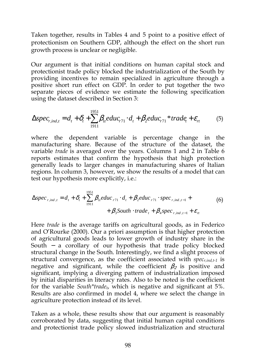Taken together, results in Tables 4 and 5 point to a positive effect of protectionism on Southern GDP, although the effect on the short run growth process is unclear or negligible.

Our argument is that initial conditions on human capital stock and protectionist trade policy blocked the industrialization of the South by providing incentives to remain specialized in agriculture through a positive short run effect on GDP. In order to put together the two separate pieces of evidence we estimate the following specification using the dataset described in Section 3:

$$
\Delta spec_{r,ind,t} = d_t + \delta_t + \sum_{1911}^{1951} \beta_{1t} educ_{r71} \cdot d_t + \beta_2 educ_{r71} * trade_t + \varepsilon_n \tag{5}
$$

where the dependent variable is percentage change in the manufacturing share. Because of the structure of the dataset, the variable *trade* is averaged over the years. Columns 1 and 2 in Table 6 reports estimates that confirm the hypothesis that high protection generally leads to larger changes in manufacturing shares of Italian regions. In column 3, however, we show the results of a model that can test our hypothesis more explicitly, i.e.:

$$
\Delta spec_{r,ind,t} = d_t + \delta_t + \sum_{1911}^{1951} \beta_{1t} educ_{r71} \cdot d_t + \beta_2 educ_{r71} \cdot spec_{r,ind,t-1} + + \beta_3 South \cdot trade_t + \beta_4 spec_{r,ind,t-1} + \varepsilon_n
$$
 (6)

Here *trade* is the average tariffs on agricultural goods, as in Federico and O'Rourke (2000). Our a priori assumption is that higher protection of agricultural goods leads to lower growth of industry share in the South - a corollary of our hypothesis that trade policy blocked structural change in the South. Interestingly, we find a slight process of structural convergence, as the coefficient associated with *specr,ind,t-1* is negative and significant, while the coefficient  $\beta_2$  is positive and significant, implying a diverging pattern of industrialization imposed by initial disparities in literacy rates. Also to be noted is the coefficient for the variable *South\*tradet*, which is negative and significant at 5%. Results are also confirmed in model 4, where we select the change in agriculture protection instead of its level.

Taken as a whole, these results show that our argument is reasonably corroborated by data, suggesting that initial human capital conditions and protectionist trade policy slowed industrialization and structural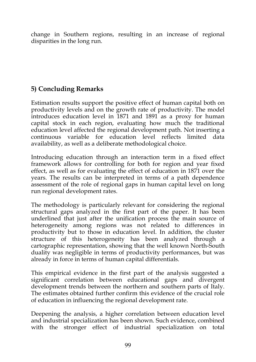change in Southern regions, resulting in an increase of regional disparities in the long run.

# **5) Concluding Remarks**

Estimation results support the positive effect of human capital both on productivity levels and on the growth rate of productivity. The model introduces education level in 1871 and 1891 as a proxy for human capital stock in each region, evaluating how much the traditional education level affected the regional development path. Not inserting a continuous variable for education level reflects limited data availability, as well as a deliberate methodological choice.

Introducing education through an interaction term in a fixed effect framework allows for controlling for both for region and year fixed effect, as well as for evaluating the effect of education in 1871 over the years. The results can be interpreted in terms of a path dependence assessment of the role of regional gaps in human capital level on long run regional development rates.

The methodology is particularly relevant for considering the regional structural gaps analyzed in the first part of the paper. It has been underlined that just after the unification process the main source of heterogeneity among regions was not related to differences in productivity but to those in education level. In addition, the cluster structure of this heterogeneity has been analyzed through a cartographic representation, showing that the well known North-South duality was negligible in terms of productivity performances, but was already in force in terms of human capital differentials.

This empirical evidence in the first part of the analysis suggested a significant correlation between educational gaps and divergent development trends between the northern and southern parts of Italy. The estimates obtained further confirm this evidence of the crucial role of education in influencing the regional development rate.

Deepening the analysis, a higher correlation between education level and industrial specialization has been shown. Such evidence, combined with the stronger effect of industrial specialization on total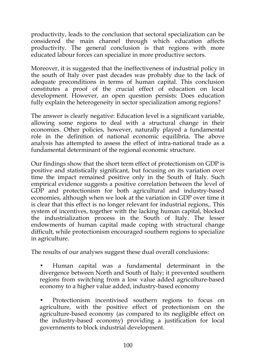productivity, leads to the conclusion that sectoral specialization can be considered the main channel through which education affects productivity. The general conclusion is that regions with more educated labour forces can specialize in more productive sectors.

Moreover, it is suggested that the ineffectiveness of industrial policy in the south of Italy over past decades was probably due to the lack of adequate preconditions in terms of human capital. This conclusion constitutes a proof of the crucial effect of education on local development. However, an open question persists: Does education fully explain the heterogeneity in sector specialization among regions?

The answer is clearly negative: Education level is a significant variable, allowing some regions to deal with a structural change in their economies. Other policies, however, naturally played a fundamental role in the definition of national economic equilibria. The above analysis has attempted to assess the effect of intra-national trade as a fundamental determinant of the regional economic structure.

Our findings show that the short term effect of protectionism on GDP is positive and statistically significant, but focusing on its variation over time the impact remained positive only in the South of Italy. Such empirical evidence suggests a positive correlation between the level of GDP and protectionism for both agricultural and industry-based economies, although when we look at the variation in GDP over time it is clear that this effect is no longer relevant for industrial regions,. This system of incentives, together with the lacking human capital, blocked the industrialization process in the South of Italy. The lesser endowments of human capital made coping with structural change difficult, while protectionism encouraged southern regions to specialize in agriculture.

The results of our analyses suggest these dual overall conclusions:

• Human capital was a fundamental determinant in the divergence between North and South of Italy; it prevented southern regions from switching from a low value added agriculture-based economy to a higher value added, industry-based economy

• Protectionism incentivised southern regions to focus on agriculture, with the positive effect of protectionism on the agriculture-based economy (as compared to its negligible effect on the industry-based economy) providing a justification for local governments to block industrial development.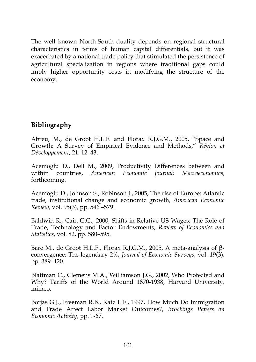The well known North-South duality depends on regional structural characteristics in terms of human capital differentials, but it was exacerbated by a national trade policy that stimulated the persistence of agricultural specialization in regions where traditional gaps could imply higher opportunity costs in modifying the structure of the economy.

#### **Bibliography**

Abreu, M., de Groot H.L.F. and Florax R.J.G.M., 2005, "Space and Growth: A Survey of Empirical Evidence and Methods," *Région et Développement*, 21: 12–43.

Acemoglu D., Dell M., 2009, Productivity Differences between and within countries, *American Economic Journal: Macroeconomics*, forthcoming.

Acemoglu D., Johnson S., Robinson J., 2005, The rise of Europe: Atlantic trade, institutional change and economic growth, *American Economic Review*, vol. 95(3), pp. 546 –579.

Baldwin R., Cain G.G., 2000, Shifts in Relative US Wages: The Role of Trade, Technology and Factor Endowments, *Review of Economics and Statistics*, vol. 82, pp. 580–595.

Bare M., de Groot H.L.F., Florax R.J.G.M., 2005, A meta-analysis of βconvergence: The legendary 2%, *Journal of Economic Surveys*, vol. 19(3), pp. 389–420.

Blattman C., Clemens M.A., Williamson J.G., 2002, Who Protected and Why? Tariffs of the World Around 1870-1938, Harvard University, mimeo.

Borjas G.J., Freeman R.B., Katz L.F., 1997, How Much Do Immigration and Trade Affect Labor Market Outcomes?, *Brookings Papers on Economic Activity*, pp. 1-67.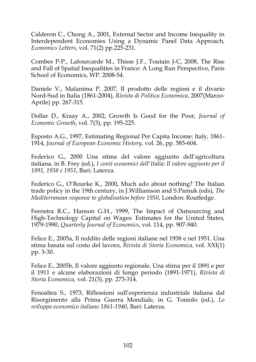Calderon C., Chong A., 2001, External Sector and Income Inequality in Interdependent Economies Using a Dynamic Panel Data Approach, *Economics Letters*, vol. 71(2) pp.225-231.

Combes P-P., Lafourcarde M., Thisse J.F., Toutain J-C, 2008, The Rise and Fall of Spatial Inequalities in France: A Long Run Perspective, Paris School of Economics, WP. 2008-54.

Daniele V., Malanima P, 2007, Il prodotto delle regioni e il divario Nord-Sud in Italia (1861-2004), *Rivista di Politica Economica*, 2007(Marzo-Aprile) pp. 267-315.

Dollar D., Kraay A., 2002, Growth Is Good for the Poor, *Journal of Economic Growth*, vol. 7(3), pp. 195-225.

Esposto A.G., 1997, Estimating Regional Per Capita Income: Italy, 1861- 1914, *Journal of European Economic History*, vol. 26, pp. 585-604.

Federico G., 2000 Una stima del valore aggiunto dell'agricoltura italiana, in B. Frey (ed.), *I conti economici dell'Italia: Il valore aggiunto per il 1891, 1938 e 1951*, Bari: Laterza.

Federico G., O'Rourke K., 2000*,* Much ado about nothing? The Italian trade policy in the 19th century, in J.Williamson and S.Pamuk (eds), *The Mediterranean response to globalisation before 1950*, London: Routledge.

Feenstra R.C., Hanson G.H., 1999, The Impact of Outsourcing and High-Technology Capital on Wages: Estimates for the United States, 1979-1990, *Quarterly Journal of Economics*, vol. 114, pp. 907-940.

Felice E., 2005a, Il reddito delle regioni italiane nel 1938 e nel 1951. Una stima basata sul costo del lavoro, *Rivista di Storia Economica,* vol. XXI(1) pp. 3-30*.* 

Felice E., 2005b, Il valore aggiunto regionale. Una stima per il 1891 e per il 1911 e alcune elaborazioni di lungo periodo (1891-1971), *Rivista di Storia Economica,* vol. 21(3), pp. 273-314.

Fenoaltea S., 1973, Riflessioni sull'esperienza industriale italiana dal Risorgimento alla Prima Guerra Mondiale, in G. Toniolo (ed.), *Lo sviluppo economico italiano 1861-1940*, Bari: Laterza.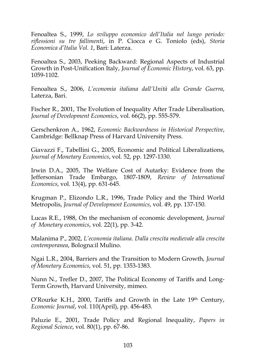Fenoaltea S., 1999, *Lo sviluppo economico dell'Italia nel lungo periodo: riflessioni su tre fallimenti*, in P. Ciocca e G. Toniolo (eds), *Storia Economica d'Italia Vol. 1*, Bari: Laterza.

Fenoaltea S., 2003, Peeking Backward: Regional Aspects of Industrial Growth in Post-Unification Italy, *Journal of Economic History*, vol. 63, pp. 1059-1102.

Fenoaltea S., 2006, *L'economia italiana dall'Unità alla Grande Guerra*, Laterza, Bari.

Fischer R., 2001, The Evolution of Inequality After Trade Liberalisation, *Journal of Development Economics*, vol. 66(2), pp. 555-579.

Gerschenkron A., 1962, *Economic Backwardness in Historical Perspective*, Cambridge: Bellknap Press of Harvard University Press.

Giavazzi F., Tabellini G., 2005, Economic and Political Liberalizations, *Journal of Monetary Economics*, vol. 52, pp. 1297-1330.

Irwin D.A., 2005, The Welfare Cost of Autarky: Evidence from the Jeffersonian Trade Embargo, 1807-1809, *Review of International Economics*, vol. 13(4), pp. 631-645.

Krugman P., Elizondo L.R., 1996, Trade Policy and the Third World Metropolis, *Journal of Development Economics*, vol. 49, pp. 137-150.

Lucas R.E., 1988, On the mechanism of economic development, *Journal of Monetary economics*, vol. 22(1), pp. 3-42.

Malanima P., 2002, *L'economia italiana. Dalla crescita medievale alla crescita contemporanea*, Bologna:il Mulino.

Ngai L.R., 2004, Barriers and the Transition to Modern Growth, *Journal of Monetary Economics*, vol. 51, pp. 1353-1383.

Nunn N., Trefler D., 2007, The Political Economy of Tariffs and Long-Term Growth, Harvard University, mimeo.

O'Rourke K.H., 2000, Tariffs and Growth in the Late  $19<sup>th</sup>$  Century, *Economic Journal*, vol. 110(April), pp. 456-483.

Paluzie E., 2001, Trade Policy and Regional Inequality, *Papers in Regional Science*, vol. 80(1), pp. 67-86.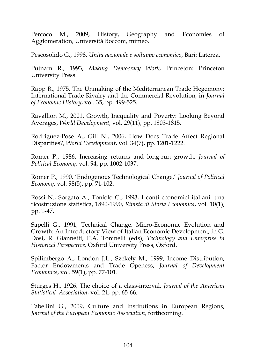Percoco M., 2009, History, Geography and Economies of Agglomeration, Università Bocconi, mimeo.

Pescosolido G., 1998, *Unità nazionale e sviluppo economico*, Bari: Laterza.

Putnam R., 1993, *Making Democracy Work*, Princeton: Princeton University Press.

Rapp R., 1975, The Unmaking of the Mediterranean Trade Hegemony: International Trade Rivalry and the Commercial Revolution, in *Journal of Economic History*, vol. 35, pp. 499-525.

Ravallion M., 2001, Growth, Inequality and Poverty: Looking Beyond Averages, *World Development*, vol. 29(11), pp. 1803-1815.

Rodriguez-Pose A., Gill N., 2006, How Does Trade Affect Regional Disparities?, *World Development*, vol. 34(7), pp. 1201-1222.

Romer P., 1986, Increasing returns and long-run growth. *Journal of Political Economy,* vol. 94, pp. 1002-1037.

Romer P., 1990, 'Endogenous Technological Change,' *Journal of Political Economy*, vol. 98(5), pp. 71-102.

Rossi N., Sorgato A., Toniolo G., 1993, I conti economici italiani: una ricostruzione statistica, 1890-1990, *Rivista di Storia Economica*, vol. 10(1), pp. 1-47.

Sapelli G., 1991, Technical Change, Micro-Economic Evolution and Growth: An Introductory View of Italian Economic Development, in G. Dosi, R. Giannetti, P.A. Toninelli (eds), *Technology and Enterprise in Historical Perspective*, Oxford University Press, Oxford.

Spilimbergo A., London J.L., Szekely M., 1999, Income Distribution, Factor Endowments and Trade Openess, *Journal of Development Economics*, vol. 59(1), pp. 77-101.

Sturges H., 1926, The choice of a class-interval. *Journal of the American Statistical Association*, vol. 21, pp. 65-66.

Tabellini G., 2009, Culture and Institutions in European Regions, *Journal of the European Economic Association*, forthcoming.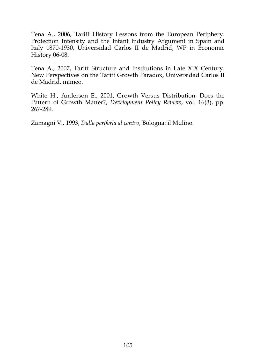Tena A., 2006, Tariff History Lessons from the European Periphery. Protection Intensity and the Infant Industry Argument in Spain and Italy 1870-1930, Universidad Carlos II de Madrid, WP in Economic History 06-08.

Tena A., 2007, Tariff Structure and Institutions in Late XIX Century. New Perspectives on the Tariff Growth Paradox, Universidad Carlos II de Madrid, mimeo.

White H., Anderson E., 2001, Growth Versus Distribution: Does the Pattern of Growth Matter?, *Development Policy Review*, vol. 16(3), pp. 267-289.

Zamagni V., 1993, *Dalla periferia al centro*, Bologna: il Mulino.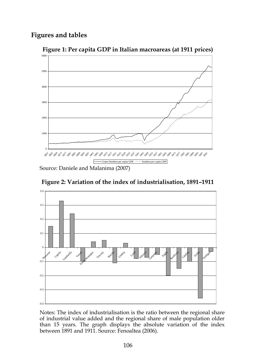### **Figures and tables**



**Figure 1: Per capita GDP in Italian macroareas (at 1911 prices)** 

Source: Daniele and Malanima (2007)

**Figure 2: Variation of the index of industrialisation, 1891–1911** 



Notes: The index of industrialisation is the ratio between the regional share of industrial value added and the regional share of male population older than 15 years. The graph displays the absolute variation of the index between 1891 and 1911. Source: Fenoaltea (2006).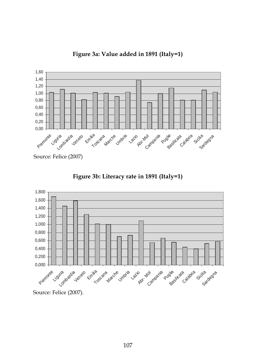

**Figure 3a: Value added in 1891 (Italy=1)** 

Source: Felice (2007)



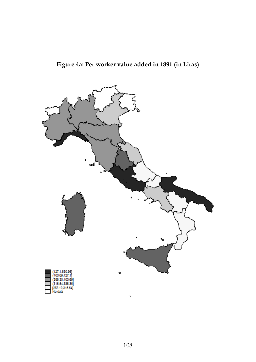

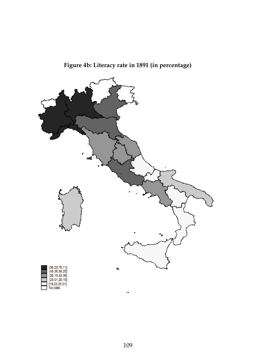

**Figure 4b: Literacy rate in 1891 (in percentage)**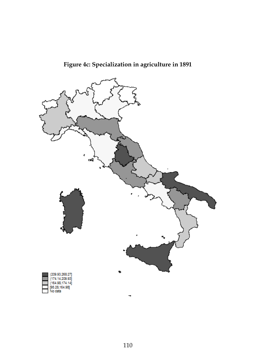

# **Figure 4c: Specialization in agriculture in 1891**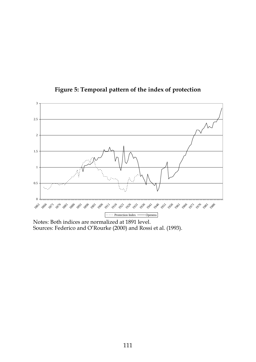

**Figure 5: Temporal pattern of the index of protection** 

Notes: Both indices are normalized at 1891 level. Sources: Federico and O'Rourke (2000) and Rossi et al. (1993).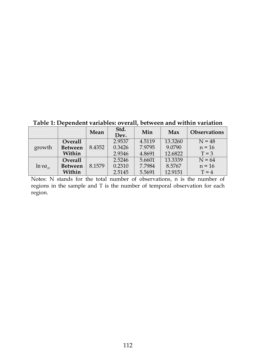**Table 1: Dependent variables: overall, between and within variation** 

|              |                | Mean   | Std.<br>Dev. | Min    | Max     | <b>Observations</b> |
|--------------|----------------|--------|--------------|--------|---------|---------------------|
| growth       | Overall        |        | 2.9537       | 4.5119 | 13.3260 | $N = 48$            |
|              | <b>Between</b> | 8.4352 | 0.3426       | 7.9795 | 9.0790  | $n = 16$            |
|              | Within         |        | 2.9346       | 4.8691 | 12.6822 | $T = 3$             |
| $ln va_{rt}$ | Overall        |        | 2.5246       | 5.6601 | 13.3339 | $N = 64$            |
|              | <b>Between</b> | 8.1579 | 0.2310       | 7.7984 | 8.5767  | $n = 16$            |
|              | Within         |        | 2.5145       | 5.5691 | 12.9151 | $T = 4$             |

Notes: N stands for the total number of observations, n is the number of regions in the sample and T is the number of temporal observation for each region.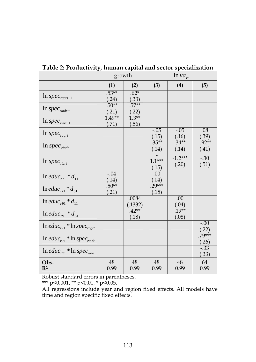|                                                         | growth            |                                   | $\ln va_{rt}$     |                    |                  |  |
|---------------------------------------------------------|-------------------|-----------------------------------|-------------------|--------------------|------------------|--|
|                                                         | (1)               | (2)                               | (3)               | (4)                | (5)              |  |
| $ln spec_{ragr-1}$                                      | $.53***$<br>(.24) | $.62*$<br>(.33)                   |                   |                    |                  |  |
| $ln$ spec <sub>rindt-1</sub>                            | $.50**$<br>(.21)  | $.57***$<br>$\frac{(.22)}{1.3**}$ |                   |                    |                  |  |
| $ln$ spec <sub>rtert-1</sub>                            | $1.49**$<br>(.71) | (.56)                             |                   |                    |                  |  |
| $ln$ spec <sub>ragrt</sub>                              |                   |                                   | $-.05$<br>(.15)   | $-.05$<br>(.16)    | .08<br>(.39)     |  |
| $ln$ spec $_{\text{rindt}}$                             |                   |                                   | $.35***$<br>(.14) | $.34**$<br>(.14)   | $-92**$<br>(.41) |  |
| $ln$ spec <sub>rtert</sub>                              |                   |                                   | $11***$<br>(.15)  | $-1.2***$<br>(.20) | $-.30$<br>(.51)  |  |
| $ln$ <i>educ</i> <sub>r71</sub> $d_{11}$                | $-0.04$<br>(.14)  |                                   | .00<br>(.04)      |                    |                  |  |
| $ln$ <i>educ</i> <sub>r71</sub> $*$ $d_{51}$            | $.50**$<br>(.21)  |                                   | $29***$<br>(.15)  |                    |                  |  |
| $ln$ <i>educ</i> <sub>r91</sub> $d_{11}$                |                   | .0084<br>(.1332)                  |                   | .00<br>(.04)       |                  |  |
| $ln$ <i>educ</i> <sub>r91</sub> $d_{51}$                |                   | $.42**$<br>(.18)                  |                   | $.19**$<br>(.08)   |                  |  |
| $ln$ educ <sub>r71</sub> * $ln$ spec <sub>ragrt</sub>   |                   |                                   |                   |                    | $-.00$<br>(.22)  |  |
| $ln$ educ <sub>r71</sub> * ln spec <sub>rindt</sub>     |                   |                                   |                   |                    | $70***$<br>(.26) |  |
| $\ln$ educ <sub>r71</sub> * $\ln$ spec <sub>rtert</sub> |                   |                                   |                   |                    | $-33$<br>(.33)   |  |
| Obs.<br>$\mathbb{R}^2$                                  | 48<br>0.99        | 48<br>0.99                        | 48<br>0.99        | 48<br>0.99         | 64<br>0.99       |  |

**Table 2: Productivity, human capital and sector specialization** 

Robust standard errors in parentheses.

\*\*\* p<0.001, \*\* p<0.01, \* p<0.05.

All regressions include year and region fixed effects. All models have time and region specific fixed effects.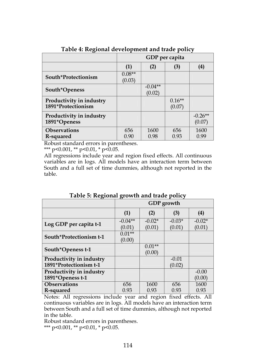|                                                | GDP per capita     |                     |                    |                     |
|------------------------------------------------|--------------------|---------------------|--------------------|---------------------|
|                                                | (1)                | (2)                 | (3)                | (4)                 |
| South*Protectionism                            | $0.08**$<br>(0.03) |                     |                    |                     |
| South*Openess                                  |                    | $-0.04**$<br>(0.02) |                    |                     |
| Productivity in industry<br>1891*Protectionism |                    |                     | $0.16**$<br>(0.07) |                     |
| Productivity in industry<br>1891*Openess       |                    |                     |                    | $-0.26**$<br>(0.07) |
| <b>Observations</b><br>R-squared               | 656<br>0.90        | 1600<br>0.98        | 656<br>0.93        | 1600<br>0.99        |

**Table 4: Regional development and trade policy** 

Robust standard errors in parentheses.

\*\*\* p<0.001, \*\* p<0.01, \* p<0.05.

All regressions include year and region fixed effects. All continuous variables are in logs. All models have an interaction term between South and a full set of time dummies, although not reported in the table.

|                          | GDP growth          |                    |                    |                    |  |
|--------------------------|---------------------|--------------------|--------------------|--------------------|--|
|                          | (1)                 | (2)                | (3)                | (4)                |  |
| Log GDP per capita t-1   | $-0.04**$<br>(0.01) | $-0.02*$<br>(0.01) | $-0.03*$<br>(0.01) | $-0.02*$<br>(0.01) |  |
|                          | $0.01**$            |                    |                    |                    |  |
| South*Protectionism t-1  | (0.00)              |                    |                    |                    |  |
| South*Openess t-1        |                     | $0.01**$           |                    |                    |  |
|                          |                     | (0.00)             |                    |                    |  |
| Productivity in industry |                     |                    | $-0.01$            |                    |  |
| 1891*Protectionism t-1   |                     |                    | (0.02)             |                    |  |
| Productivity in industry |                     |                    |                    | $-0.00$            |  |
| 1891*Openess t-1         |                     |                    |                    | (0.00)             |  |
| <b>Observations</b>      | 656                 | 1600               | 656                | 1600               |  |
| R-squared                | 0.93                | 0.93               | 0.93               | 0.93               |  |

**Table 5: Regional growth and trade policy** 

Notes: All regressions include year and region fixed effects. All continuous variables are in logs. All models have an interaction term between South and a full set of time dummies, although not reported in the table.

Robust standard errors in parentheses.

\*\*\* p<0.001, \*\* p<0.01, \* p<0.05.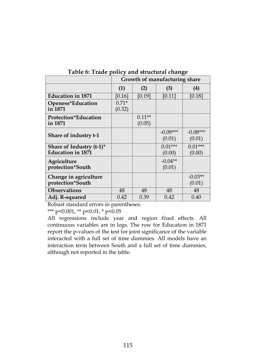|                                                      | Growth of manufacturing share |                    |                      |                      |  |
|------------------------------------------------------|-------------------------------|--------------------|----------------------|----------------------|--|
|                                                      | (1)                           | (2)                | (3)                  | (4)                  |  |
| <b>Education in 1871</b>                             | [0.16]                        | [0.19]             | [0.11]               | [0.18]               |  |
| Openess*Education<br>in 1871                         | $0.71*$<br>(0.32)             |                    |                      |                      |  |
| <b>Protection*Education</b><br>in 1871               |                               | $0.11**$<br>(0.05) |                      |                      |  |
| Share of industry t-1                                |                               |                    | $-0.09***$<br>(0.01) | $-0.08***$<br>(0.01) |  |
| Share of Industry (t-1)*<br><b>Education in 1871</b> |                               |                    | $0.01***$<br>(0.00)  | $0.01***$<br>(0.00)  |  |
| Agriculture<br>protection*South                      |                               |                    | $-0.04**$<br>(0.01)  |                      |  |
| Change in agriculture<br>protection*South            |                               |                    |                      | $-0.03**$<br>(0.01)  |  |
| <b>Observations</b>                                  | 48                            | 48                 | 48                   | 48                   |  |
| Adj. R-squared                                       | 0.42                          | 0.39               | 0.42                 | 0.40                 |  |

**Table 6: Trade policy and structural change**

Robust standard errors in parentheses.

\*\*\* p<0.001, \*\* p<0.01, \* p<0.05

All regressions include year and region fixed effects. All continuous variables are in logs. The row for Education in 1871 report the p-values of the test for joint significance of the variable interacted with a full set of time dummies. All models have an interaction term between South and a full set of time dummies, although not reported in the table.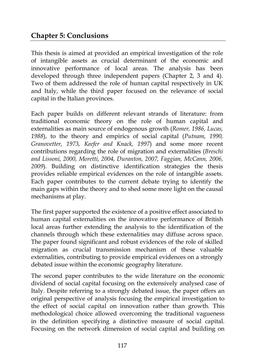### **Chapter 5: Conclusions**

This thesis is aimed at provided an empirical investigation of the role of intangible assets as crucial determinant of the economic and innovative performance of local areas. The analysis has been developed through three independent papers (Chapter 2, 3 and 4). Two of them addressed the role of human capital respectively in UK and Italy, while the third paper focused on the relevance of social capital in the Italian provinces.

Each paper builds on different relevant strands of literature: from traditional economic theory on the role of human capital and externalities as main source of endogenous growth (*Romer, 1986, Lucas, 1988*), to the theory and empirics of social capital (*Putnam, 1990, Granovetter, 1973, Keefer and Knack, 1997*) and some more recent contributions regarding the role of migration and externalities (*Breschi and Lissoni, 2000, Moretti, 2004, Duranton, 2007, Faggian, McCann, 2006, 2009*). Building on distinctive identification strategies the thesis provides reliable empirical evidences on the role of intangible assets. Each paper contributes to the current debate trying to identify the main gaps within the theory and to shed some more light on the causal mechanisms at play.

The first paper supported the existence of a positive effect associated to human capital externalities on the innovative performance of British local areas further extending the analysis to the identification of the channels through which these externalities may diffuse across space. The paper found significant and robust evidences of the role of skilled migration as crucial transmission mechanism of these valuable externalities, contributing to provide empirical evidences on a strongly debated issue within the economic geography literature.

The second paper contributes to the wide literature on the economic dividend of social capital focusing on the extensively analysed case of Italy. Despite referring to a strongly debated issue, the paper offers an original perspective of analysis focusing the empirical investigation to the effect of social capital on innovation rather than growth. This methodological choice allowed overcoming the traditional vagueness in the definition specifying a distinctive measure of social capital. Focusing on the network dimension of social capital and building on